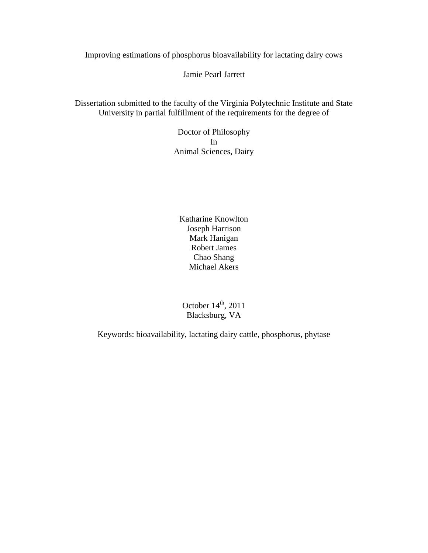Improving estimations of phosphorus bioavailability for lactating dairy cows

Jamie Pearl Jarrett

Dissertation submitted to the faculty of the Virginia Polytechnic Institute and State University in partial fulfillment of the requirements for the degree of

> Doctor of Philosophy In Animal Sciences, Dairy

Katharine Knowlton Joseph Harrison Mark Hanigan Robert James Chao Shang Michael Akers

October  $14<sup>th</sup>$ , 2011 Blacksburg, VA

Keywords: bioavailability, lactating dairy cattle, phosphorus, phytase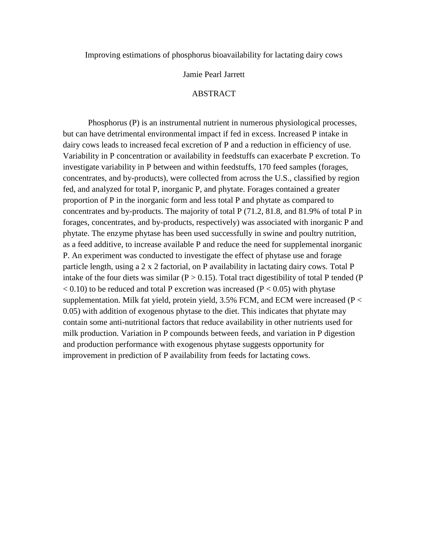Improving estimations of phosphorus bioavailability for lactating dairy cows

# Jamie Pearl Jarrett

# ABSTRACT

Phosphorus (P) is an instrumental nutrient in numerous physiological processes, but can have detrimental environmental impact if fed in excess. Increased P intake in dairy cows leads to increased fecal excretion of P and a reduction in efficiency of use. Variability in P concentration or availability in feedstuffs can exacerbate P excretion. To investigate variability in P between and within feedstuffs, 170 feed samples (forages, concentrates, and by-products), were collected from across the U.S., classified by region fed, and analyzed for total P, inorganic P, and phytate. Forages contained a greater proportion of P in the inorganic form and less total P and phytate as compared to concentrates and by-products. The majority of total P (71.2, 81.8, and 81.9% of total P in forages, concentrates, and by-products, respectively) was associated with inorganic P and phytate. The enzyme phytase has been used successfully in swine and poultry nutrition, as a feed additive, to increase available P and reduce the need for supplemental inorganic P. An experiment was conducted to investigate the effect of phytase use and forage particle length, using a 2 x 2 factorial, on P availability in lactating dairy cows. Total P intake of the four diets was similar ( $P > 0.15$ ). Total tract digestibility of total P tended (P  $< 0.10$ ) to be reduced and total P excretion was increased (P $< 0.05$ ) with phytase supplementation. Milk fat yield, protein yield, 3.5% FCM, and ECM were increased ( $P <$ 0.05) with addition of exogenous phytase to the diet. This indicates that phytate may contain some anti-nutritional factors that reduce availability in other nutrients used for milk production. Variation in P compounds between feeds, and variation in P digestion and production performance with exogenous phytase suggests opportunity for improvement in prediction of P availability from feeds for lactating cows.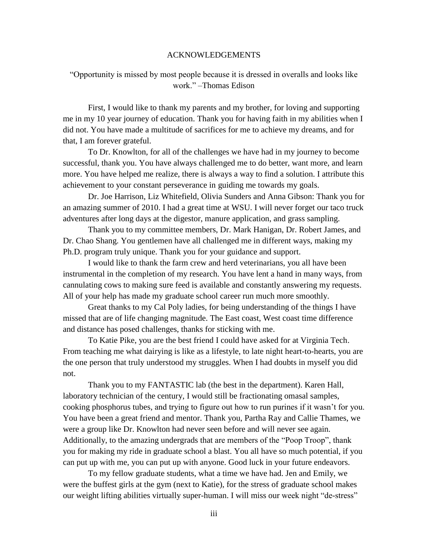# ACKNOWLEDGEMENTS

"Opportunity is missed by most people because it is dressed in overalls and looks like work." –Thomas Edison

First, I would like to thank my parents and my brother, for loving and supporting me in my 10 year journey of education. Thank you for having faith in my abilities when I did not. You have made a multitude of sacrifices for me to achieve my dreams, and for that, I am forever grateful.

To Dr. Knowlton, for all of the challenges we have had in my journey to become successful, thank you. You have always challenged me to do better, want more, and learn more. You have helped me realize, there is always a way to find a solution. I attribute this achievement to your constant perseverance in guiding me towards my goals.

Dr. Joe Harrison, Liz Whitefield, Olivia Sunders and Anna Gibson: Thank you for an amazing summer of 2010. I had a great time at WSU. I will never forget our taco truck adventures after long days at the digestor, manure application, and grass sampling.

Thank you to my committee members, Dr. Mark Hanigan, Dr. Robert James, and Dr. Chao Shang. You gentlemen have all challenged me in different ways, making my Ph.D. program truly unique. Thank you for your guidance and support.

I would like to thank the farm crew and herd veterinarians, you all have been instrumental in the completion of my research. You have lent a hand in many ways, from cannulating cows to making sure feed is available and constantly answering my requests. All of your help has made my graduate school career run much more smoothly.

Great thanks to my Cal Poly ladies, for being understanding of the things I have missed that are of life changing magnitude. The East coast, West coast time difference and distance has posed challenges, thanks for sticking with me.

To Katie Pike, you are the best friend I could have asked for at Virginia Tech. From teaching me what dairying is like as a lifestyle, to late night heart-to-hearts, you are the one person that truly understood my struggles. When I had doubts in myself you did not.

Thank you to my FANTASTIC lab (the best in the department). Karen Hall, laboratory technician of the century, I would still be fractionating omasal samples, cooking phosphorus tubes, and trying to figure out how to run purines if it wasn't for you. You have been a great friend and mentor. Thank you, Partha Ray and Callie Thames, we were a group like Dr. Knowlton had never seen before and will never see again. Additionally, to the amazing undergrads that are members of the "Poop Troop", thank you for making my ride in graduate school a blast. You all have so much potential, if you can put up with me, you can put up with anyone. Good luck in your future endeavors.

To my fellow graduate students, what a time we have had. Jen and Emily, we were the buffest girls at the gym (next to Katie), for the stress of graduate school makes our weight lifting abilities virtually super-human. I will miss our week night "de-stress"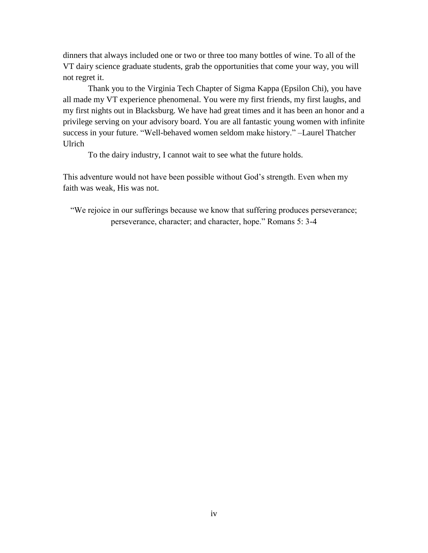dinners that always included one or two or three too many bottles of wine. To all of the VT dairy science graduate students, grab the opportunities that come your way, you will not regret it.

Thank you to the Virginia Tech Chapter of Sigma Kappa (Epsilon Chi), you have all made my VT experience phenomenal. You were my first friends, my first laughs, and my first nights out in Blacksburg. We have had great times and it has been an honor and a privilege serving on your advisory board. You are all fantastic young women with infinite success in your future. "Well-behaved women seldom make history." –Laurel Thatcher Ulrich

To the dairy industry, I cannot wait to see what the future holds.

This adventure would not have been possible without God's strength. Even when my faith was weak, His was not.

"We rejoice in our sufferings because we know that suffering produces perseverance; perseverance, character; and character, hope." Romans 5: 3-4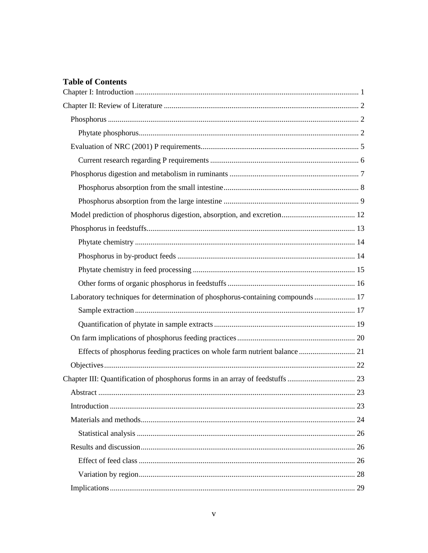# **Table of Contents**

| Laboratory techniques for determination of phosphorus-containing compounds 17 |  |
|-------------------------------------------------------------------------------|--|
|                                                                               |  |
|                                                                               |  |
|                                                                               |  |
|                                                                               |  |
|                                                                               |  |
|                                                                               |  |
|                                                                               |  |
|                                                                               |  |
|                                                                               |  |
|                                                                               |  |
|                                                                               |  |
|                                                                               |  |
|                                                                               |  |
|                                                                               |  |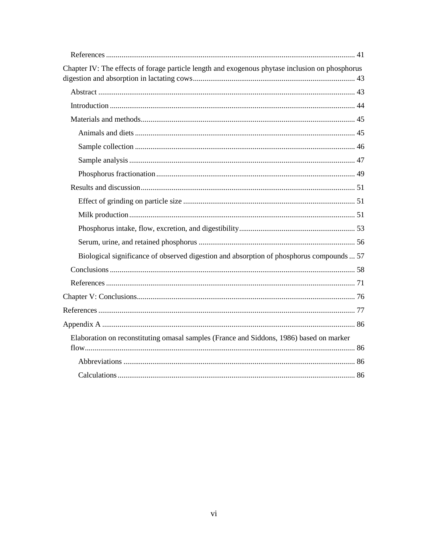| Chapter IV: The effects of forage particle length and exogenous phytase inclusion on phosphorus |
|-------------------------------------------------------------------------------------------------|
|                                                                                                 |
|                                                                                                 |
|                                                                                                 |
|                                                                                                 |
|                                                                                                 |
|                                                                                                 |
|                                                                                                 |
|                                                                                                 |
|                                                                                                 |
|                                                                                                 |
|                                                                                                 |
|                                                                                                 |
| Biological significance of observed digestion and absorption of phosphorus compounds  57        |
|                                                                                                 |
|                                                                                                 |
|                                                                                                 |
|                                                                                                 |
|                                                                                                 |
| Elaboration on reconstituting omasal samples (France and Siddons, 1986) based on marker         |
|                                                                                                 |
|                                                                                                 |
|                                                                                                 |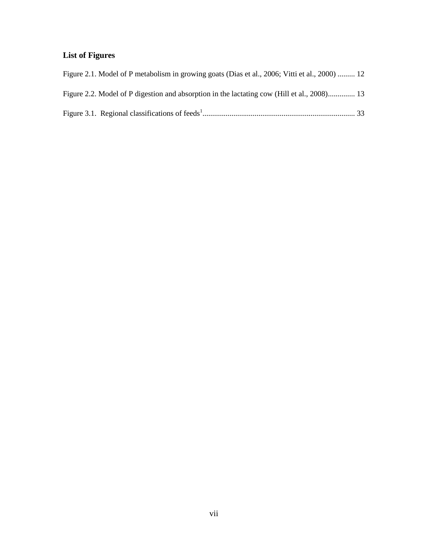# **List of Figures**

| Figure 2.1. Model of P metabolism in growing goats (Dias et al., 2006; Vitti et al., 2000)  12 |  |
|------------------------------------------------------------------------------------------------|--|
| Figure 2.2. Model of P digestion and absorption in the lactating cow (Hill et al., 2008) 13    |  |
|                                                                                                |  |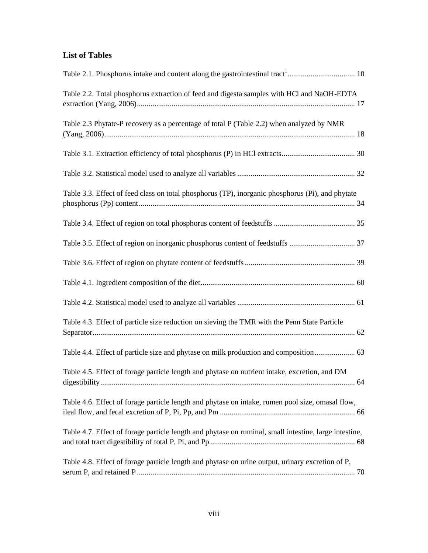# **List of Tables**

| Table 2.2. Total phosphorus extraction of feed and digesta samples with HCl and NaOH-EDTA             |     |
|-------------------------------------------------------------------------------------------------------|-----|
| Table 2.3 Phytate-P recovery as a percentage of total P (Table 2.2) when analyzed by NMR              |     |
|                                                                                                       |     |
|                                                                                                       |     |
| Table 3.3. Effect of feed class on total phosphorus (TP), inorganic phosphorus (Pi), and phytate      |     |
|                                                                                                       |     |
|                                                                                                       |     |
|                                                                                                       |     |
|                                                                                                       |     |
|                                                                                                       |     |
| Table 4.3. Effect of particle size reduction on sieving the TMR with the Penn State Particle          |     |
|                                                                                                       |     |
| Table 4.5. Effect of forage particle length and phytase on nutrient intake, excretion, and DM         | .64 |
| Table 4.6. Effect of forage particle length and phytase on intake, rumen pool size, omasal flow,      |     |
| Table 4.7. Effect of forage particle length and phytase on ruminal, small intestine, large intestine, |     |
| Table 4.8. Effect of forage particle length and phytase on urine output, urinary excretion of P,      |     |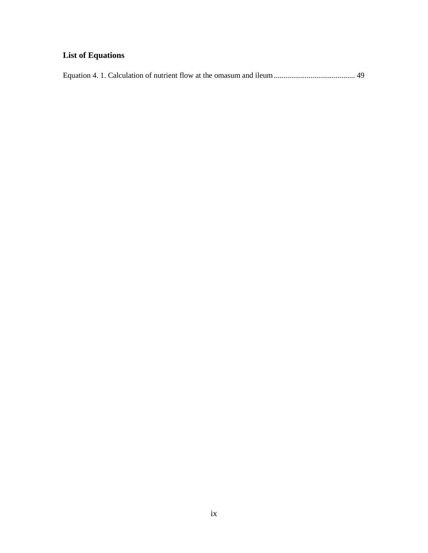# **List of Equations**

|--|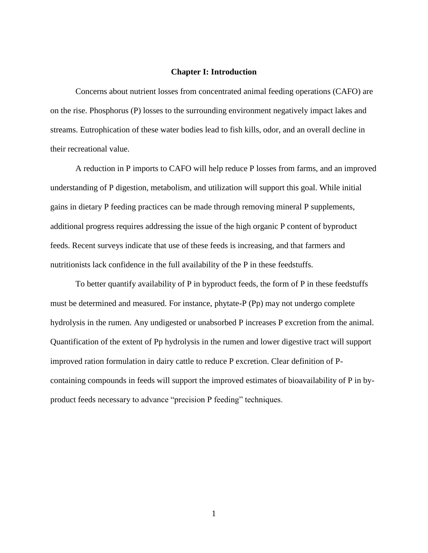#### **Chapter I: Introduction**

<span id="page-9-0"></span>Concerns about nutrient losses from concentrated animal feeding operations (CAFO) are on the rise. Phosphorus (P) losses to the surrounding environment negatively impact lakes and streams. Eutrophication of these water bodies lead to fish kills, odor, and an overall decline in their recreational value.

A reduction in P imports to CAFO will help reduce P losses from farms, and an improved understanding of P digestion, metabolism, and utilization will support this goal. While initial gains in dietary P feeding practices can be made through removing mineral P supplements, additional progress requires addressing the issue of the high organic P content of byproduct feeds. Recent surveys indicate that use of these feeds is increasing, and that farmers and nutritionists lack confidence in the full availability of the P in these feedstuffs.

To better quantify availability of P in byproduct feeds, the form of P in these feedstuffs must be determined and measured. For instance, phytate-P (Pp) may not undergo complete hydrolysis in the rumen. Any undigested or unabsorbed P increases P excretion from the animal. Quantification of the extent of Pp hydrolysis in the rumen and lower digestive tract will support improved ration formulation in dairy cattle to reduce P excretion. Clear definition of Pcontaining compounds in feeds will support the improved estimates of bioavailability of P in byproduct feeds necessary to advance "precision P feeding" techniques.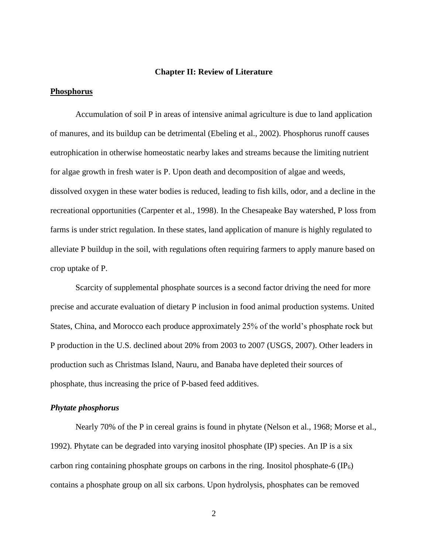#### **Chapter II: Review of Literature**

## <span id="page-10-1"></span><span id="page-10-0"></span>**Phosphorus**

Accumulation of soil P in areas of intensive animal agriculture is due to land application of manures, and its buildup can be detrimental (Ebeling et al., 2002). Phosphorus runoff causes eutrophication in otherwise homeostatic nearby lakes and streams because the limiting nutrient for algae growth in fresh water is P. Upon death and decomposition of algae and weeds, dissolved oxygen in these water bodies is reduced, leading to fish kills, odor, and a decline in the recreational opportunities (Carpenter et al., 1998). In the Chesapeake Bay watershed, P loss from farms is under strict regulation. In these states, land application of manure is highly regulated to alleviate P buildup in the soil, with regulations often requiring farmers to apply manure based on crop uptake of P.

Scarcity of supplemental phosphate sources is a second factor driving the need for more precise and accurate evaluation of dietary P inclusion in food animal production systems. United States, China, and Morocco each produce approximately 25% of the world's phosphate rock but P production in the U.S. declined about 20% from 2003 to 2007 (USGS, 2007). Other leaders in production such as Christmas Island, Nauru, and Banaba have depleted their sources of phosphate, thus increasing the price of P-based feed additives.

# <span id="page-10-2"></span>*Phytate phosphorus*

Nearly 70% of the P in cereal grains is found in phytate (Nelson et al., 1968; Morse et al., 1992). Phytate can be degraded into varying inositol phosphate (IP) species. An IP is a six carbon ring containing phosphate groups on carbons in the ring. Inositol phosphate-6 (IP $_6$ ) contains a phosphate group on all six carbons. Upon hydrolysis, phosphates can be removed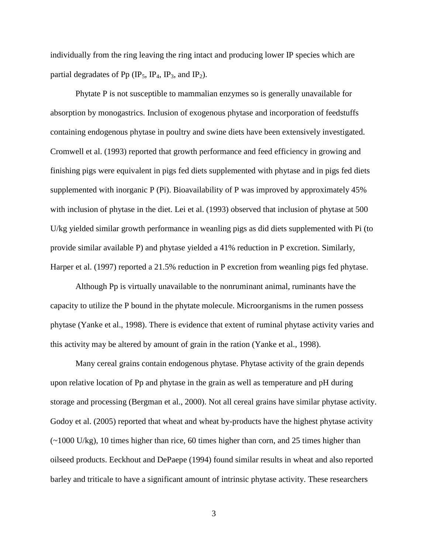individually from the ring leaving the ring intact and producing lower IP species which are partial degradates of Pp (IP<sub>5</sub>, IP<sub>4</sub>, IP<sub>3</sub>, and IP<sub>2</sub>).

Phytate P is not susceptible to mammalian enzymes so is generally unavailable for absorption by monogastrics. Inclusion of exogenous phytase and incorporation of feedstuffs containing endogenous phytase in poultry and swine diets have been extensively investigated. Cromwell et al. (1993) reported that growth performance and feed efficiency in growing and finishing pigs were equivalent in pigs fed diets supplemented with phytase and in pigs fed diets supplemented with inorganic P (Pi). Bioavailability of P was improved by approximately 45% with inclusion of phytase in the diet. Lei et al. (1993) observed that inclusion of phytase at 500 U/kg yielded similar growth performance in weanling pigs as did diets supplemented with Pi (to provide similar available P) and phytase yielded a 41% reduction in P excretion. Similarly, Harper et al. (1997) reported a 21.5% reduction in P excretion from weanling pigs fed phytase.

Although Pp is virtually unavailable to the nonruminant animal, ruminants have the capacity to utilize the P bound in the phytate molecule. Microorganisms in the rumen possess phytase (Yanke et al., 1998). There is evidence that extent of ruminal phytase activity varies and this activity may be altered by amount of grain in the ration (Yanke et al., 1998).

Many cereal grains contain endogenous phytase. Phytase activity of the grain depends upon relative location of Pp and phytase in the grain as well as temperature and pH during storage and processing (Bergman et al., 2000). Not all cereal grains have similar phytase activity. Godoy et al. (2005) reported that wheat and wheat by-products have the highest phytase activity  $\left(\sim 1000 \text{ U/kg}\right)$ , 10 times higher than rice, 60 times higher than corn, and 25 times higher than oilseed products. Eeckhout and DePaepe (1994) found similar results in wheat and also reported barley and triticale to have a significant amount of intrinsic phytase activity. These researchers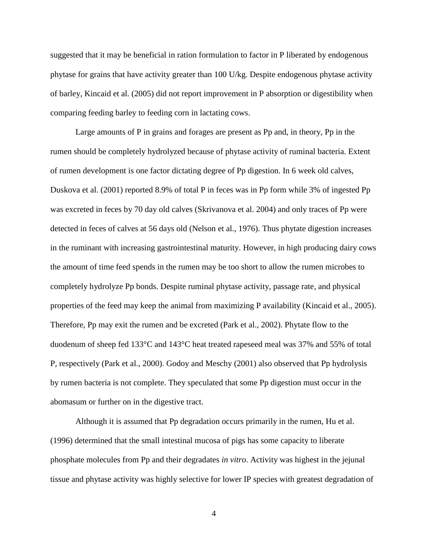suggested that it may be beneficial in ration formulation to factor in P liberated by endogenous phytase for grains that have activity greater than 100 U/kg. Despite endogenous phytase activity of barley, Kincaid et al. (2005) did not report improvement in P absorption or digestibility when comparing feeding barley to feeding corn in lactating cows.

Large amounts of P in grains and forages are present as Pp and, in theory, Pp in the rumen should be completely hydrolyzed because of phytase activity of ruminal bacteria. Extent of rumen development is one factor dictating degree of Pp digestion. In 6 week old calves, Duskova et al. (2001) reported 8.9% of total P in feces was in Pp form while 3% of ingested Pp was excreted in feces by 70 day old calves (Skrivanova et al. 2004) and only traces of Pp were detected in feces of calves at 56 days old (Nelson et al., 1976). Thus phytate digestion increases in the ruminant with increasing gastrointestinal maturity. However, in high producing dairy cows the amount of time feed spends in the rumen may be too short to allow the rumen microbes to completely hydrolyze Pp bonds. Despite ruminal phytase activity, passage rate, and physical properties of the feed may keep the animal from maximizing P availability (Kincaid et al., 2005). Therefore, Pp may exit the rumen and be excreted (Park et al., 2002). Phytate flow to the duodenum of sheep fed 133°C and 143°C heat treated rapeseed meal was 37% and 55% of total P, respectively (Park et al., 2000). Godoy and Meschy (2001) also observed that Pp hydrolysis by rumen bacteria is not complete. They speculated that some Pp digestion must occur in the abomasum or further on in the digestive tract.

Although it is assumed that Pp degradation occurs primarily in the rumen, Hu et al. (1996) determined that the small intestinal mucosa of pigs has some capacity to liberate phosphate molecules from Pp and their degradates *in vitro*. Activity was highest in the jejunal tissue and phytase activity was highly selective for lower IP species with greatest degradation of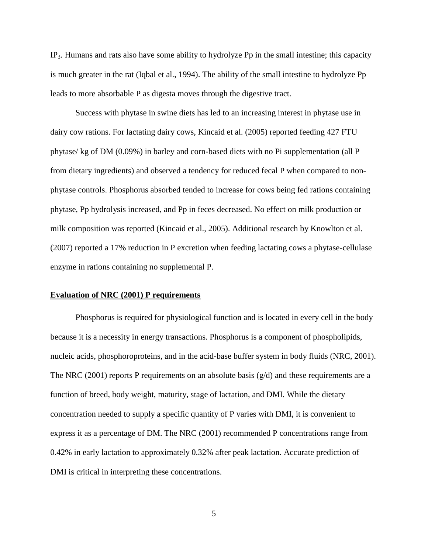IP3. Humans and rats also have some ability to hydrolyze Pp in the small intestine; this capacity is much greater in the rat (Iqbal et al., 1994). The ability of the small intestine to hydrolyze Pp leads to more absorbable P as digesta moves through the digestive tract.

Success with phytase in swine diets has led to an increasing interest in phytase use in dairy cow rations. For lactating dairy cows, Kincaid et al. (2005) reported feeding 427 FTU phytase/ kg of DM (0.09%) in barley and corn-based diets with no Pi supplementation (all P from dietary ingredients) and observed a tendency for reduced fecal P when compared to nonphytase controls. Phosphorus absorbed tended to increase for cows being fed rations containing phytase, Pp hydrolysis increased, and Pp in feces decreased. No effect on milk production or milk composition was reported (Kincaid et al., 2005). Additional research by Knowlton et al. (2007) reported a 17% reduction in P excretion when feeding lactating cows a phytase-cellulase enzyme in rations containing no supplemental P.

# <span id="page-13-0"></span>**Evaluation of NRC (2001) P requirements**

Phosphorus is required for physiological function and is located in every cell in the body because it is a necessity in energy transactions. Phosphorus is a component of phospholipids, nucleic acids, phosphoroproteins, and in the acid-base buffer system in body fluids (NRC, 2001). The NRC (2001) reports P requirements on an absolute basis  $(g/d)$  and these requirements are a function of breed, body weight, maturity, stage of lactation, and DMI. While the dietary concentration needed to supply a specific quantity of P varies with DMI, it is convenient to express it as a percentage of DM. The NRC (2001) recommended P concentrations range from 0.42% in early lactation to approximately 0.32% after peak lactation. Accurate prediction of DMI is critical in interpreting these concentrations.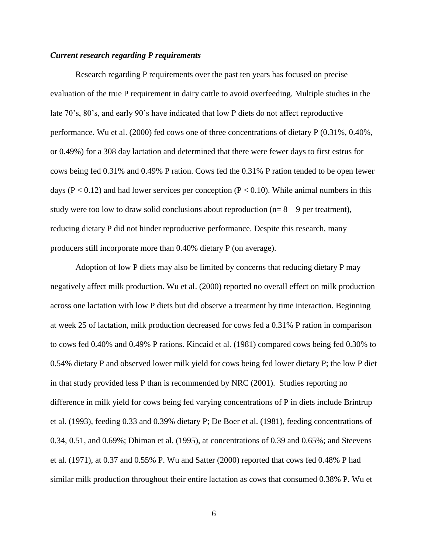# <span id="page-14-0"></span>*Current research regarding P requirements*

Research regarding P requirements over the past ten years has focused on precise evaluation of the true P requirement in dairy cattle to avoid overfeeding. Multiple studies in the late 70's, 80's, and early 90's have indicated that low P diets do not affect reproductive performance. Wu et al. (2000) fed cows one of three concentrations of dietary P (0.31%, 0.40%, or 0.49%) for a 308 day lactation and determined that there were fewer days to first estrus for cows being fed 0.31% and 0.49% P ration. Cows fed the 0.31% P ration tended to be open fewer days ( $P < 0.12$ ) and had lower services per conception ( $P < 0.10$ ). While animal numbers in this study were too low to draw solid conclusions about reproduction ( $n= 8 - 9$  per treatment), reducing dietary P did not hinder reproductive performance. Despite this research, many producers still incorporate more than 0.40% dietary P (on average).

Adoption of low P diets may also be limited by concerns that reducing dietary P may negatively affect milk production. Wu et al. (2000) reported no overall effect on milk production across one lactation with low P diets but did observe a treatment by time interaction. Beginning at week 25 of lactation, milk production decreased for cows fed a 0.31% P ration in comparison to cows fed 0.40% and 0.49% P rations. Kincaid et al. (1981) compared cows being fed 0.30% to 0.54% dietary P and observed lower milk yield for cows being fed lower dietary P; the low P diet in that study provided less P than is recommended by NRC (2001). Studies reporting no difference in milk yield for cows being fed varying concentrations of P in diets include Brintrup et al. (1993), feeding 0.33 and 0.39% dietary P; De Boer et al. (1981), feeding concentrations of 0.34, 0.51, and 0.69%; Dhiman et al. (1995), at concentrations of 0.39 and 0.65%; and Steevens et al. (1971), at 0.37 and 0.55% P. Wu and Satter (2000) reported that cows fed 0.48% P had similar milk production throughout their entire lactation as cows that consumed 0.38% P. Wu et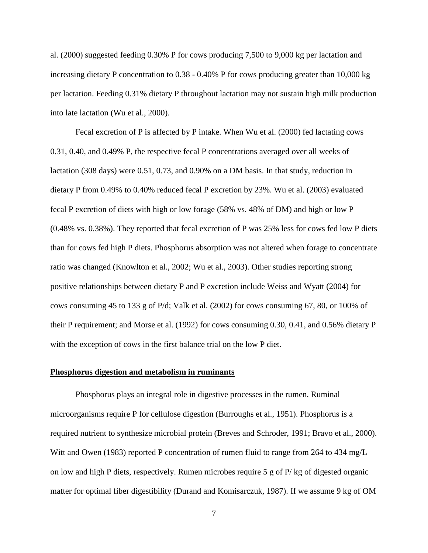al. (2000) suggested feeding 0.30% P for cows producing 7,500 to 9,000 kg per lactation and increasing dietary P concentration to 0.38 - 0.40% P for cows producing greater than 10,000 kg per lactation. Feeding 0.31% dietary P throughout lactation may not sustain high milk production into late lactation (Wu et al., 2000).

Fecal excretion of P is affected by P intake. When Wu et al. (2000) fed lactating cows 0.31, 0.40, and 0.49% P, the respective fecal P concentrations averaged over all weeks of lactation (308 days) were 0.51, 0.73, and 0.90% on a DM basis. In that study, reduction in dietary P from 0.49% to 0.40% reduced fecal P excretion by 23%. Wu et al. (2003) evaluated fecal P excretion of diets with high or low forage (58% vs. 48% of DM) and high or low P (0.48% vs. 0.38%). They reported that fecal excretion of P was 25% less for cows fed low P diets than for cows fed high P diets. Phosphorus absorption was not altered when forage to concentrate ratio was changed (Knowlton et al., 2002; Wu et al., 2003). Other studies reporting strong positive relationships between dietary P and P excretion include Weiss and Wyatt (2004) for cows consuming 45 to 133 g of P/d; Valk et al. (2002) for cows consuming 67, 80, or 100% of their P requirement; and Morse et al. (1992) for cows consuming 0.30, 0.41, and 0.56% dietary P with the exception of cows in the first balance trial on the low P diet.

## <span id="page-15-0"></span>**Phosphorus digestion and metabolism in ruminants**

Phosphorus plays an integral role in digestive processes in the rumen. Ruminal microorganisms require P for cellulose digestion (Burroughs et al., 1951). Phosphorus is a required nutrient to synthesize microbial protein (Breves and Schroder, 1991; Bravo et al., 2000). Witt and Owen (1983) reported P concentration of rumen fluid to range from 264 to 434 mg/L on low and high P diets, respectively. Rumen microbes require 5 g of P/ kg of digested organic matter for optimal fiber digestibility (Durand and Komisarczuk, 1987). If we assume 9 kg of OM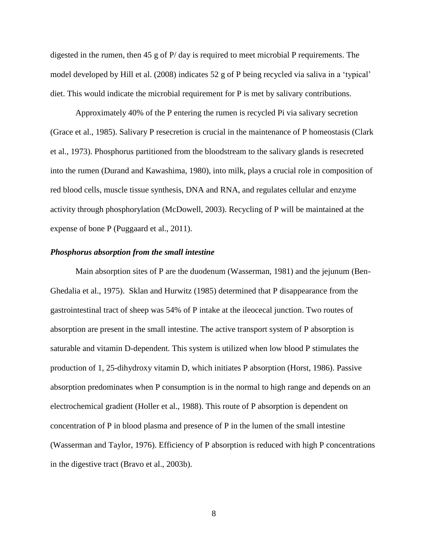digested in the rumen, then 45 g of P/ day is required to meet microbial P requirements. The model developed by Hill et al. (2008) indicates 52 g of P being recycled via saliva in a 'typical' diet. This would indicate the microbial requirement for P is met by salivary contributions.

Approximately 40% of the P entering the rumen is recycled Pi via salivary secretion (Grace et al., 1985). Salivary P resecretion is crucial in the maintenance of P homeostasis (Clark et al., 1973). Phosphorus partitioned from the bloodstream to the salivary glands is resecreted into the rumen (Durand and Kawashima, 1980), into milk, plays a crucial role in composition of red blood cells, muscle tissue synthesis, DNA and RNA, and regulates cellular and enzyme activity through phosphorylation (McDowell, 2003). Recycling of P will be maintained at the expense of bone P (Puggaard et al., 2011).

### <span id="page-16-0"></span>*Phosphorus absorption from the small intestine*

Main absorption sites of P are the duodenum (Wasserman, 1981) and the jejunum (Ben-Ghedalia et al., 1975). Sklan and Hurwitz (1985) determined that P disappearance from the gastrointestinal tract of sheep was 54% of P intake at the ileocecal junction. Two routes of absorption are present in the small intestine. The active transport system of P absorption is saturable and vitamin D-dependent. This system is utilized when low blood P stimulates the production of 1, 25-dihydroxy vitamin D, which initiates P absorption (Horst, 1986). Passive absorption predominates when P consumption is in the normal to high range and depends on an electrochemical gradient (Holler et al., 1988). This route of P absorption is dependent on concentration of P in blood plasma and presence of P in the lumen of the small intestine (Wasserman and Taylor, 1976). Efficiency of P absorption is reduced with high P concentrations in the digestive tract (Bravo et al., 2003b).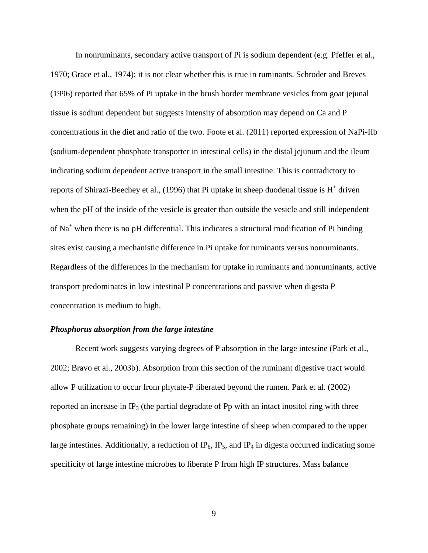In nonruminants, secondary active transport of Pi is sodium dependent (e.g. Pfeffer et al., 1970; Grace et al., 1974); it is not clear whether this is true in ruminants. Schroder and Breves (1996) reported that 65% of Pi uptake in the brush border membrane vesicles from goat jejunal tissue is sodium dependent but suggests intensity of absorption may depend on Ca and P concentrations in the diet and ratio of the two. Foote et al. (2011) reported expression of NaPi-IIb (sodium-dependent phosphate transporter in intestinal cells) in the distal jejunum and the ileum indicating sodium dependent active transport in the small intestine. This is contradictory to reports of Shirazi-Beechey et al., (1996) that Pi uptake in sheep duodenal tissue is  $H^+$  driven when the pH of the inside of the vesicle is greater than outside the vesicle and still independent of  $Na<sup>+</sup>$  when there is no pH differential. This indicates a structural modification of Pi binding sites exist causing a mechanistic difference in Pi uptake for ruminants versus nonruminants. Regardless of the differences in the mechanism for uptake in ruminants and nonruminants, active transport predominates in low intestinal P concentrations and passive when digesta P concentration is medium to high.

# <span id="page-17-0"></span>*Phosphorus absorption from the large intestine*

Recent work suggests varying degrees of P absorption in the large intestine (Park et al., 2002; Bravo et al., 2003b). Absorption from this section of the ruminant digestive tract would allow P utilization to occur from phytate-P liberated beyond the rumen. Park et al. (2002) reported an increase in  $IP_3$  (the partial degradate of Pp with an intact inositol ring with three phosphate groups remaining) in the lower large intestine of sheep when compared to the upper large intestines. Additionally, a reduction of  $IP_6$ ,  $IP_5$ , and  $IP_4$  in digesta occurred indicating some specificity of large intestine microbes to liberate P from high IP structures. Mass balance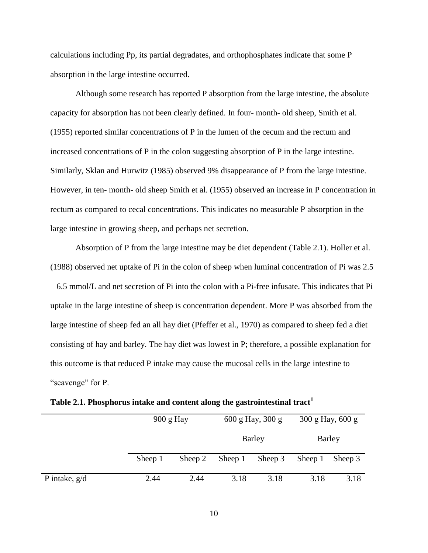calculations including Pp, its partial degradates, and orthophosphates indicate that some P absorption in the large intestine occurred.

Although some research has reported P absorption from the large intestine, the absolute capacity for absorption has not been clearly defined. In four- month- old sheep, Smith et al. (1955) reported similar concentrations of P in the lumen of the cecum and the rectum and increased concentrations of P in the colon suggesting absorption of P in the large intestine. Similarly, Sklan and Hurwitz (1985) observed 9% disappearance of P from the large intestine. However, in ten- month- old sheep Smith et al. (1955) observed an increase in P concentration in rectum as compared to cecal concentrations. This indicates no measurable P absorption in the large intestine in growing sheep, and perhaps net secretion.

Absorption of P from the large intestine may be diet dependent [\(Table 2.1\)](#page-18-0). Holler et al. (1988) observed net uptake of Pi in the colon of sheep when luminal concentration of Pi was 2.5 – 6.5 mmol/L and net secretion of Pi into the colon with a Pi-free infusate. This indicates that Pi uptake in the large intestine of sheep is concentration dependent. More P was absorbed from the large intestine of sheep fed an all hay diet (Pfeffer et al., 1970) as compared to sheep fed a diet consisting of hay and barley. The hay diet was lowest in P; therefore, a possible explanation for this outcome is that reduced P intake may cause the mucosal cells in the large intestine to "scavenge" for P.

<span id="page-18-0"></span>**Table 2.1. Phosphorus intake and content along the gastrointestinal tract<sup>1</sup>**

|                 |         | 900 g Hay |         | 600 g Hay, 300 g |         | 300 g Hay, 600 g |  |
|-----------------|---------|-----------|---------|------------------|---------|------------------|--|
|                 |         |           | Barley  |                  | Barley  |                  |  |
|                 | Sheep 1 | Sheep 2   | Sheep 1 | Sheep 3          | Sheep 1 | Sheep 3          |  |
| P intake, $g/d$ | 2.44    | 2.44      | 3.18    | 3.18             | 3.18    | 3.18             |  |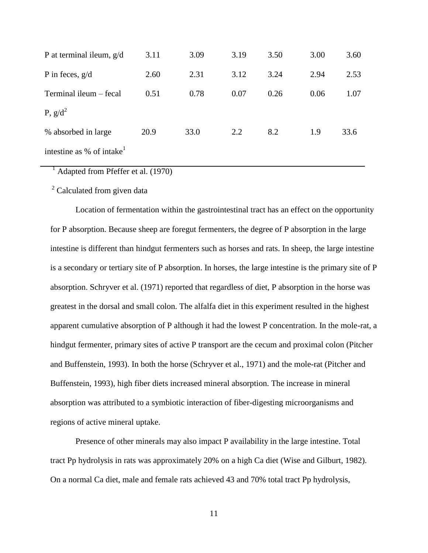| P at terminal ileum, $g/d$            | 3.11 | 3.09 | 3.19 | 3.50 | 3.00 | 3.60 |
|---------------------------------------|------|------|------|------|------|------|
| P in feces, $g/d$                     | 2.60 | 2.31 | 3.12 | 3.24 | 2.94 | 2.53 |
| Terminal ileum – fecal                | 0.51 | 0.78 | 0.07 | 0.26 | 0.06 | 1.07 |
| P, $g/d^2$                            |      |      |      |      |      |      |
| % absorbed in large                   | 20.9 | 33.0 | 2.2  | 8.2  | 1.9  | 33.6 |
| intestine as % of intake <sup>1</sup> |      |      |      |      |      |      |

 $<sup>1</sup>$  Adapted from Pfeffer et al. (1970)</sup>

<sup>2</sup> Calculated from given data

Location of fermentation within the gastrointestinal tract has an effect on the opportunity for P absorption. Because sheep are foregut fermenters, the degree of P absorption in the large intestine is different than hindgut fermenters such as horses and rats. In sheep, the large intestine is a secondary or tertiary site of P absorption. In horses, the large intestine is the primary site of P absorption. Schryver et al. (1971) reported that regardless of diet, P absorption in the horse was greatest in the dorsal and small colon. The alfalfa diet in this experiment resulted in the highest apparent cumulative absorption of P although it had the lowest P concentration. In the mole-rat, a hindgut fermenter, primary sites of active P transport are the cecum and proximal colon (Pitcher and Buffenstein, 1993). In both the horse (Schryver et al., 1971) and the mole-rat (Pitcher and Buffenstein, 1993), high fiber diets increased mineral absorption. The increase in mineral absorption was attributed to a symbiotic interaction of fiber-digesting microorganisms and regions of active mineral uptake.

Presence of other minerals may also impact P availability in the large intestine. Total tract Pp hydrolysis in rats was approximately 20% on a high Ca diet (Wise and Gilburt, 1982). On a normal Ca diet, male and female rats achieved 43 and 70% total tract Pp hydrolysis,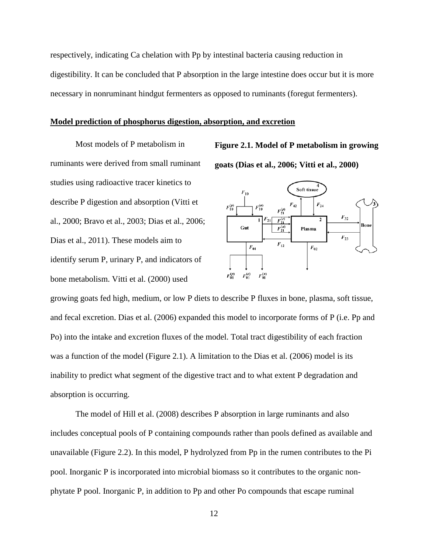respectively, indicating Ca chelation with Pp by intestinal bacteria causing reduction in digestibility. It can be concluded that P absorption in the large intestine does occur but it is more necessary in nonruminant hindgut fermenters as opposed to ruminants (foregut fermenters).

#### <span id="page-20-0"></span>**Model prediction of phosphorus digestion, absorption, and excretion**

Most models of P metabolism in ruminants were derived from small ruminant studies using radioactive tracer kinetics to describe P digestion and absorption (Vitti et al., 2000; Bravo et al., 2003; Dias et al., 2006; Dias et al., 2011). These models aim to identify serum P, urinary P, and indicators of bone metabolism. Vitti et al. (2000) used

<span id="page-20-1"></span>**Figure 2.1. Model of P metabolism in growing goats (Dias et al., 2006; Vitti et al., 2000)**



growing goats fed high, medium, or low P diets to describe P fluxes in bone, plasma, soft tissue, and fecal excretion. Dias et al. (2006) expanded this model to incorporate forms of P (i.e. Pp and Po) into the intake and excretion fluxes of the model. Total tract digestibility of each fraction was a function of the model [\(Figure 2.1\)](#page-20-1). A limitation to the Dias et al. (2006) model is its inability to predict what segment of the digestive tract and to what extent P degradation and absorption is occurring.

The model of Hill et al. (2008) describes P absorption in large ruminants and also includes conceptual pools of P containing compounds rather than pools defined as available and unavailable [\(Figure 2.2\)](#page-21-1). In this model, P hydrolyzed from Pp in the rumen contributes to the Pi pool. Inorganic P is incorporated into microbial biomass so it contributes to the organic nonphytate P pool. Inorganic P, in addition to Pp and other Po compounds that escape ruminal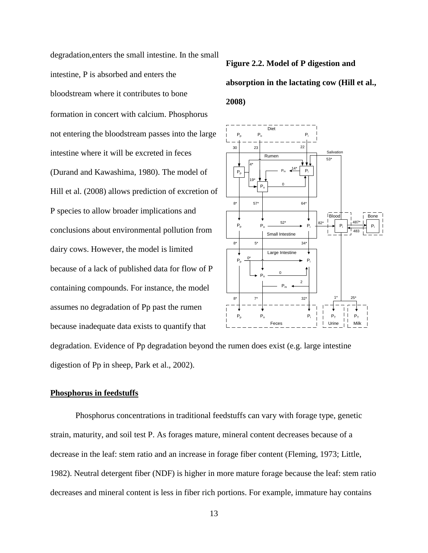degradation,enters the small intestine. In the small intestine, P is absorbed and enters the bloodstream where it contributes to bone formation in concert with calcium. Phosphorus not entering the bloodstream passes into the large intestine where it will be excreted in feces (Durand and Kawashima, 1980). The model of Hill et al. (2008) allows prediction of excretion of P species to allow broader implications and conclusions about environmental pollution from dairy cows. However, the model is limited because of a lack of published data for flow of P containing compounds. For instance, the model assumes no degradation of Pp past the rumen because inadequate data exists to quantify that

<span id="page-21-1"></span>**Figure 2.2. Model of P digestion and absorption in the lactating cow (Hill et al., 2008)**



degradation. Evidence of Pp degradation beyond the rumen does exist (e.g. large intestine digestion of Pp in sheep, Park et al., 2002).

### <span id="page-21-0"></span>**Phosphorus in feedstuffs**

Phosphorus concentrations in traditional feedstuffs can vary with forage type, genetic strain, maturity, and soil test P. As forages mature, mineral content decreases because of a decrease in the leaf: stem ratio and an increase in forage fiber content (Fleming, 1973; Little, 1982). Neutral detergent fiber (NDF) is higher in more mature forage because the leaf: stem ratio decreases and mineral content is less in fiber rich portions. For example, immature hay contains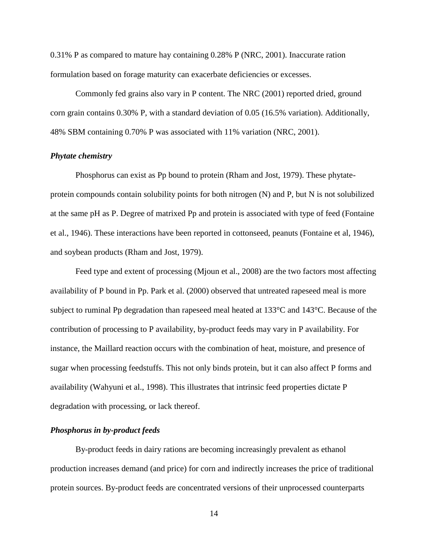0.31% P as compared to mature hay containing 0.28% P (NRC, 2001). Inaccurate ration formulation based on forage maturity can exacerbate deficiencies or excesses.

Commonly fed grains also vary in P content. The NRC (2001) reported dried, ground corn grain contains 0.30% P, with a standard deviation of 0.05 (16.5% variation). Additionally, 48% SBM containing 0.70% P was associated with 11% variation (NRC, 2001).

# <span id="page-22-0"></span>*Phytate chemistry*

Phosphorus can exist as Pp bound to protein (Rham and Jost, 1979). These phytateprotein compounds contain solubility points for both nitrogen (N) and P, but N is not solubilized at the same pH as P. Degree of matrixed Pp and protein is associated with type of feed (Fontaine et al., 1946). These interactions have been reported in cottonseed, peanuts (Fontaine et al, 1946), and soybean products (Rham and Jost, 1979).

Feed type and extent of processing (Mjoun et al., 2008) are the two factors most affecting availability of P bound in Pp. Park et al. (2000) observed that untreated rapeseed meal is more subject to ruminal Pp degradation than rapeseed meal heated at 133°C and 143°C. Because of the contribution of processing to P availability, by-product feeds may vary in P availability. For instance, the Maillard reaction occurs with the combination of heat, moisture, and presence of sugar when processing feedstuffs. This not only binds protein, but it can also affect P forms and availability (Wahyuni et al., 1998). This illustrates that intrinsic feed properties dictate P degradation with processing, or lack thereof.

# <span id="page-22-1"></span>*Phosphorus in by-product feeds*

By-product feeds in dairy rations are becoming increasingly prevalent as ethanol production increases demand (and price) for corn and indirectly increases the price of traditional protein sources. By-product feeds are concentrated versions of their unprocessed counterparts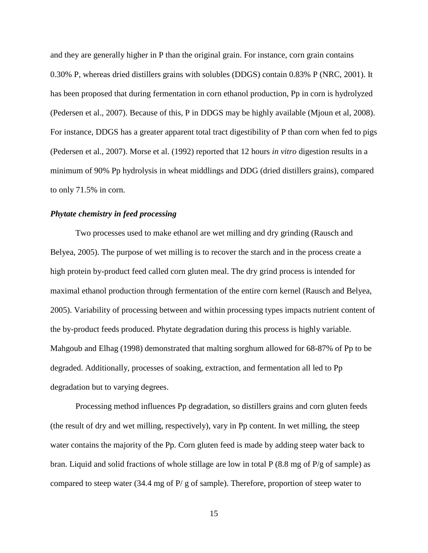and they are generally higher in P than the original grain. For instance, corn grain contains 0.30% P, whereas dried distillers grains with solubles (DDGS) contain 0.83% P (NRC, 2001). It has been proposed that during fermentation in corn ethanol production, Pp in corn is hydrolyzed (Pedersen et al., 2007). Because of this, P in DDGS may be highly available (Mjoun et al, 2008). For instance, DDGS has a greater apparent total tract digestibility of P than corn when fed to pigs (Pedersen et al., 2007). Morse et al. (1992) reported that 12 hours *in vitro* digestion results in a minimum of 90% Pp hydrolysis in wheat middlings and DDG (dried distillers grains), compared to only 71.5% in corn.

# <span id="page-23-0"></span>*Phytate chemistry in feed processing*

Two processes used to make ethanol are wet milling and dry grinding (Rausch and Belyea, 2005). The purpose of wet milling is to recover the starch and in the process create a high protein by-product feed called corn gluten meal. The dry grind process is intended for maximal ethanol production through fermentation of the entire corn kernel (Rausch and Belyea, 2005). Variability of processing between and within processing types impacts nutrient content of the by-product feeds produced. Phytate degradation during this process is highly variable. Mahgoub and Elhag (1998) demonstrated that malting sorghum allowed for 68-87% of Pp to be degraded. Additionally, processes of soaking, extraction, and fermentation all led to Pp degradation but to varying degrees.

Processing method influences Pp degradation, so distillers grains and corn gluten feeds (the result of dry and wet milling, respectively), vary in Pp content. In wet milling, the steep water contains the majority of the Pp. Corn gluten feed is made by adding steep water back to bran. Liquid and solid fractions of whole stillage are low in total P (8.8 mg of P/g of sample) as compared to steep water (34.4 mg of P/ g of sample). Therefore, proportion of steep water to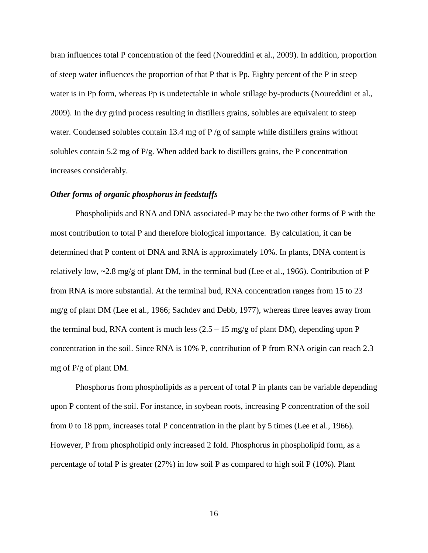bran influences total P concentration of the feed (Noureddini et al., 2009). In addition, proportion of steep water influences the proportion of that P that is Pp. Eighty percent of the P in steep water is in Pp form, whereas Pp is undetectable in whole stillage by-products (Noureddini et al., 2009). In the dry grind process resulting in distillers grains, solubles are equivalent to steep water. Condensed solubles contain 13.4 mg of P /g of sample while distillers grains without solubles contain 5.2 mg of  $P/g$ . When added back to distillers grains, the P concentration increases considerably.

# <span id="page-24-0"></span>*Other forms of organic phosphorus in feedstuffs*

Phospholipids and RNA and DNA associated-P may be the two other forms of P with the most contribution to total P and therefore biological importance. By calculation, it can be determined that P content of DNA and RNA is approximately 10%. In plants, DNA content is relatively low, ~2.8 mg/g of plant DM, in the terminal bud (Lee et al., 1966). Contribution of P from RNA is more substantial. At the terminal bud, RNA concentration ranges from 15 to 23 mg/g of plant DM (Lee et al., 1966; Sachdev and Debb, 1977), whereas three leaves away from the terminal bud, RNA content is much less  $(2.5 - 15 \text{ mg/g of plant DM})$ , depending upon P concentration in the soil. Since RNA is 10% P, contribution of P from RNA origin can reach 2.3 mg of P/g of plant DM.

Phosphorus from phospholipids as a percent of total P in plants can be variable depending upon P content of the soil. For instance, in soybean roots, increasing P concentration of the soil from 0 to 18 ppm, increases total P concentration in the plant by 5 times (Lee et al., 1966). However, P from phospholipid only increased 2 fold. Phosphorus in phospholipid form, as a percentage of total P is greater (27%) in low soil P as compared to high soil P (10%). Plant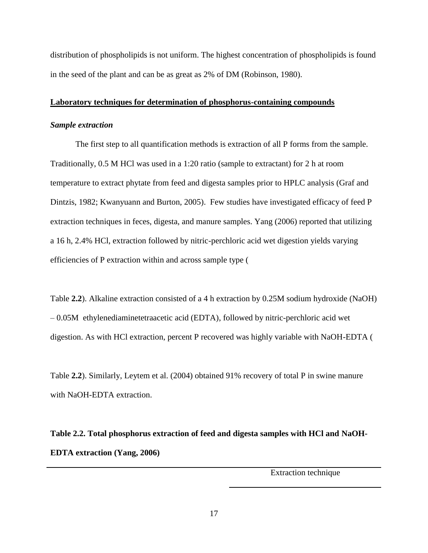distribution of phospholipids is not uniform. The highest concentration of phospholipids is found in the seed of the plant and can be as great as 2% of DM (Robinson, 1980).

### <span id="page-25-0"></span>**Laboratory techniques for determination of phosphorus-containing compounds**

### <span id="page-25-1"></span>*Sample extraction*

The first step to all quantification methods is extraction of all P forms from the sample. Traditionally, 0.5 M HCl was used in a 1:20 ratio (sample to extractant) for 2 h at room temperature to extract phytate from feed and digesta samples prior to HPLC analysis (Graf and Dintzis, 1982; Kwanyuann and Burton, 2005). Few studies have investigated efficacy of feed P extraction techniques in feces, digesta, and manure samples. Yang (2006) reported that utilizing a 16 h, 2.4% HCl, extraction followed by nitric-perchloric acid wet digestion yields varying efficiencies of P extraction within and across sample type [\(](#page-25-3)

[Table](#page-25-3) **2.2**). Alkaline extraction consisted of a 4 h extraction by 0.25M sodium hydroxide (NaOH) – 0.05M ethylenediaminetetraacetic acid (EDTA), followed by nitric-perchloric acid wet digestion. As with HCl extraction, percent P recovered was highly variable with NaOH-EDTA [\(](#page-25-3)

<span id="page-25-3"></span>[Table](#page-25-3) **2.2**). Similarly, Leytem et al. (2004) obtained 91% recovery of total P in swine manure with NaOH-EDTA extraction.

<span id="page-25-2"></span>**Table 2.2. Total phosphorus extraction of feed and digesta samples with HCl and NaOH-EDTA extraction (Yang, 2006)**

Extraction technique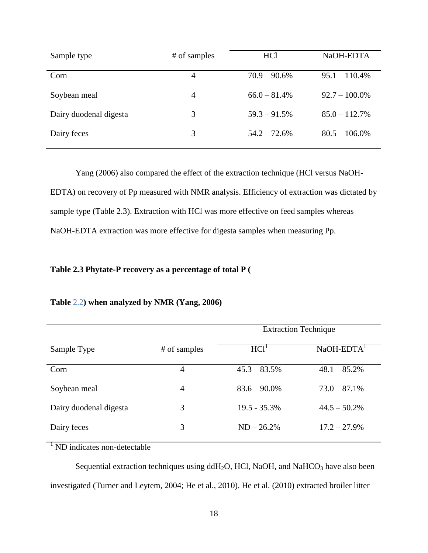| Sample type            | # of samples   | <b>HCl</b>      | NaOH-EDTA        |
|------------------------|----------------|-----------------|------------------|
| Corn                   | 4              | $70.9 - 90.6\%$ | $95.1 - 110.4\%$ |
| Soybean meal           | $\overline{4}$ | $66.0 - 81.4%$  | $92.7 - 100.0\%$ |
| Dairy duodenal digesta | 3              | $59.3 - 91.5\%$ | $85.0 - 112.7\%$ |
| Dairy feces            | 3              | $54.2 - 72.6\%$ | $80.5 - 106.0\%$ |

Yang (2006) also compared the effect of the extraction technique (HCl versus NaOH-EDTA) on recovery of Pp measured with NMR analysis. Efficiency of extraction was dictated by sample type [\(Table 2.3\)](#page-26-0). Extraction with HCl was more effective on feed samples whereas NaOH-EDTA extraction was more effective for digesta samples when measuring Pp.

# <span id="page-26-0"></span>**Table 2.3 Phytate-P recovery as a percentage of total P [\(](#page-25-3)**

|                        |                | <b>Extraction Technique</b> |                          |  |
|------------------------|----------------|-----------------------------|--------------------------|--|
| Sample Type            | # of samples   | HCl <sup>1</sup>            | $NaOH-EDTA$ <sup>1</sup> |  |
| Corn                   | 4              | $45.3 - 83.5\%$             | $48.1 - 85.2\%$          |  |
| Soybean meal           | $\overline{4}$ | $83.6 - 90.0\%$             | $73.0 - 87.1\%$          |  |
| Dairy duodenal digesta | 3              | $19.5 - 35.3\%$             | $44.5 - 50.2\%$          |  |
| Dairy feces            | 3              | $ND - 26.2%$                | $17.2 - 27.9\%$          |  |

# **[Table](#page-25-3)** 2.2**) when analyzed by NMR (Yang, 2006)**

 $1$  ND indicates non-detectable

Sequential extraction techniques using  $ddH<sub>2</sub>O$ , HCl, NaOH, and NaHCO<sub>3</sub> have also been investigated (Turner and Leytem, 2004; He et al., 2010). He et al. (2010) extracted broiler litter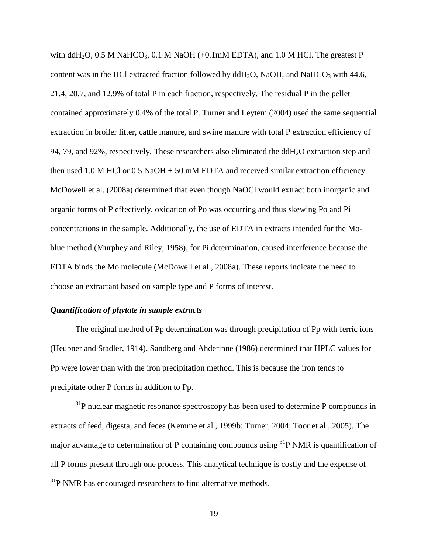with ddH<sub>2</sub>O, 0.5 M NaHCO<sub>3</sub>, 0.1 M NaOH (+0.1mM EDTA), and 1.0 M HCl. The greatest P content was in the HCl extracted fraction followed by  $ddH_2O$ , NaOH, and NaHCO<sub>3</sub> with 44.6, 21.4, 20.7, and 12.9% of total P in each fraction, respectively. The residual P in the pellet contained approximately 0.4% of the total P. Turner and Leytem (2004) used the same sequential extraction in broiler litter, cattle manure, and swine manure with total P extraction efficiency of 94, 79, and 92%, respectively. These researchers also eliminated the  $ddH<sub>2</sub>O$  extraction step and then used 1.0 M HCl or 0.5 NaOH + 50 mM EDTA and received similar extraction efficiency. McDowell et al. (2008a) determined that even though NaOCl would extract both inorganic and organic forms of P effectively, oxidation of Po was occurring and thus skewing Po and Pi concentrations in the sample. Additionally, the use of EDTA in extracts intended for the Moblue method (Murphey and Riley, 1958), for Pi determination, caused interference because the EDTA binds the Mo molecule (McDowell et al., 2008a). These reports indicate the need to choose an extractant based on sample type and P forms of interest.

# <span id="page-27-0"></span>*Quantification of phytate in sample extracts*

The original method of Pp determination was through precipitation of Pp with ferric ions (Heubner and Stadler, 1914). Sandberg and Ahderinne (1986) determined that HPLC values for Pp were lower than with the iron precipitation method. This is because the iron tends to precipitate other P forms in addition to Pp.

 $31P$  nuclear magnetic resonance spectroscopy has been used to determine P compounds in extracts of feed, digesta, and feces (Kemme et al., 1999b; Turner, 2004; Toor et al., 2005). The major advantage to determination of P containing compounds using  $31P$  NMR is quantification of all P forms present through one process. This analytical technique is costly and the expense of  $31P$  NMR has encouraged researchers to find alternative methods.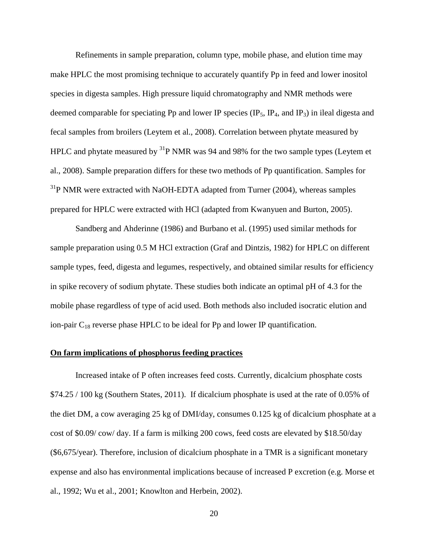Refinements in sample preparation, column type, mobile phase, and elution time may make HPLC the most promising technique to accurately quantify Pp in feed and lower inositol species in digesta samples. High pressure liquid chromatography and NMR methods were deemed comparable for speciating Pp and lower IP species  $(\text{IP}_5, \text{IP}_4, \text{and IP}_3)$  in ileal digesta and fecal samples from broilers (Leytem et al., 2008). Correlation between phytate measured by HPLC and phytate measured by <sup>31</sup>P NMR was 94 and 98% for the two sample types (Leytem et al., 2008). Sample preparation differs for these two methods of Pp quantification. Samples for  $31P$  NMR were extracted with NaOH-EDTA adapted from Turner (2004), whereas samples prepared for HPLC were extracted with HCl (adapted from Kwanyuen and Burton, 2005).

Sandberg and Ahderinne (1986) and Burbano et al. (1995) used similar methods for sample preparation using 0.5 M HCl extraction (Graf and Dintzis, 1982) for HPLC on different sample types, feed, digesta and legumes, respectively, and obtained similar results for efficiency in spike recovery of sodium phytate. These studies both indicate an optimal pH of 4.3 for the mobile phase regardless of type of acid used. Both methods also included isocratic elution and ion-pair  $C_{18}$  reverse phase HPLC to be ideal for Pp and lower IP quantification.

# <span id="page-28-0"></span>**On farm implications of phosphorus feeding practices**

Increased intake of P often increases feed costs. Currently, dicalcium phosphate costs \$74.25 / 100 kg (Southern States, 2011). If dicalcium phosphate is used at the rate of 0.05% of the diet DM, a cow averaging 25 kg of DMI/day, consumes 0.125 kg of dicalcium phosphate at a cost of \$0.09/ cow/ day. If a farm is milking 200 cows, feed costs are elevated by \$18.50/day (\$6,675/year). Therefore, inclusion of dicalcium phosphate in a TMR is a significant monetary expense and also has environmental implications because of increased P excretion (e.g. Morse et al., 1992; Wu et al., 2001; Knowlton and Herbein, 2002).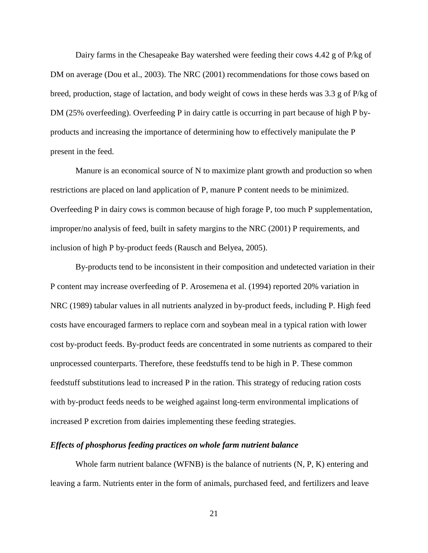Dairy farms in the Chesapeake Bay watershed were feeding their cows 4.42 g of P/kg of DM on average (Dou et al., 2003). The NRC (2001) recommendations for those cows based on breed, production, stage of lactation, and body weight of cows in these herds was 3.3 g of P/kg of DM (25% overfeeding). Overfeeding P in dairy cattle is occurring in part because of high P byproducts and increasing the importance of determining how to effectively manipulate the P present in the feed.

Manure is an economical source of N to maximize plant growth and production so when restrictions are placed on land application of P, manure P content needs to be minimized. Overfeeding P in dairy cows is common because of high forage P, too much P supplementation, improper/no analysis of feed, built in safety margins to the NRC (2001) P requirements, and inclusion of high P by-product feeds (Rausch and Belyea, 2005).

By-products tend to be inconsistent in their composition and undetected variation in their P content may increase overfeeding of P. Arosemena et al. (1994) reported 20% variation in NRC (1989) tabular values in all nutrients analyzed in by-product feeds, including P. High feed costs have encouraged farmers to replace corn and soybean meal in a typical ration with lower cost by-product feeds. By-product feeds are concentrated in some nutrients as compared to their unprocessed counterparts. Therefore, these feedstuffs tend to be high in P. These common feedstuff substitutions lead to increased P in the ration. This strategy of reducing ration costs with by-product feeds needs to be weighed against long-term environmental implications of increased P excretion from dairies implementing these feeding strategies.

# <span id="page-29-0"></span>*Effects of phosphorus feeding practices on whole farm nutrient balance*

Whole farm nutrient balance (WFNB) is the balance of nutrients (N, P, K) entering and leaving a farm. Nutrients enter in the form of animals, purchased feed, and fertilizers and leave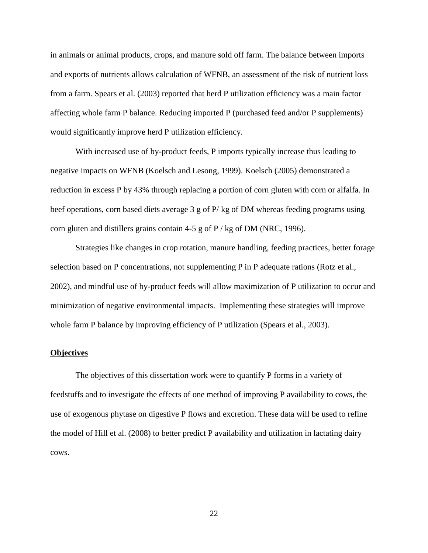in animals or animal products, crops, and manure sold off farm. The balance between imports and exports of nutrients allows calculation of WFNB, an assessment of the risk of nutrient loss from a farm. Spears et al. (2003) reported that herd P utilization efficiency was a main factor affecting whole farm P balance. Reducing imported P (purchased feed and/or P supplements) would significantly improve herd P utilization efficiency.

With increased use of by-product feeds, P imports typically increase thus leading to negative impacts on WFNB (Koelsch and Lesong, 1999). Koelsch (2005) demonstrated a reduction in excess P by 43% through replacing a portion of corn gluten with corn or alfalfa. In beef operations, corn based diets average 3 g of P/ kg of DM whereas feeding programs using corn gluten and distillers grains contain 4-5 g of  $P / kg$  of DM (NRC, 1996).

Strategies like changes in crop rotation, manure handling, feeding practices, better forage selection based on P concentrations, not supplementing P in P adequate rations (Rotz et al., 2002), and mindful use of by-product feeds will allow maximization of P utilization to occur and minimization of negative environmental impacts. Implementing these strategies will improve whole farm P balance by improving efficiency of P utilization (Spears et al., 2003).

# <span id="page-30-0"></span>**Objectives**

The objectives of this dissertation work were to quantify P forms in a variety of feedstuffs and to investigate the effects of one method of improving P availability to cows, the use of exogenous phytase on digestive P flows and excretion. These data will be used to refine the model of Hill et al. (2008) to better predict P availability and utilization in lactating dairy cows.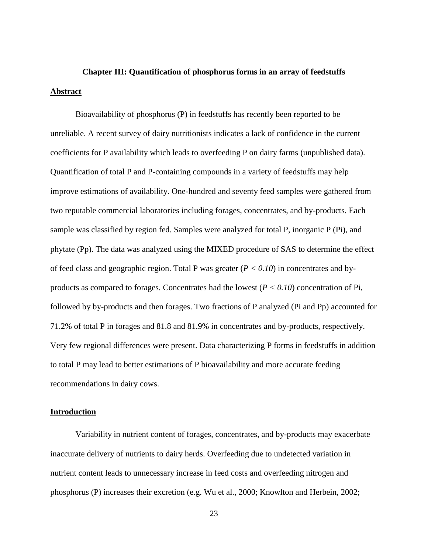# <span id="page-31-1"></span><span id="page-31-0"></span>**Chapter III: Quantification of phosphorus forms in an array of feedstuffs Abstract**

Bioavailability of phosphorus (P) in feedstuffs has recently been reported to be unreliable. A recent survey of dairy nutritionists indicates a lack of confidence in the current coefficients for P availability which leads to overfeeding P on dairy farms (unpublished data). Quantification of total P and P-containing compounds in a variety of feedstuffs may help improve estimations of availability. One-hundred and seventy feed samples were gathered from two reputable commercial laboratories including forages, concentrates, and by-products. Each sample was classified by region fed. Samples were analyzed for total P, inorganic P (Pi), and phytate (Pp). The data was analyzed using the MIXED procedure of SAS to determine the effect of feed class and geographic region. Total P was greater (*P < 0.10*) in concentrates and byproducts as compared to forages. Concentrates had the lowest  $(P < 0.10)$  concentration of Pi, followed by by-products and then forages. Two fractions of P analyzed (Pi and Pp) accounted for 71.2% of total P in forages and 81.8 and 81.9% in concentrates and by-products, respectively. Very few regional differences were present. Data characterizing P forms in feedstuffs in addition to total P may lead to better estimations of P bioavailability and more accurate feeding recommendations in dairy cows.

# <span id="page-31-2"></span>**Introduction**

Variability in nutrient content of forages, concentrates, and by-products may exacerbate inaccurate delivery of nutrients to dairy herds. Overfeeding due to undetected variation in nutrient content leads to unnecessary increase in feed costs and overfeeding nitrogen and phosphorus (P) increases their excretion (e.g. Wu et al., 2000; Knowlton and Herbein, 2002;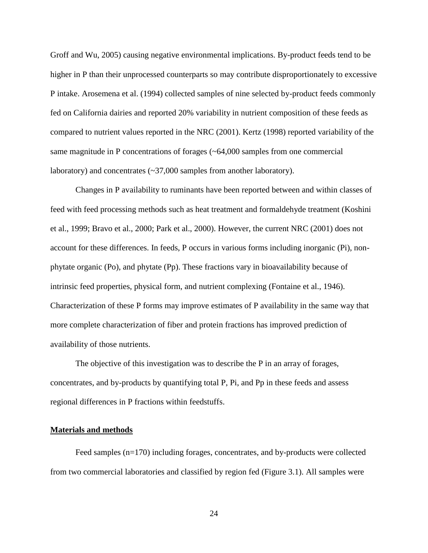Groff and Wu, 2005) causing negative environmental implications. By-product feeds tend to be higher in P than their unprocessed counterparts so may contribute disproportionately to excessive P intake. Arosemena et al. (1994) collected samples of nine selected by-product feeds commonly fed on California dairies and reported 20% variability in nutrient composition of these feeds as compared to nutrient values reported in the NRC (2001). Kertz (1998) reported variability of the same magnitude in P concentrations of forages (~64,000 samples from one commercial laboratory) and concentrates (~37,000 samples from another laboratory).

Changes in P availability to ruminants have been reported between and within classes of feed with feed processing methods such as heat treatment and formaldehyde treatment (Koshini et al., 1999; Bravo et al., 2000; Park et al., 2000). However, the current NRC (2001) does not account for these differences. In feeds, P occurs in various forms including inorganic (Pi), nonphytate organic (Po), and phytate (Pp). These fractions vary in bioavailability because of intrinsic feed properties, physical form, and nutrient complexing (Fontaine et al., 1946). Characterization of these P forms may improve estimates of P availability in the same way that more complete characterization of fiber and protein fractions has improved prediction of availability of those nutrients.

The objective of this investigation was to describe the P in an array of forages, concentrates, and by-products by quantifying total P, Pi, and Pp in these feeds and assess regional differences in P fractions within feedstuffs.

# <span id="page-32-0"></span>**Materials and methods**

Feed samples (n=170) including forages, concentrates, and by-products were collected from two commercial laboratories and classified by region fed [\(Figure 3.1\)](#page-41-0). All samples were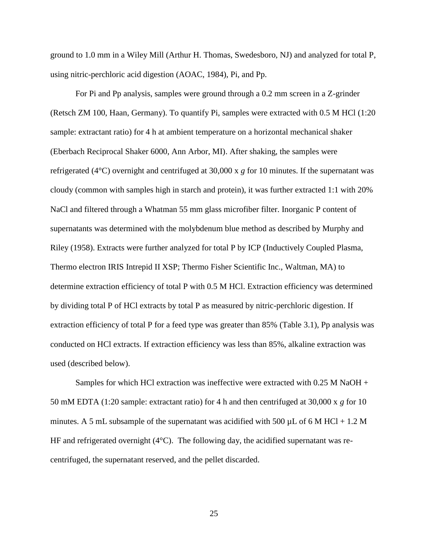ground to 1.0 mm in a Wiley Mill (Arthur H. Thomas, Swedesboro, NJ) and analyzed for total P, using nitric-perchloric acid digestion (AOAC, 1984), Pi, and Pp.

For Pi and Pp analysis, samples were ground through a 0.2 mm screen in a Z-grinder (Retsch ZM 100, Haan, Germany). To quantify Pi, samples were extracted with 0.5 M HCl (1:20 sample: extractant ratio) for 4 h at ambient temperature on a horizontal mechanical shaker (Eberbach Reciprocal Shaker 6000, Ann Arbor, MI). After shaking, the samples were refrigerated (4°C) overnight and centrifuged at 30,000 x *g* for 10 minutes. If the supernatant was cloudy (common with samples high in starch and protein), it was further extracted 1:1 with 20% NaCl and filtered through a Whatman 55 mm glass microfiber filter. Inorganic P content of supernatants was determined with the molybdenum blue method as described by Murphy and Riley (1958). Extracts were further analyzed for total P by ICP (Inductively Coupled Plasma, Thermo electron IRIS Intrepid II XSP; Thermo Fisher Scientific Inc., Waltman, MA) to determine extraction efficiency of total P with 0.5 M HCl. Extraction efficiency was determined by dividing total P of HCl extracts by total P as measured by nitric-perchloric digestion. If extraction efficiency of total P for a feed type was greater than 85% [\(Table 3.1\)](#page-38-0), Pp analysis was conducted on HCl extracts. If extraction efficiency was less than 85%, alkaline extraction was used (described below).

Samples for which HCl extraction was ineffective were extracted with 0.25 M NaOH + 50 mM EDTA (1:20 sample: extractant ratio) for 4 h and then centrifuged at 30,000 x *g* for 10 minutes. A 5 mL subsample of the supernatant was acidified with 500  $\mu$ L of 6 M HCl + 1.2 M HF and refrigerated overnight (4°C). The following day, the acidified supernatant was recentrifuged, the supernatant reserved, and the pellet discarded.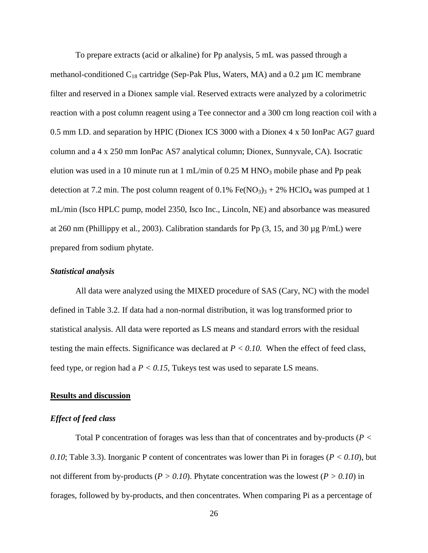To prepare extracts (acid or alkaline) for Pp analysis, 5 mL was passed through a methanol-conditioned  $C_{18}$  cartridge (Sep-Pak Plus, Waters, MA) and a 0.2  $\mu$ m IC membrane filter and reserved in a Dionex sample vial. Reserved extracts were analyzed by a colorimetric reaction with a post column reagent using a Tee connector and a 300 cm long reaction coil with a 0.5 mm I.D. and separation by HPIC (Dionex ICS 3000 with a Dionex 4 x 50 IonPac AG7 guard column and a 4 x 250 mm IonPac AS7 analytical column; Dionex, Sunnyvale, CA). Isocratic elution was used in a 10 minute run at 1 mL/min of  $0.25$  M HNO<sub>3</sub> mobile phase and Pp peak detection at 7.2 min. The post column reagent of  $0.1\%$  Fe(NO<sub>3</sub>)<sub>3</sub> + 2% HClO<sub>4</sub> was pumped at 1 mL/min (Isco HPLC pump, model 2350, Isco Inc., Lincoln, NE) and absorbance was measured at 260 nm (Phillippy et al., 2003). Calibration standards for Pp  $(3, 15,$  and 30  $\mu$ g P/mL) were prepared from sodium phytate.

## <span id="page-34-0"></span>*Statistical analysis*

All data were analyzed using the MIXED procedure of SAS (Cary, NC) with the model defined in [Table 3.2.](#page-40-0) If data had a non-normal distribution, it was log transformed prior to statistical analysis. All data were reported as LS means and standard errors with the residual testing the main effects. Significance was declared at *P < 0.10.* When the effect of feed class, feed type, or region had a *P < 0.15*, Tukeys test was used to separate LS means.

# <span id="page-34-1"></span>**Results and discussion**

# <span id="page-34-2"></span>*Effect of feed class*

Total P concentration of forages was less than that of concentrates and by-products (*P < 0.10*; [Table 3.3\)](#page-42-0). Inorganic P content of concentrates was lower than Pi in forages (*P < 0.10*), but not different from by-products ( $P > 0.10$ ). Phytate concentration was the lowest ( $P > 0.10$ ) in forages, followed by by-products, and then concentrates. When comparing Pi as a percentage of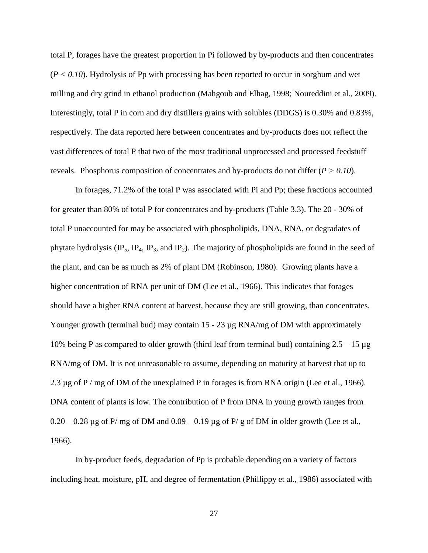total P, forages have the greatest proportion in Pi followed by by-products and then concentrates (*P < 0.10*). Hydrolysis of Pp with processing has been reported to occur in sorghum and wet milling and dry grind in ethanol production (Mahgoub and Elhag, 1998; Noureddini et al., 2009). Interestingly, total P in corn and dry distillers grains with solubles (DDGS) is 0.30% and 0.83%, respectively. The data reported here between concentrates and by-products does not reflect the vast differences of total P that two of the most traditional unprocessed and processed feedstuff reveals. Phosphorus composition of concentrates and by-products do not differ (*P > 0.10*).

In forages, 71.2% of the total P was associated with Pi and Pp; these fractions accounted for greater than 80% of total P for concentrates and by-products [\(Table 3.3\)](#page-42-0). The 20 - 30% of total P unaccounted for may be associated with phospholipids, DNA, RNA, or degradates of phytate hydrolysis  $(\text{IP}_5, \text{IP}_4, \text{IP}_3, \text{and IP}_2)$ . The majority of phospholipids are found in the seed of the plant, and can be as much as 2% of plant DM (Robinson, 1980). Growing plants have a higher concentration of RNA per unit of DM (Lee et al., 1966). This indicates that forages should have a higher RNA content at harvest, because they are still growing, than concentrates. Younger growth (terminal bud) may contain 15 - 23 µg RNA/mg of DM with approximately 10% being P as compared to older growth (third leaf from terminal bud) containing  $2.5 - 15 \mu$ g RNA/mg of DM. It is not unreasonable to assume, depending on maturity at harvest that up to 2.3  $\mu$ g of P / mg of DM of the unexplained P in forages is from RNA origin (Lee et al., 1966). DNA content of plants is low. The contribution of P from DNA in young growth ranges from  $0.20 - 0.28$  µg of P/ mg of DM and  $0.09 - 0.19$  µg of P/ g of DM in older growth (Lee et al., 1966).

In by-product feeds, degradation of Pp is probable depending on a variety of factors including heat, moisture, pH, and degree of fermentation (Phillippy et al., 1986) associated with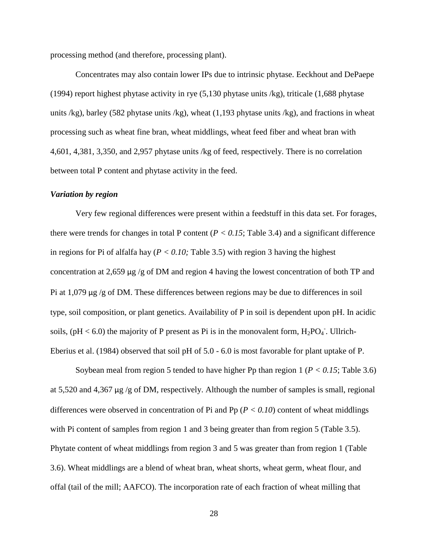processing method (and therefore, processing plant).

Concentrates may also contain lower IPs due to intrinsic phytase. Eeckhout and DePaepe (1994) report highest phytase activity in rye (5,130 phytase units /kg), triticale (1,688 phytase units  $\ell$ kg), barley (582 phytase units  $\ell$ kg), wheat (1,193 phytase units  $\ell$ kg), and fractions in wheat processing such as wheat fine bran, wheat middlings, wheat feed fiber and wheat bran with 4,601, 4,381, 3,350, and 2,957 phytase units /kg of feed, respectively. There is no correlation between total P content and phytase activity in the feed.

#### *Variation by region*

Very few regional differences were present within a feedstuff in this data set. For forages, there were trends for changes in total P content ( $P < 0.15$ ; [Table 3.4\)](#page-43-0) and a significant difference in regions for Pi of alfalfa hay ( $P < 0.10$ ; [Table 3.5\)](#page-45-0) with region 3 having the highest concentration at 2,659 µg /g of DM and region 4 having the lowest concentration of both TP and Pi at 1,079 µg /g of DM. These differences between regions may be due to differences in soil type, soil composition, or plant genetics. Availability of P in soil is dependent upon pH. In acidic soils, (pH < 6.0) the majority of P present as Pi is in the monovalent form,  $H_2PO_4$ . Ullrich-Eberius et al. (1984) observed that soil pH of 5.0 - 6.0 is most favorable for plant uptake of P.

Soybean meal from region 5 tended to have higher Pp than region 1 (*P < 0.15*; [Table 3.6\)](#page-47-0) at 5,520 and 4,367 µg /g of DM, respectively. Although the number of samples is small, regional differences were observed in concentration of Pi and Pp (*P < 0.10*) content of wheat middlings with Pi content of samples from region 1 and 3 being greater than from region 5 [\(Table 3.5\)](#page-45-0). Phytate content of wheat middlings from region 3 and 5 was greater than from region 1 [\(Table](#page-47-0)  [3.6\)](#page-47-0). Wheat middlings are a blend of wheat bran, wheat shorts, wheat germ, wheat flour, and offal (tail of the mill; AAFCO). The incorporation rate of each fraction of wheat milling that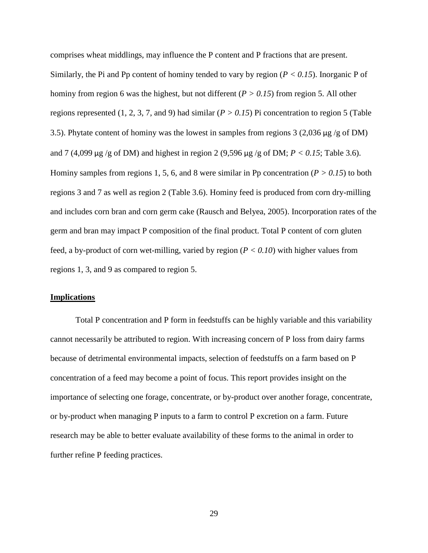comprises wheat middlings, may influence the P content and P fractions that are present. Similarly, the Pi and Pp content of hominy tended to vary by region (*P < 0.15*). Inorganic P of hominy from region 6 was the highest, but not different (*P > 0.15*) from region 5. All other regions represented  $(1, 2, 3, 7, \text{ and } 9)$  had similar  $(P > 0.15)$  Pi concentration to region 5 (Table [3.5\)](#page-45-0). Phytate content of hominy was the lowest in samples from regions 3 (2,036 µg /g of DM) and 7 (4,099 µg /g of DM) and highest in region 2 (9,596 µg /g of DM; *P < 0.15*; [Table 3.6\)](#page-47-0). Hominy samples from regions 1, 5, 6, and 8 were similar in Pp concentration ( $P > 0.15$ ) to both regions 3 and 7 as well as region 2 [\(Table 3.6\)](#page-47-0). Hominy feed is produced from corn dry-milling and includes corn bran and corn germ cake (Rausch and Belyea, 2005). Incorporation rates of the germ and bran may impact P composition of the final product. Total P content of corn gluten feed, a by-product of corn wet-milling, varied by region  $(P < 0.10)$  with higher values from regions 1, 3, and 9 as compared to region 5.

### **Implications**

Total P concentration and P form in feedstuffs can be highly variable and this variability cannot necessarily be attributed to region. With increasing concern of P loss from dairy farms because of detrimental environmental impacts, selection of feedstuffs on a farm based on P concentration of a feed may become a point of focus. This report provides insight on the importance of selecting one forage, concentrate, or by-product over another forage, concentrate, or by-product when managing P inputs to a farm to control P excretion on a farm. Future research may be able to better evaluate availability of these forms to the animal in order to further refine P feeding practices.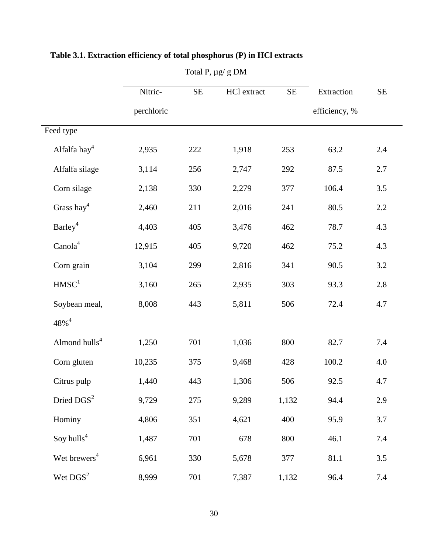|                           |            | Total P, µg/ g DM |             |       |               |          |
|---------------------------|------------|-------------------|-------------|-------|---------------|----------|
|                           | Nitric-    | $\rm SE$          | HCl extract | SE    | Extraction    | $\rm SE$ |
|                           | perchloric |                   |             |       | efficiency, % |          |
| Feed type                 |            |                   |             |       |               |          |
| Alfalfa hay4              | 2,935      | 222               | 1,918       | 253   | 63.2          | 2.4      |
| Alfalfa silage            | 3,114      | 256               | 2,747       | 292   | 87.5          | $2.7\,$  |
| Corn silage               | 2,138      | 330               | 2,279       | 377   | 106.4         | 3.5      |
| Grass hay <sup>4</sup>    | 2,460      | 211               | 2,016       | 241   | 80.5          | $2.2\,$  |
| Barley <sup>4</sup>       | 4,403      | 405               | 3,476       | 462   | 78.7          | 4.3      |
| Canola <sup>4</sup>       | 12,915     | 405               | 9,720       | 462   | 75.2          | 4.3      |
| Corn grain                | 3,104      | 299               | 2,816       | 341   | 90.5          | 3.2      |
| HMSC <sup>1</sup>         | 3,160      | 265               | 2,935       | 303   | 93.3          | 2.8      |
| Soybean meal,             | 8,008      | 443               | 5,811       | 506   | 72.4          | 4.7      |
| $48\%$ <sup>4</sup>       |            |                   |             |       |               |          |
| Almond hulls <sup>4</sup> | 1,250      | 701               | 1,036       | 800   | 82.7          | 7.4      |
| Corn gluten               | 10,235     | 375               | 9,468       | 428   | 100.2         | 4.0      |
| Citrus pulp               | 1,440      | 443               | 1,306       | 506   | 92.5          | 4.7      |
| Dried DGS <sup>2</sup>    | 9,729      | 275               | 9,289       | 1,132 | 94.4          | 2.9      |
| Hominy                    | 4,806      | 351               | 4,621       | 400   | 95.9          | 3.7      |
| Soy hulls <sup>4</sup>    | 1,487      | 701               | 678         | 800   | 46.1          | 7.4      |
| Wet brewers <sup>4</sup>  | 6,961      | 330               | 5,678       | 377   | 81.1          | 3.5      |
| Wet $DGS2$                | 8,999      | 701               | 7,387       | 1,132 | 96.4          | 7.4      |

# **Table 3.1. Extraction efficiency of total phosphorus (P) in HCl extracts**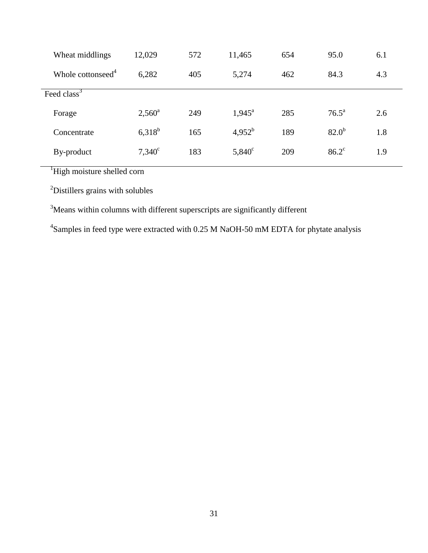| Wheat middlings               | 12,029          | 572 | 11,465          | 654 | 95.0              | 6.1 |
|-------------------------------|-----------------|-----|-----------------|-----|-------------------|-----|
| Whole cottonseed <sup>4</sup> | 6,282           | 405 | 5,274           | 462 | 84.3              | 4.3 |
| Feed class <sup>3</sup>       |                 |     |                 |     |                   |     |
| Forage                        | $2,560^{\rm a}$ | 249 | $1,945^{\circ}$ | 285 | $76.5^{\text{a}}$ | 2.6 |
| Concentrate                   | $6,318^b$       | 165 | $4,952^b$       | 189 | $82.0^{b}$        | 1.8 |
| By-product                    | $7,340^{\circ}$ | 183 | $5,840^{\circ}$ | 209 | $86.2^{\circ}$    | 1.9 |

<sup>1</sup>High moisture shelled corn

<sup>2</sup>Distillers grains with solubles

<sup>3</sup>Means within columns with different superscripts are significantly different

 ${}^{4}$ Samples in feed type were extracted with 0.25 M NaOH-50 mM EDTA for phytate analysis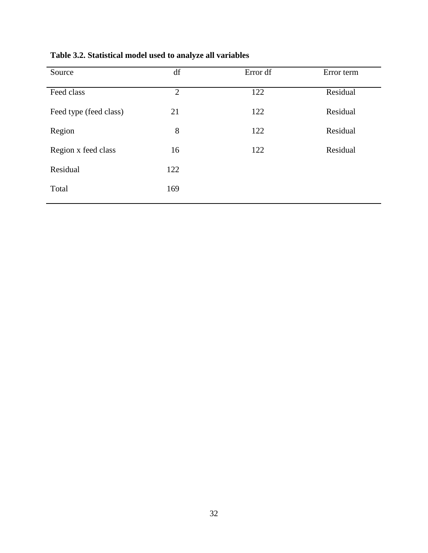| Source                 | df             | Error df | Error term |
|------------------------|----------------|----------|------------|
| Feed class             | $\overline{2}$ | 122      | Residual   |
| Feed type (feed class) | 21             | 122      | Residual   |
| Region                 | 8              | 122      | Residual   |
| Region x feed class    | 16             | 122      | Residual   |
| Residual               | 122            |          |            |
| Total                  | 169            |          |            |
|                        |                |          |            |

**Table 3.2. Statistical model used to analyze all variables**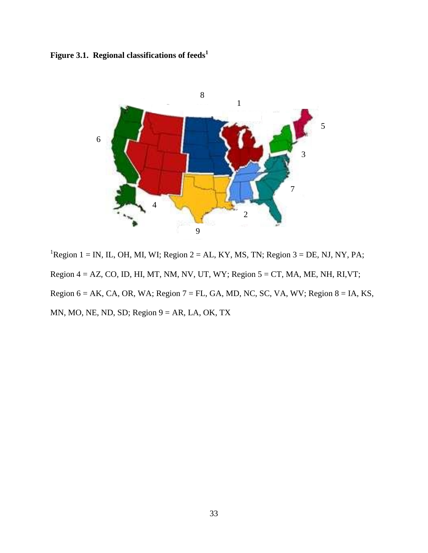**Figure 3.1. Regional classifications of feeds<sup>1</sup>**



<sup>1</sup>Region 1 = IN, IL, OH, MI, WI; Region 2 = AL, KY, MS, TN; Region 3 = DE, NJ, NY, PA; Region  $4 = AZ$ , CO, ID, HI, MT, NM, NV, UT, WY; Region  $5 = CT$ , MA, ME, NH, RI, VT; Region  $6 = AK$ , CA, OR, WA; Region  $7 = FL$ , GA, MD, NC, SC, VA, WV; Region  $8 = IA$ , KS, MN, MO, NE, ND, SD; Region  $9 = AR$ , LA, OK, TX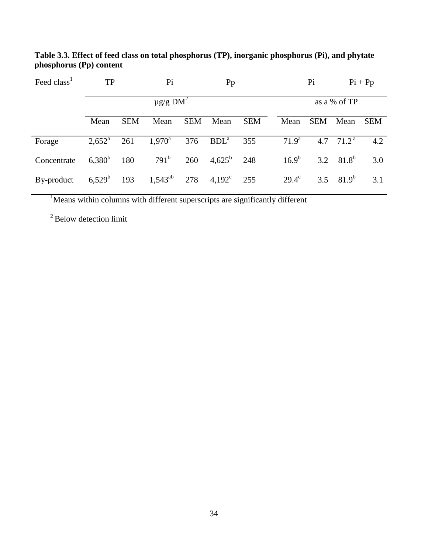| Feed class <sup>1</sup> | TP              |                           | Pi               |            | Pp               |            |  | Pi             |            | $Pi + Pp$             |            |
|-------------------------|-----------------|---------------------------|------------------|------------|------------------|------------|--|----------------|------------|-----------------------|------------|
|                         |                 | $\mu$ g/g DM <sup>2</sup> |                  |            |                  |            |  |                |            | as a % of TP          |            |
|                         | Mean            | <b>SEM</b>                | Mean             | <b>SEM</b> | Mean             | <b>SEM</b> |  | Mean           | <b>SEM</b> | Mean                  | <b>SEM</b> |
| Forage                  | $2,652^{\rm a}$ | 261                       | $1,970^{\rm a}$  | 376        | BDL <sup>a</sup> | 355        |  | $71.9^{\rm a}$ |            | 4.7 $71.2^{\text{a}}$ | 4.2        |
| Concentrate             | $6,380^b$       | 180                       | 791 <sup>b</sup> | 260        | $4,625^{\rm b}$  | 248        |  | $16.9^{b}$     |            | 3.2 $81.8^b$          | 3.0        |
| By-product              | $6,529^b$       | 193                       | $1,543^{ab}$     | 278        | $4,192^{\circ}$  | 255        |  | $29.4^{\circ}$ |            | 3.5 $81.9^b$          | 3.1        |

**Table 3.3. Effect of feed class on total phosphorus (TP), inorganic phosphorus (Pi), and phytate phosphorus (Pp) content**

<sup>1</sup>Means within columns with different superscripts are significantly different

 $2$  Below detection limit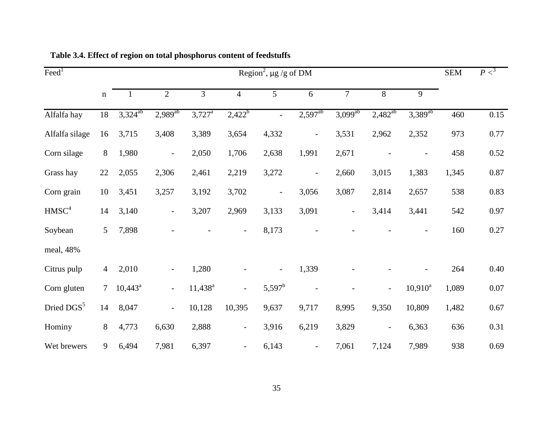<span id="page-43-0"></span>

| $\text{Feed}^1$        |                |              | <b>SEM</b>               | P <sup>3</sup>       |                          |                          |                          |                          |                          |              |       |          |
|------------------------|----------------|--------------|--------------------------|----------------------|--------------------------|--------------------------|--------------------------|--------------------------|--------------------------|--------------|-------|----------|
|                        | $\mathbf n$    | $\mathbf{1}$ | $\overline{2}$           | $\overline{3}$       | $\overline{4}$           | 5                        | 6                        | $\overline{7}$           | 8                        | 9            |       |          |
| Alfalfa hay            | 18             | $3,324^{ab}$ | $2,989^{ab}$             | $3,727$ <sup>a</sup> | $2,422^b$                | $\blacksquare$           | $2,597^{ab}$             | $3,099^{ab}$             | $2,482^{ab}$             | $3,389^{ab}$ | 460   | 0.15     |
| Alfalfa silage         | 16             | 3,715        | 3,408                    | 3,389                | 3,654                    | 4,332                    | $\overline{\phantom{a}}$ | 3,531                    | 2,962                    | 2,352        | 973   | 0.77     |
| Corn silage            | 8              | 1,980        | $\overline{\phantom{a}}$ | 2,050                | 1,706                    | 2,638                    | 1,991                    | 2,671                    |                          |              | 458   | 0.52     |
| Grass hay              | 22             | 2,055        | 2,306                    | 2,461                | 2,219                    | 3,272                    | $\overline{\phantom{0}}$ | 2,660                    | 3,015                    | 1,383        | 1,345 | 0.87     |
| Corn grain             | 10             | 3,451        | 3,257                    | 3,192                | 3,702                    | $\overline{\phantom{a}}$ | 3,056                    | 3,087                    | 2,814                    | 2,657        | 538   | 0.83     |
| HMSC <sup>4</sup>      | 14             | 3,140        | $\overline{\phantom{a}}$ | 3,207                | 2,969                    | 3,133                    | 3,091                    | $\overline{\phantom{0}}$ | 3,414                    | 3,441        | 542   | 0.97     |
| Soybean                | 5              | 7,898        |                          |                      | $\overline{a}$           | 8,173                    |                          |                          |                          |              | 160   | 0.27     |
| meal, 48%              |                |              |                          |                      |                          |                          |                          |                          |                          |              |       |          |
| Citrus pulp            | $\overline{4}$ | 2,010        |                          | 1,280                |                          |                          | 1,339                    |                          |                          |              | 264   | 0.40     |
| Corn gluten            | $\tau$         | $10,443^a$   | $\overline{\phantom{a}}$ | $11,438^a$           | $\overline{\phantom{a}}$ | $5,597^{\rm b}$          |                          |                          | $\overline{\phantom{a}}$ | $10,910^a$   | 1,089 | $0.07\,$ |
| Dried DGS <sup>5</sup> | 14             | 8,047        | $\overline{\phantom{a}}$ | 10,128               | 10,395                   | 9,637                    | 9,717                    | 8,995                    | 9,350                    | 10,809       | 1,482 | 0.67     |
| Hominy                 | 8              | 4,773        | 6,630                    | 2,888                | $\overline{\phantom{a}}$ | 3,916                    | 6,219                    | 3,829                    | $\overline{\phantom{a}}$ | 6,363        | 636   | 0.31     |
| Wet brewers            | 9              | 6,494        | 7,981                    | 6,397                | $\overline{a}$           | 6,143                    | $\overline{a}$           | 7,061                    | 7,124                    | 7,989        | 938   | 0.69     |

**Table 3.4. Effect of region on total phosphorus content of feedstuffs**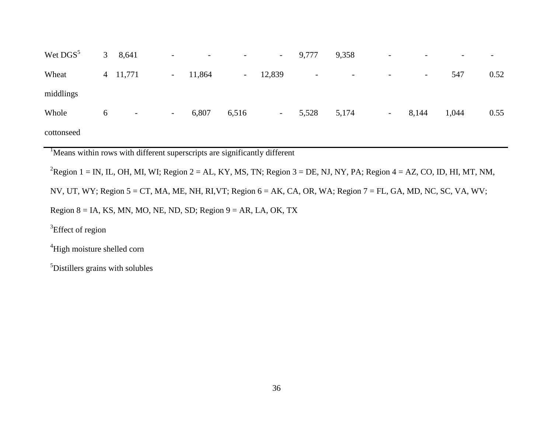| Wet DGS <sup>5</sup> | 3 <sup>7</sup> | 8,641                    | $\overline{\phantom{a}}$ | $\overline{\phantom{0}}$ | $\overline{\phantom{a}}$ | $\sim$ | 9,777                    | 9,358                    | $\overline{\phantom{a}}$ |        | $\overline{\phantom{0}}$ | $\overline{\phantom{0}}$ |
|----------------------|----------------|--------------------------|--------------------------|--------------------------|--------------------------|--------|--------------------------|--------------------------|--------------------------|--------|--------------------------|--------------------------|
| Wheat                |                | 4 11,771                 |                          | $-11,864$                | $\sim$                   | 12,839 | $\overline{\phantom{a}}$ | $\overline{\phantom{0}}$ | $\overline{\phantom{a}}$ | $\sim$ | 547                      | 0.52                     |
| middlings            |                |                          |                          |                          |                          |        |                          |                          |                          |        |                          |                          |
| Whole                | 6              | $\overline{\phantom{a}}$ | $\sim$ $-$               | 6,807                    | 6,516                    | $\sim$ | 5,528                    | 5,174                    | $ \,$                    | 8,144  | 1,044                    | 0.55                     |
| cottonseed           |                |                          |                          |                          |                          |        |                          |                          |                          |        |                          |                          |

<sup>1</sup>Means within rows with different superscripts are significantly different

<sup>2</sup>Region 1 = IN, IL, OH, MI, WI; Region 2 = AL, KY, MS, TN; Region 3 = DE, NJ, NY, PA; Region 4 = AZ, CO, ID, HI, MT, NM,

NV, UT, WY; Region 5 = CT, MA, ME, NH, RI,VT; Region 6 = AK, CA, OR, WA; Region 7 = FL, GA, MD, NC, SC, VA, WV;

Region  $8 = IA$ , KS, MN, MO, NE, ND, SD; Region  $9 = AR$ , LA, OK, TX

<sup>3</sup>Effect of region

<sup>4</sup>High moisture shelled corn

<sup>5</sup>Distillers grains with solubles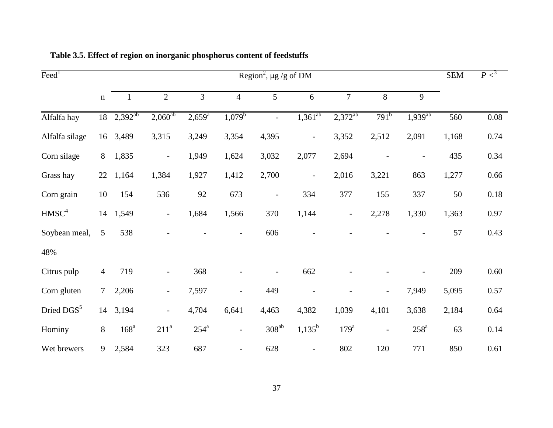<span id="page-45-0"></span>

| $\overline{\text{Feed}}^1$ | Region <sup>2</sup> , $\mu$ g /g of DM |                  |                          |                 |                          |                          |                          |                          | <b>SEM</b>               | P <sup>3</sup>     |       |          |
|----------------------------|----------------------------------------|------------------|--------------------------|-----------------|--------------------------|--------------------------|--------------------------|--------------------------|--------------------------|--------------------|-------|----------|
|                            | $\mathbf n$                            | $\mathbf{1}$     | $\overline{2}$           | 3               | $\overline{4}$           | 5                        | 6                        | $\tau$                   | $8\,$                    | 9                  |       |          |
| Alfalfa hay                | 18                                     | $2,392^{ab}$     | $2,060^{ab}$             | $2,659^{\rm a}$ | $1,079^b$                | $\overline{a}$           | $1,361^{ab}$             | $2,372^{ab}$             | 791 <sup>b</sup>         | $1,939^{ab}$       | 560   | 0.08     |
| Alfalfa silage             |                                        | 16 3,489         | 3,315                    | 3,249           | 3,354                    | 4,395                    | $\qquad \qquad -$        | 3,352                    | 2,512                    | 2,091              | 1,168 | 0.74     |
| Corn silage                | 8                                      | 1,835            | $\overline{\phantom{0}}$ | 1,949           | 1,624                    | 3,032                    | 2,077                    | 2,694                    |                          |                    | 435   | 0.34     |
| Grass hay                  | 22                                     | 1,164            | 1,384                    | 1,927           | 1,412                    | 2,700                    | $\qquad \qquad -$        | 2,016                    | 3,221                    | 863                | 1,277 | 0.66     |
| Corn grain                 | 10                                     | 154              | 536                      | 92              | 673                      | $\overline{\phantom{a}}$ | 334                      | 377                      | 155                      | 337                | 50    | $0.18\,$ |
| HMSC <sup>4</sup>          | 14                                     | 1,549            | $\overline{\phantom{a}}$ | 1,684           | 1,566                    | 370                      | 1,144                    | $\overline{\phantom{a}}$ | 2,278                    | 1,330              | 1,363 | 0.97     |
| Soybean meal,              | 5                                      | 538              |                          |                 |                          | 606                      |                          |                          |                          |                    | 57    | 0.43     |
| 48%                        |                                        |                  |                          |                 |                          |                          |                          |                          |                          |                    |       |          |
| Citrus pulp                | $\overline{4}$                         | 719              | $\overline{\phantom{a}}$ | 368             |                          |                          | 662                      |                          |                          |                    | 209   | 0.60     |
| Corn gluten                | $\overline{7}$                         | 2,206            | $\overline{\phantom{a}}$ | 7,597           | $\overline{\phantom{a}}$ | 449                      |                          |                          | $\overline{\phantom{a}}$ | 7,949              | 5,095 | 0.57     |
| Dried DGS <sup>5</sup>     |                                        | 14 3,194         | $\overline{\phantom{0}}$ | 4,704           | 6,641                    | 4,463                    | 4,382                    | 1,039                    | 4,101                    | 3,638              | 2,184 | 0.64     |
| Hominy                     | 8                                      | 168 <sup>a</sup> | $211^a$                  | $254^a$         | $\overline{\phantom{a}}$ | $308^{ab}$               | $1,135^b$                | $179^a$                  | $\overline{\phantom{a}}$ | $258^{\mathrm{a}}$ | 63    | 0.14     |
| Wet brewers                | 9                                      | 2,584            | 323                      | 687             | $\overline{\phantom{0}}$ | 628                      | $\overline{\phantom{0}}$ | 802                      | 120                      | 771                | 850   | 0.61     |

**Table 3.5. Effect of region on inorganic phosphorus content of feedstuffs**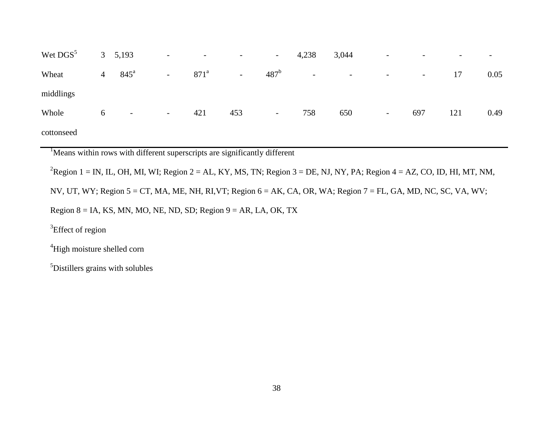| Wet DGS <sup>5</sup> |                | 3, 5, 193                | $\overline{\phantom{a}}$ | $\overline{\phantom{a}}$ | $\overline{\phantom{0}}$ | $\overline{\phantom{a}}$ | 4,238                    | 3,044 | $\overline{\phantom{a}}$ |        | $\overline{\phantom{a}}$ | -    |
|----------------------|----------------|--------------------------|--------------------------|--------------------------|--------------------------|--------------------------|--------------------------|-------|--------------------------|--------|--------------------------|------|
| Wheat                | $\overline{4}$ | $845^{\circ}$            | $\blacksquare$           | 871 <sup>a</sup>         | $\sim$                   | 487 <sup>b</sup>         | $\overline{\phantom{a}}$ | $ \,$ | $\sim$                   | $\sim$ | 17                       | 0.05 |
| middlings            |                |                          |                          |                          |                          |                          |                          |       |                          |        |                          |      |
| Whole                | 6              | $\overline{\phantom{a}}$ | $\sim$                   | 421                      | 453                      | $\overline{\phantom{a}}$ | 758                      | 650   | $\sim$                   | 697    | 121                      | 0.49 |
| cottonseed           |                |                          |                          |                          |                          |                          |                          |       |                          |        |                          |      |

<sup>1</sup>Means within rows with different superscripts are significantly different

<sup>2</sup>Region 1 = IN, IL, OH, MI, WI; Region 2 = AL, KY, MS, TN; Region 3 = DE, NJ, NY, PA; Region 4 = AZ, CO, ID, HI, MT, NM,

NV, UT, WY; Region 5 = CT, MA, ME, NH, RI,VT; Region 6 = AK, CA, OR, WA; Region 7 = FL, GA, MD, NC, SC, VA, WV;

Region  $8 = IA$ , KS, MN, MO, NE, ND, SD; Region  $9 = AR$ , LA, OK, TX

<sup>3</sup>Effect of region

<sup>4</sup>High moisture shelled corn

<sup>5</sup>Distillers grains with solubles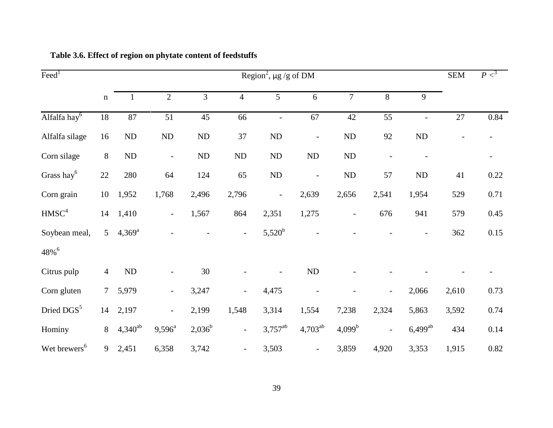<span id="page-47-0"></span>

| $\text{Feed}^1$          | Region <sup>2</sup> , $\mu$ g /g of DM |                 |                          |           |                          |                   |                  |                  |                          |                          | <b>SEM</b>      | P <sup>3</sup> |
|--------------------------|----------------------------------------|-----------------|--------------------------|-----------|--------------------------|-------------------|------------------|------------------|--------------------------|--------------------------|-----------------|----------------|
|                          | $\mathbf n$                            | $\mathbf{1}$    | $\mathbf{2}$             | 3         | $\overline{4}$           | 5                 | $\boldsymbol{6}$ | $\boldsymbol{7}$ | 8                        | 9                        |                 |                |
| Alfalfa hay <sup>6</sup> | 18                                     | 87              | 51                       | 45        | 66                       | $\overline{a}$    | 67               | 42               | $\overline{55}$          | $\overline{\phantom{a}}$ | $\overline{27}$ | 0.84           |
| Alfalfa silage           | 16                                     | $\rm ND$        | $\rm ND$                 | $\rm ND$  | 37                       | $\rm ND$          | $\overline{a}$   | ND               | 92                       | $\rm ND$                 |                 |                |
| Corn silage              | $8\,$                                  | $\rm ND$        | $\overline{a}$           | $\rm ND$  | ND                       | ND                | $\rm ND$         | ND               |                          |                          |                 |                |
| Grass hay <sup>6</sup>   | 22                                     | 280             | 64                       | 124       | 65                       | ND                | $\overline{a}$   | ND               | 57                       | ND                       | 41              | 0.22           |
| Corn grain               | 10                                     | 1,952           | 1,768                    | 2,496     | 2,796                    | $\qquad \qquad -$ | 2,639            | 2,656            | 2,541                    | 1,954                    | 529             | 0.71           |
| HMSC <sup>4</sup>        | 14                                     | 1,410           | $\overline{\phantom{a}}$ | 1,567     | 864                      | 2,351             | 1,275            |                  | 676                      | 941                      | 579             | 0.45           |
| Soybean meal,            | $5\overline{)}$                        | $4,369^{\rm a}$ |                          |           | $\overline{\phantom{a}}$ | $5,520^{b}$       |                  |                  |                          |                          | 362             | 0.15           |
| 48% <sup>6</sup>         |                                        |                 |                          |           |                          |                   |                  |                  |                          |                          |                 |                |
| Citrus pulp              | $\overline{4}$                         | $\rm ND$        |                          | $30\,$    |                          |                   | $\rm ND$         |                  |                          |                          |                 |                |
| Corn gluten              | $\tau$                                 | 5,979           | $\blacksquare$           | 3,247     | $\overline{\phantom{a}}$ | 4,475             |                  |                  | $\overline{\phantom{a}}$ | 2,066                    | 2,610           | 0.73           |
| Dried DGS <sup>5</sup>   | 14                                     | 2,197           | $\overline{\phantom{a}}$ | 2,199     | 1,548                    | 3,314             | 1,554            | 7,238            | 2,324                    | 5,863                    | 3,592           | 0.74           |
| Hominy                   | 8                                      | $4,340^{ab}$    | $9,596^{\circ}$          | $2,036^b$ | $\blacksquare$           | $3,757^{ab}$      | $4,703^{ab}$     | $4,099^b$        | $\overline{\phantom{a}}$ | $6,499^{ab}$             | 434             | 0.14           |
| Wet brewers <sup>6</sup> | 9                                      | 2,451           | 6,358                    | 3,742     | $\overline{a}$           | 3,503             | $\overline{a}$   | 3,859            | 4,920                    | 3,353                    | 1,915           | 0.82           |

# **Table 3.6. Effect of region on phytate content of feedstuffs**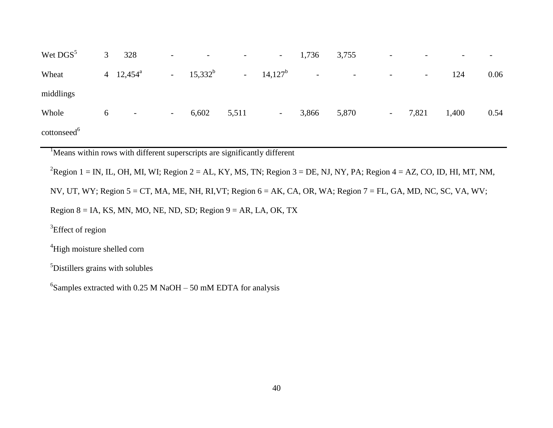| Wet DGS <sup>5</sup>    | 3 <sup>7</sup> | 328                | $\mathbb{L}^{\mathbb{N}}$ | $\overline{\phantom{a}}$ | $\sim$ | $\sim 100$  | 1,736 | 3,755                                       | $\overline{\phantom{a}}$ |        | $\overline{\phantom{0}}$ | $\overline{\phantom{a}}$ |
|-------------------------|----------------|--------------------|---------------------------|--------------------------|--------|-------------|-------|---------------------------------------------|--------------------------|--------|--------------------------|--------------------------|
| Wheat                   |                | 4 $12,454^{\circ}$ |                           | $-15,332^b$              |        | $-14,127^b$ |       | $\Delta \sim 10^{11}$ m $^{-1}$ .<br>$\sim$ | $\overline{\phantom{a}}$ | $\sim$ | 124                      | 0.06                     |
| middlings               |                |                    |                           |                          |        |             |       |                                             |                          |        |                          |                          |
| Whole                   | 6              | $\sim$             | $\sim$ $-$                | 6,602                    | 5,511  | $\sim 100$  | 3,866 | 5,870                                       | $\sim$                   | 7,821  | 1,400                    | 0.54                     |
| cottonseed <sup>6</sup> |                |                    |                           |                          |        |             |       |                                             |                          |        |                          |                          |

<sup>1</sup>Means within rows with different superscripts are significantly different

<sup>2</sup>Region 1 = IN, IL, OH, MI, WI; Region 2 = AL, KY, MS, TN; Region 3 = DE, NJ, NY, PA; Region 4 = AZ, CO, ID, HI, MT, NM,

NV, UT, WY; Region 5 = CT, MA, ME, NH, RI,VT; Region 6 = AK, CA, OR, WA; Region 7 = FL, GA, MD, NC, SC, VA, WV;

Region  $8 = IA$ , KS, MN, MO, NE, ND, SD; Region  $9 = AR$ , LA, OK, TX

<sup>3</sup>Effect of region

<sup>4</sup>High moisture shelled corn

<sup>5</sup>Distillers grains with solubles

 ${}^{6}$ Samples extracted with 0.25 M NaOH – 50 mM EDTA for analysis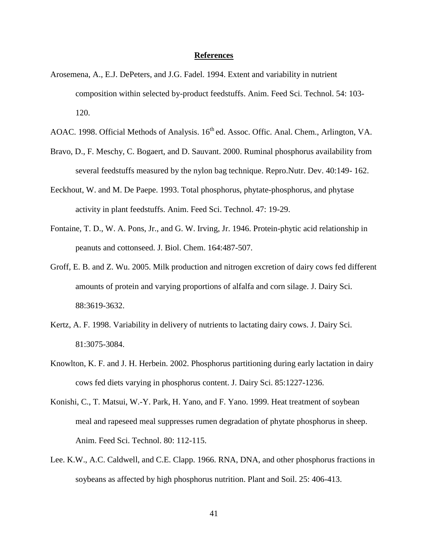#### **References**

- Arosemena, A., E.J. DePeters, and J.G. Fadel. 1994. Extent and variability in nutrient composition within selected by-product feedstuffs. Anim. Feed Sci. Technol. 54: 103- 120.
- AOAC. 1998. Official Methods of Analysis. 16<sup>th</sup> ed. Assoc. Offic. Anal. Chem., Arlington, VA.
- Bravo, D., F. Meschy, C. Bogaert, and D. Sauvant. 2000. Ruminal phosphorus availability from several feedstuffs measured by the nylon bag technique. Repro.Nutr. Dev. 40:149- 162.
- Eeckhout, W. and M. De Paepe. 1993. Total phosphorus, phytate-phosphorus, and phytase activity in plant feedstuffs. Anim. Feed Sci. Technol. 47: 19-29.
- Fontaine, T. D., W. A. Pons, Jr., and G. W. Irving, Jr. 1946. Protein-phytic acid relationship in peanuts and cottonseed. J. Biol. Chem. 164:487-507.
- Groff, E. B. and Z. Wu. 2005. Milk production and nitrogen excretion of dairy cows fed different amounts of protein and varying proportions of alfalfa and corn silage. J. Dairy Sci. 88:3619-3632.
- Kertz, A. F. 1998. Variability in delivery of nutrients to lactating dairy cows. J. Dairy Sci. 81:3075-3084.
- Knowlton, K. F. and J. H. Herbein. 2002. Phosphorus partitioning during early lactation in dairy cows fed diets varying in phosphorus content. J. Dairy Sci. 85:1227-1236.
- Konishi, C., T. Matsui, W.-Y. Park, H. Yano, and F. Yano. 1999. Heat treatment of soybean meal and rapeseed meal suppresses rumen degradation of phytate phosphorus in sheep. Anim. Feed Sci. Technol. 80: 112-115.
- Lee. K.W., A.C. Caldwell, and C.E. Clapp. 1966. RNA, DNA, and other phosphorus fractions in soybeans as affected by high phosphorus nutrition. Plant and Soil. 25: 406-413.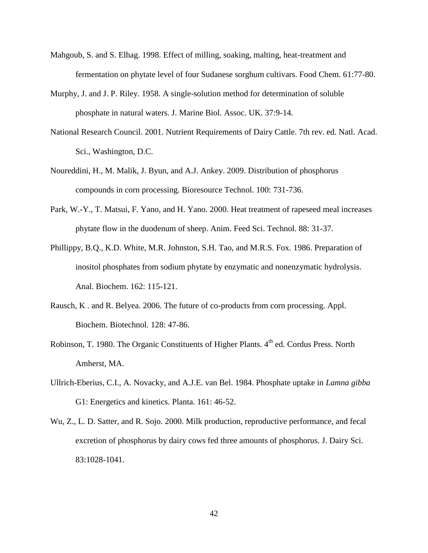- Mahgoub, S. and S. Elhag. 1998. Effect of milling, soaking, malting, heat-treatment and fermentation on phytate level of four Sudanese sorghum cultivars. Food Chem. 61:77-80.
- Murphy, J. and J. P. Riley. 1958. A single-solution method for determination of soluble phosphate in natural waters. J. Marine Biol. Assoc. UK. 37:9-14.
- National Research Council. 2001. Nutrient Requirements of Dairy Cattle. 7th rev. ed. Natl. Acad. Sci., Washington, D.C.
- Noureddini, H., M. Malik, J. Byun, and A.J. Ankey. 2009. Distribution of phosphorus compounds in corn processing. Bioresource Technol. 100: 731-736.
- Park, W.-Y., T. Matsui, F. Yano, and H. Yano. 2000. Heat treatment of rapeseed meal increases phytate flow in the duodenum of sheep. Anim. Feed Sci. Technol. 88: 31-37.
- Phillippy, B.Q., K.D. White, M.R. Johnston, S.H. Tao, and M.R.S. Fox. 1986. Preparation of inositol phosphates from sodium phytate by enzymatic and nonenzymatic hydrolysis. Anal. Biochem. 162: 115-121.
- Rausch, K . and R. Belyea. 2006. The future of co-products from corn processing. Appl. Biochem. Biotechnol. 128: 47-86.
- Robinson, T. 1980. The Organic Constituents of Higher Plants. 4<sup>th</sup> ed. Cordus Press. North Amherst, MA.
- Ullrich-Eberius, C.I., A. Novacky, and A.J.E. van Bel. 1984. Phosphate uptake in *Lamna gibba* G1: Energetics and kinetics. Planta. 161: 46-52.
- Wu, Z., L. D. Satter, and R. Sojo. 2000. Milk production, reproductive performance, and fecal excretion of phosphorus by dairy cows fed three amounts of phosphorus. J. Dairy Sci. 83:1028-1041.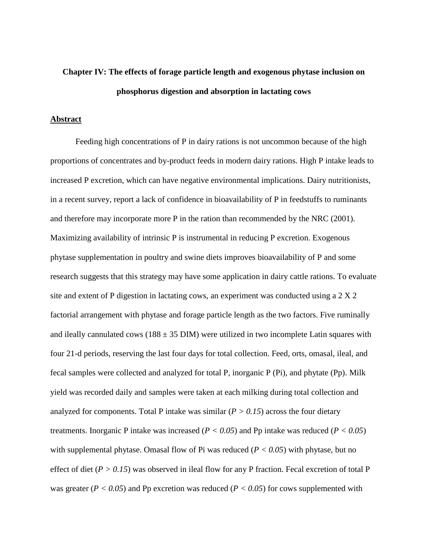# **Chapter IV: The effects of forage particle length and exogenous phytase inclusion on phosphorus digestion and absorption in lactating cows**

# **Abstract**

Feeding high concentrations of P in dairy rations is not uncommon because of the high proportions of concentrates and by-product feeds in modern dairy rations. High P intake leads to increased P excretion, which can have negative environmental implications. Dairy nutritionists, in a recent survey, report a lack of confidence in bioavailability of P in feedstuffs to ruminants and therefore may incorporate more P in the ration than recommended by the NRC (2001). Maximizing availability of intrinsic P is instrumental in reducing P excretion. Exogenous phytase supplementation in poultry and swine diets improves bioavailability of P and some research suggests that this strategy may have some application in dairy cattle rations. To evaluate site and extent of P digestion in lactating cows, an experiment was conducted using a 2 X 2 factorial arrangement with phytase and forage particle length as the two factors. Five ruminally and ileally cannulated cows ( $188 \pm 35$  DIM) were utilized in two incomplete Latin squares with four 21-d periods, reserving the last four days for total collection. Feed, orts, omasal, ileal, and fecal samples were collected and analyzed for total P, inorganic P (Pi), and phytate (Pp). Milk yield was recorded daily and samples were taken at each milking during total collection and analyzed for components. Total P intake was similar  $(P > 0.15)$  across the four dietary treatments. Inorganic P intake was increased (*P < 0.05*) and Pp intake was reduced (*P < 0.05*) with supplemental phytase. Omasal flow of Pi was reduced  $(P < 0.05)$  with phytase, but no effect of diet ( $P > 0.15$ ) was observed in ileal flow for any P fraction. Fecal excretion of total P was greater ( $P < 0.05$ ) and Pp excretion was reduced ( $P < 0.05$ ) for cows supplemented with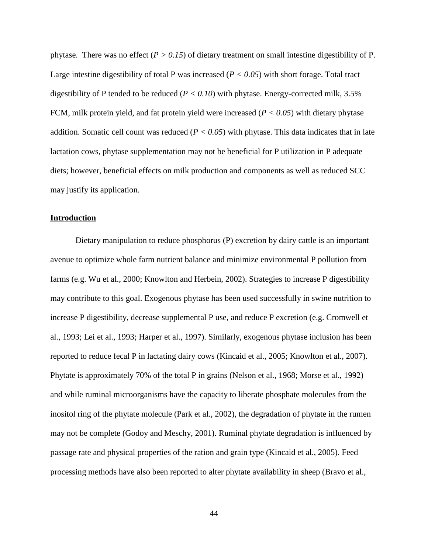phytase. There was no effect  $(P > 0.15)$  of dietary treatment on small intestine digestibility of P. Large intestine digestibility of total P was increased (*P < 0.05*) with short forage. Total tract digestibility of P tended to be reduced  $(P < 0.10)$  with phytase. Energy-corrected milk, 3.5% FCM, milk protein yield, and fat protein yield were increased (*P < 0.05*) with dietary phytase addition. Somatic cell count was reduced  $(P < 0.05)$  with phytase. This data indicates that in late lactation cows, phytase supplementation may not be beneficial for P utilization in P adequate diets; however, beneficial effects on milk production and components as well as reduced SCC may justify its application.

#### **Introduction**

Dietary manipulation to reduce phosphorus (P) excretion by dairy cattle is an important avenue to optimize whole farm nutrient balance and minimize environmental P pollution from farms (e.g. Wu et al., 2000; Knowlton and Herbein, 2002). Strategies to increase P digestibility may contribute to this goal. Exogenous phytase has been used successfully in swine nutrition to increase P digestibility, decrease supplemental P use, and reduce P excretion (e.g. Cromwell et al., 1993; Lei et al., 1993; Harper et al., 1997). Similarly, exogenous phytase inclusion has been reported to reduce fecal P in lactating dairy cows (Kincaid et al., 2005; Knowlton et al., 2007). Phytate is approximately 70% of the total P in grains (Nelson et al., 1968; Morse et al., 1992) and while ruminal microorganisms have the capacity to liberate phosphate molecules from the inositol ring of the phytate molecule (Park et al., 2002), the degradation of phytate in the rumen may not be complete (Godoy and Meschy, 2001). Ruminal phytate degradation is influenced by passage rate and physical properties of the ration and grain type (Kincaid et al., 2005). Feed processing methods have also been reported to alter phytate availability in sheep (Bravo et al.,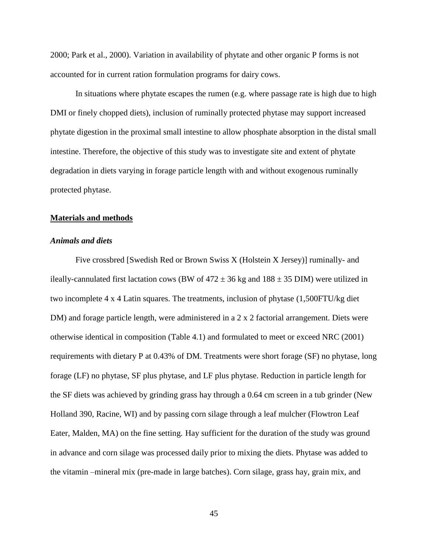2000; Park et al., 2000). Variation in availability of phytate and other organic P forms is not accounted for in current ration formulation programs for dairy cows.

In situations where phytate escapes the rumen (e.g. where passage rate is high due to high DMI or finely chopped diets), inclusion of ruminally protected phytase may support increased phytate digestion in the proximal small intestine to allow phosphate absorption in the distal small intestine. Therefore, the objective of this study was to investigate site and extent of phytate degradation in diets varying in forage particle length with and without exogenous ruminally protected phytase.

#### **Materials and methods**

#### *Animals and diets*

Five crossbred [Swedish Red or Brown Swiss X (Holstein X Jersey)] ruminally- and ileally-cannulated first lactation cows (BW of  $472 \pm 36$  kg and  $188 \pm 35$  DIM) were utilized in two incomplete 4 x 4 Latin squares. The treatments, inclusion of phytase (1,500FTU/kg diet DM) and forage particle length, were administered in a 2 x 2 factorial arrangement. Diets were otherwise identical in composition [\(Table 4.1\)](#page-68-0) and formulated to meet or exceed NRC (2001) requirements with dietary P at 0.43% of DM. Treatments were short forage (SF) no phytase, long forage (LF) no phytase, SF plus phytase, and LF plus phytase. Reduction in particle length for the SF diets was achieved by grinding grass hay through a 0.64 cm screen in a tub grinder (New Holland 390, Racine, WI) and by passing corn silage through a leaf mulcher (Flowtron Leaf Eater, Malden, MA) on the fine setting. Hay sufficient for the duration of the study was ground in advance and corn silage was processed daily prior to mixing the diets. Phytase was added to the vitamin –mineral mix (pre-made in large batches). Corn silage, grass hay, grain mix, and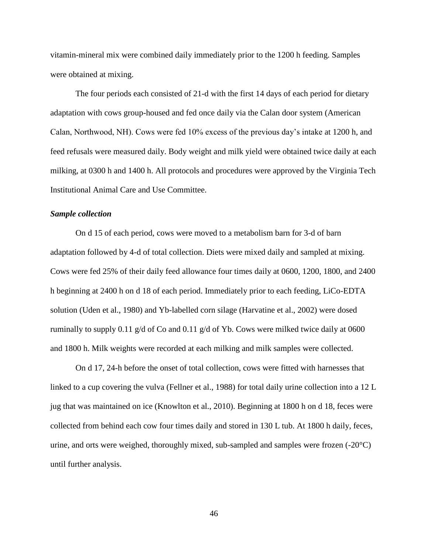vitamin-mineral mix were combined daily immediately prior to the 1200 h feeding. Samples were obtained at mixing.

The four periods each consisted of 21-d with the first 14 days of each period for dietary adaptation with cows group-housed and fed once daily via the Calan door system (American Calan, Northwood, NH). Cows were fed 10% excess of the previous day's intake at 1200 h, and feed refusals were measured daily. Body weight and milk yield were obtained twice daily at each milking, at 0300 h and 1400 h. All protocols and procedures were approved by the Virginia Tech Institutional Animal Care and Use Committee.

#### *Sample collection*

On d 15 of each period, cows were moved to a metabolism barn for 3-d of barn adaptation followed by 4-d of total collection. Diets were mixed daily and sampled at mixing. Cows were fed 25% of their daily feed allowance four times daily at 0600, 1200, 1800, and 2400 h beginning at 2400 h on d 18 of each period. Immediately prior to each feeding, LiCo-EDTA solution (Uden et al., 1980) and Yb-labelled corn silage (Harvatine et al., 2002) were dosed ruminally to supply 0.11 g/d of Co and 0.11 g/d of Yb. Cows were milked twice daily at 0600 and 1800 h. Milk weights were recorded at each milking and milk samples were collected.

On d 17, 24-h before the onset of total collection, cows were fitted with harnesses that linked to a cup covering the vulva (Fellner et al., 1988) for total daily urine collection into a 12 L jug that was maintained on ice (Knowlton et al., 2010). Beginning at 1800 h on d 18, feces were collected from behind each cow four times daily and stored in 130 L tub. At 1800 h daily, feces, urine, and orts were weighed, thoroughly mixed, sub-sampled and samples were frozen (-20°C) until further analysis.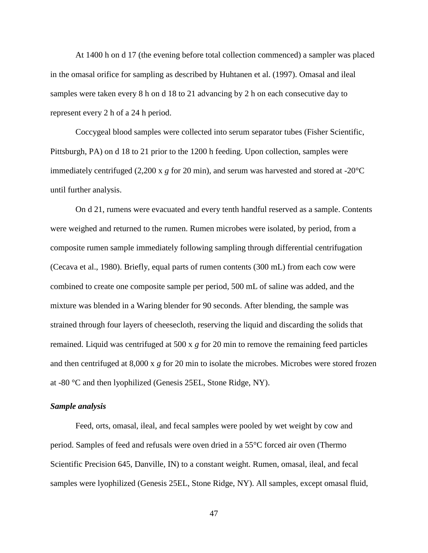At 1400 h on d 17 (the evening before total collection commenced) a sampler was placed in the omasal orifice for sampling as described by Huhtanen et al. (1997). Omasal and ileal samples were taken every 8 h on d 18 to 21 advancing by 2 h on each consecutive day to represent every 2 h of a 24 h period.

Coccygeal blood samples were collected into serum separator tubes (Fisher Scientific, Pittsburgh, PA) on d 18 to 21 prior to the 1200 h feeding. Upon collection, samples were immediately centrifuged (2,200 x *g* for 20 min), and serum was harvested and stored at -20°C until further analysis.

On d 21, rumens were evacuated and every tenth handful reserved as a sample. Contents were weighed and returned to the rumen. Rumen microbes were isolated, by period, from a composite rumen sample immediately following sampling through differential centrifugation (Cecava et al., 1980). Briefly, equal parts of rumen contents (300 mL) from each cow were combined to create one composite sample per period, 500 mL of saline was added, and the mixture was blended in a Waring blender for 90 seconds. After blending, the sample was strained through four layers of cheesecloth, reserving the liquid and discarding the solids that remained. Liquid was centrifuged at 500 x *g* for 20 min to remove the remaining feed particles and then centrifuged at 8,000 x *g* for 20 min to isolate the microbes. Microbes were stored frozen at -80 °C and then lyophilized (Genesis 25EL, Stone Ridge, NY).

### *Sample analysis*

Feed, orts, omasal, ileal, and fecal samples were pooled by wet weight by cow and period. Samples of feed and refusals were oven dried in a 55°C forced air oven (Thermo Scientific Precision 645, Danville, IN) to a constant weight. Rumen, omasal, ileal, and fecal samples were lyophilized (Genesis 25EL, Stone Ridge, NY). All samples, except omasal fluid,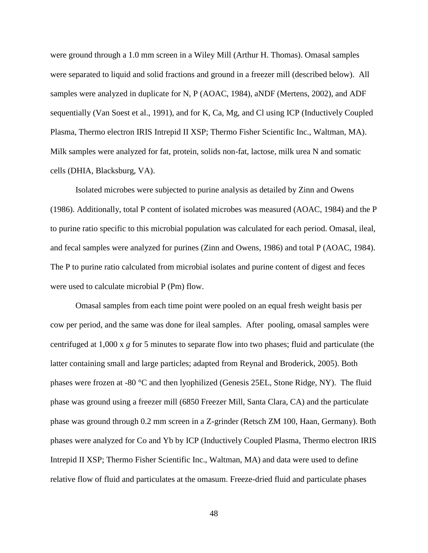were ground through a 1.0 mm screen in a Wiley Mill (Arthur H. Thomas). Omasal samples were separated to liquid and solid fractions and ground in a freezer mill (described below). All samples were analyzed in duplicate for N, P (AOAC, 1984), aNDF (Mertens, 2002), and ADF sequentially (Van Soest et al., 1991), and for K, Ca, Mg, and Cl using ICP (Inductively Coupled Plasma, Thermo electron IRIS Intrepid II XSP; Thermo Fisher Scientific Inc., Waltman, MA). Milk samples were analyzed for fat, protein, solids non-fat, lactose, milk urea N and somatic cells (DHIA, Blacksburg, VA).

Isolated microbes were subjected to purine analysis as detailed by Zinn and Owens (1986). Additionally, total P content of isolated microbes was measured (AOAC, 1984) and the P to purine ratio specific to this microbial population was calculated for each period. Omasal, ileal, and fecal samples were analyzed for purines (Zinn and Owens, 1986) and total P (AOAC, 1984). The P to purine ratio calculated from microbial isolates and purine content of digest and feces were used to calculate microbial P (Pm) flow.

Omasal samples from each time point were pooled on an equal fresh weight basis per cow per period, and the same was done for ileal samples. After pooling, omasal samples were centrifuged at 1,000 x *g* for 5 minutes to separate flow into two phases; fluid and particulate (the latter containing small and large particles; adapted from Reynal and Broderick, 2005). Both phases were frozen at -80 °C and then lyophilized (Genesis 25EL, Stone Ridge, NY). The fluid phase was ground using a freezer mill (6850 Freezer Mill, Santa Clara, CA) and the particulate phase was ground through 0.2 mm screen in a Z-grinder (Retsch ZM 100, Haan, Germany). Both phases were analyzed for Co and Yb by ICP (Inductively Coupled Plasma, Thermo electron IRIS Intrepid II XSP; Thermo Fisher Scientific Inc., Waltman, MA) and data were used to define relative flow of fluid and particulates at the omasum. Freeze-dried fluid and particulate phases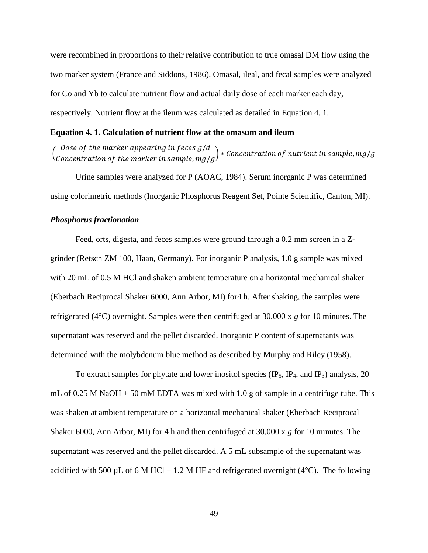were recombined in proportions to their relative contribution to true omasal DM flow using the two marker system (France and Siddons, 1986). Omasal, ileal, and fecal samples were analyzed for Co and Yb to calculate nutrient flow and actual daily dose of each marker each day, respectively. Nutrient flow at the ileum was calculated as detailed in [Equation](#page-57-0) 4. 1.

### <span id="page-57-0"></span>**Equation 4. 1. Calculation of nutrient flow at the omasum and ileum**

#### ( D Concentration of the marker in sample,  $mg/g$ ) \*

Urine samples were analyzed for P (AOAC, 1984). Serum inorganic P was determined using colorimetric methods (Inorganic Phosphorus Reagent Set, Pointe Scientific, Canton, MI).

#### *Phosphorus fractionation*

Feed, orts, digesta, and feces samples were ground through a 0.2 mm screen in a Zgrinder (Retsch ZM 100, Haan, Germany). For inorganic P analysis, 1.0 g sample was mixed with 20 mL of 0.5 M HCl and shaken ambient temperature on a horizontal mechanical shaker (Eberbach Reciprocal Shaker 6000, Ann Arbor, MI) for4 h. After shaking, the samples were refrigerated (4°C) overnight. Samples were then centrifuged at 30,000 x *g* for 10 minutes. The supernatant was reserved and the pellet discarded. Inorganic P content of supernatants was determined with the molybdenum blue method as described by Murphy and Riley (1958).

To extract samples for phytate and lower inositol species  $(\text{IP}_5, \text{IP}_4, \text{and IP}_3)$  analysis, 20 mL of 0.25 M NaOH  $+$  50 mM EDTA was mixed with 1.0 g of sample in a centrifuge tube. This was shaken at ambient temperature on a horizontal mechanical shaker (Eberbach Reciprocal Shaker 6000, Ann Arbor, MI) for 4 h and then centrifuged at 30,000 x *g* for 10 minutes. The supernatant was reserved and the pellet discarded. A 5 mL subsample of the supernatant was acidified with 500 µL of 6 M HCl + 1.2 M HF and refrigerated overnight (4 $\degree$ C). The following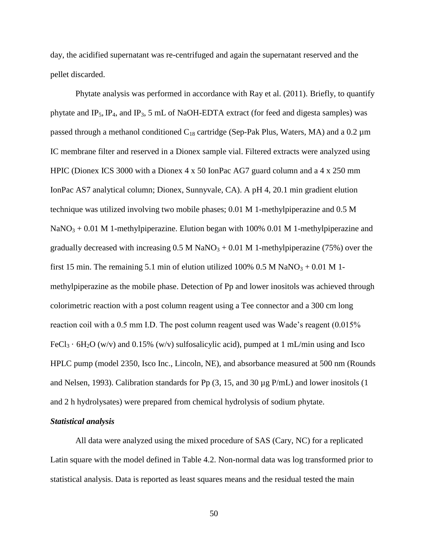day, the acidified supernatant was re-centrifuged and again the supernatant reserved and the pellet discarded.

Phytate analysis was performed in accordance with Ray et al. (2011). Briefly, to quantify phytate and  $IP_5$ ,  $IP_4$ , and  $IP_3$ , 5 mL of NaOH-EDTA extract (for feed and digesta samples) was passed through a methanol conditioned  $C_{18}$  cartridge (Sep-Pak Plus, Waters, MA) and a 0.2  $\mu$ m IC membrane filter and reserved in a Dionex sample vial. Filtered extracts were analyzed using HPIC (Dionex ICS 3000 with a Dionex 4 x 50 IonPac AG7 guard column and a 4 x 250 mm IonPac AS7 analytical column; Dionex, Sunnyvale, CA). A pH 4, 20.1 min gradient elution technique was utilized involving two mobile phases; 0.01 M 1-methylpiperazine and 0.5 M  $NaNO<sub>3</sub> + 0.01 M 1-methylpiperazine.$  Elution began with 100% 0.01 M 1-methylpiperazine and gradually decreased with increasing  $0.5 M NaNO<sub>3</sub> + 0.01 M 1$ -methylpiperazine (75%) over the first 15 min. The remaining 5.1 min of elution utilized 100% 0.5 M NaNO<sub>3</sub> + 0.01 M 1methylpiperazine as the mobile phase. Detection of Pp and lower inositols was achieved through colorimetric reaction with a post column reagent using a Tee connector and a 300 cm long reaction coil with a 0.5 mm I.D. The post column reagent used was Wade's reagent (0.015% FeCl<sub>3</sub> ·  $6H_2O$  (w/v) and 0.15% (w/v) sulfosalicylic acid), pumped at 1 mL/min using and Isco HPLC pump (model 2350, Isco Inc., Lincoln, NE), and absorbance measured at 500 nm (Rounds and Nelsen, 1993). Calibration standards for Pp (3, 15, and 30 µg P/mL) and lower inositols (1 and 2 h hydrolysates) were prepared from chemical hydrolysis of sodium phytate.

# *Statistical analysis*

All data were analyzed using the mixed procedure of SAS (Cary, NC) for a replicated Latin square with the model defined in [Table 4.2.](#page-69-0) Non-normal data was log transformed prior to statistical analysis. Data is reported as least squares means and the residual tested the main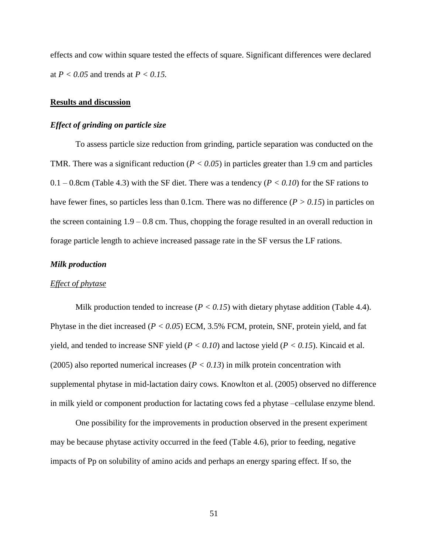effects and cow within square tested the effects of square. Significant differences were declared at *P < 0.05* and trends at *P < 0.15.*

#### **Results and discussion**

### *Effect of grinding on particle size*

To assess particle size reduction from grinding, particle separation was conducted on the TMR. There was a significant reduction ( $P < 0.05$ ) in particles greater than 1.9 cm and particles  $0.1 - 0.8$ cm [\(Table 4.3\)](#page-70-0) with the SF diet. There was a tendency ( $P < 0.10$ ) for the SF rations to have fewer fines, so particles less than 0.1cm. There was no difference (*P > 0.15*) in particles on the screen containing  $1.9 - 0.8$  cm. Thus, chopping the forage resulted in an overall reduction in forage particle length to achieve increased passage rate in the SF versus the LF rations.

### *Milk production*

# *Effect of phytase*

Milk production tended to increase  $(P < 0.15)$  with dietary phytase addition [\(Table 4.4\)](#page-71-0). Phytase in the diet increased (*P < 0.05*) ECM, 3.5% FCM, protein, SNF, protein yield, and fat yield, and tended to increase SNF yield (*P < 0.10*) and lactose yield (*P < 0.15*). Kincaid et al. (2005) also reported numerical increases (*P < 0.13*) in milk protein concentration with supplemental phytase in mid-lactation dairy cows. Knowlton et al. (2005) observed no difference in milk yield or component production for lactating cows fed a phytase –cellulase enzyme blend.

One possibility for the improvements in production observed in the present experiment may be because phytase activity occurred in the feed [\(Table 4.6\)](#page-74-0), prior to feeding, negative impacts of Pp on solubility of amino acids and perhaps an energy sparing effect. If so, the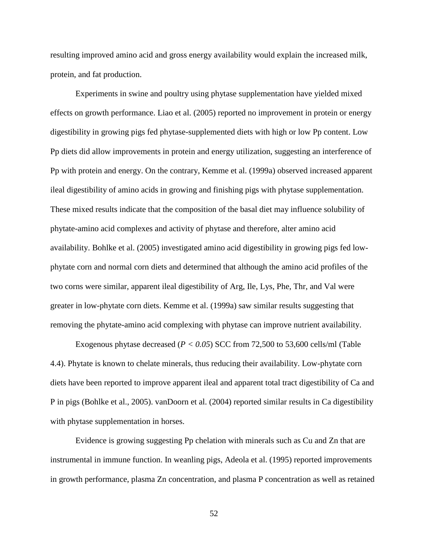resulting improved amino acid and gross energy availability would explain the increased milk, protein, and fat production.

Experiments in swine and poultry using phytase supplementation have yielded mixed effects on growth performance. Liao et al. (2005) reported no improvement in protein or energy digestibility in growing pigs fed phytase-supplemented diets with high or low Pp content. Low Pp diets did allow improvements in protein and energy utilization, suggesting an interference of Pp with protein and energy. On the contrary, Kemme et al. (1999a) observed increased apparent ileal digestibility of amino acids in growing and finishing pigs with phytase supplementation. These mixed results indicate that the composition of the basal diet may influence solubility of phytate-amino acid complexes and activity of phytase and therefore, alter amino acid availability. Bohlke et al. (2005) investigated amino acid digestibility in growing pigs fed lowphytate corn and normal corn diets and determined that although the amino acid profiles of the two corns were similar, apparent ileal digestibility of Arg, Ile, Lys, Phe, Thr, and Val were greater in low-phytate corn diets. Kemme et al. (1999a) saw similar results suggesting that removing the phytate-amino acid complexing with phytase can improve nutrient availability.

Exogenous phytase decreased  $(P < 0.05)$  SCC from 72,500 to 53,600 cells/ml (Table [4.4\)](#page-71-0). Phytate is known to chelate minerals, thus reducing their availability. Low-phytate corn diets have been reported to improve apparent ileal and apparent total tract digestibility of Ca and P in pigs (Bohlke et al., 2005). vanDoorn et al. (2004) reported similar results in Ca digestibility with phytase supplementation in horses.

Evidence is growing suggesting Pp chelation with minerals such as Cu and Zn that are instrumental in immune function. In weanling pigs, Adeola et al. (1995) reported improvements in growth performance, plasma Zn concentration, and plasma P concentration as well as retained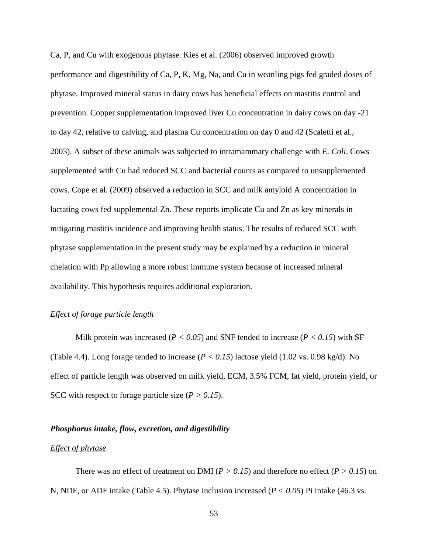Ca, P, and Cu with exogenous phytase. Kies et al. (2006) observed improved growth performance and digestibility of Ca, P, K, Mg, Na, and Cu in weanling pigs fed graded doses of phytase. Improved mineral status in dairy cows has beneficial effects on mastitis control and prevention. Copper supplementation improved liver Cu concentration in dairy cows on day -21 to day 42, relative to calving, and plasma Cu concentration on day 0 and 42 (Scaletti et al., 2003). A subset of these animals was subjected to intramammary challenge with *E. Coli*. Cows supplemented with Cu had reduced SCC and bacterial counts as compared to unsupplemented cows. Cope et al. (2009) observed a reduction in SCC and milk amyloid A concentration in lactating cows fed supplemental Zn. These reports implicate Cu and Zn as key minerals in mitigating mastitis incidence and improving health status. The results of reduced SCC with phytase supplementation in the present study may be explained by a reduction in mineral chelation with Pp allowing a more robust immune system because of increased mineral availability. This hypothesis requires additional exploration.

# *Effect of forage particle length*

Milk protein was increased ( $P < 0.05$ ) and SNF tended to increase ( $P < 0.15$ ) with SF [\(Table 4.4\)](#page-71-0). Long forage tended to increase ( $P < 0.15$ ) lactose yield (1.02 vs. 0.98 kg/d). No effect of particle length was observed on milk yield, ECM, 3.5% FCM, fat yield, protein yield, or SCC with respect to forage particle size  $(P > 0.15)$ .

#### *Phosphorus intake, flow, excretion, and digestibility*

#### *Effect of phytase*

There was no effect of treatment on DMI ( $P > 0.15$ ) and therefore no effect ( $P > 0.15$ ) on N, NDF, or ADF intake [\(Table 4.5\)](#page-72-0). Phytase inclusion increased (*P < 0.05*) Pi intake (46.3 vs.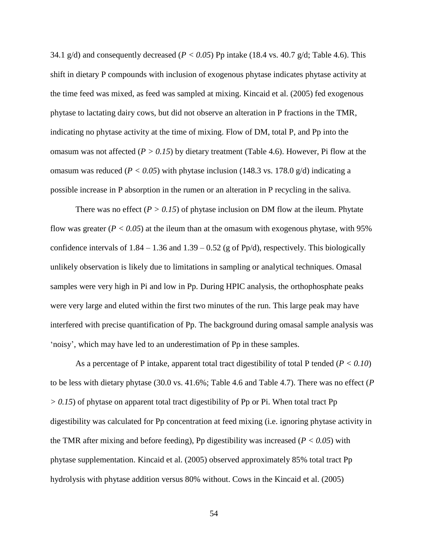34.1 g/d) and consequently decreased ( $P < 0.05$ ) Pp intake (18.4 vs. 40.7 g/d; [Table 4.6\)](#page-74-0). This shift in dietary P compounds with inclusion of exogenous phytase indicates phytase activity at the time feed was mixed, as feed was sampled at mixing. Kincaid et al. (2005) fed exogenous phytase to lactating dairy cows, but did not observe an alteration in P fractions in the TMR, indicating no phytase activity at the time of mixing. Flow of DM, total P, and Pp into the omasum was not affected (*P > 0.15*) by dietary treatment [\(Table 4.6\)](#page-74-0). However, Pi flow at the omasum was reduced ( $P < 0.05$ ) with phytase inclusion (148.3 vs. 178.0 g/d) indicating a possible increase in P absorption in the rumen or an alteration in P recycling in the saliva.

There was no effect  $(P > 0.15)$  of phytase inclusion on DM flow at the ileum. Phytate flow was greater  $(P < 0.05)$  at the ileum than at the omasum with exogenous phytase, with 95% confidence intervals of  $1.84 - 1.36$  and  $1.39 - 0.52$  (g of Pp/d), respectively. This biologically unlikely observation is likely due to limitations in sampling or analytical techniques. Omasal samples were very high in Pi and low in Pp. During HPIC analysis, the orthophosphate peaks were very large and eluted within the first two minutes of the run. This large peak may have interfered with precise quantification of Pp. The background during omasal sample analysis was 'noisy', which may have led to an underestimation of Pp in these samples.

As a percentage of P intake, apparent total tract digestibility of total P tended (*P < 0.10*) to be less with dietary phytase (30.0 vs. 41.6%; [Table 4.6](#page-74-0) and [Table 4.7\)](#page-76-0). There was no effect (*P > 0.15*) of phytase on apparent total tract digestibility of Pp or Pi. When total tract Pp digestibility was calculated for Pp concentration at feed mixing (i.e. ignoring phytase activity in the TMR after mixing and before feeding), Pp digestibility was increased ( $P < 0.05$ ) with phytase supplementation. Kincaid et al. (2005) observed approximately 85% total tract Pp hydrolysis with phytase addition versus 80% without. Cows in the Kincaid et al. (2005)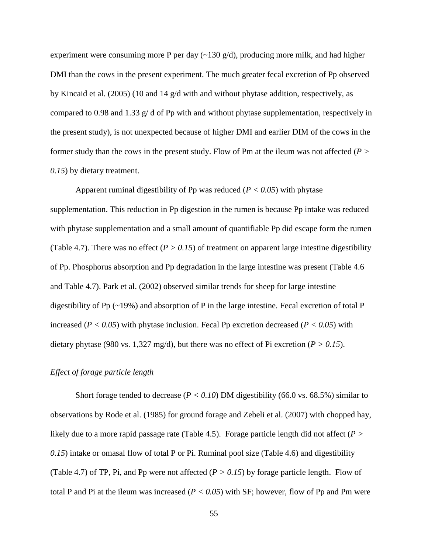experiment were consuming more P per day  $(\sim 130 \text{ g/d})$ , producing more milk, and had higher DMI than the cows in the present experiment. The much greater fecal excretion of Pp observed by Kincaid et al. (2005) (10 and 14 g/d with and without phytase addition, respectively, as compared to 0.98 and 1.33  $g/d$  of Pp with and without phytase supplementation, respectively in the present study), is not unexpected because of higher DMI and earlier DIM of the cows in the former study than the cows in the present study. Flow of Pm at the ileum was not affected (*P > 0.15*) by dietary treatment.

Apparent ruminal digestibility of Pp was reduced (*P < 0.05*) with phytase supplementation. This reduction in Pp digestion in the rumen is because Pp intake was reduced with phytase supplementation and a small amount of quantifiable Pp did escape form the rumen [\(Table 4.7\)](#page-76-0). There was no effect ( $P > 0.15$ ) of treatment on apparent large intestine digestibility of Pp. Phosphorus absorption and Pp degradation in the large intestine was present [\(Table 4.6](#page-74-0) and [Table 4.7\)](#page-76-0). Park et al. (2002) observed similar trends for sheep for large intestine digestibility of Pp  $(\sim 19\%)$  and absorption of P in the large intestine. Fecal excretion of total P increased ( $P < 0.05$ ) with phytase inclusion. Fecal Pp excretion decreased ( $P < 0.05$ ) with dietary phytase (980 vs. 1,327 mg/d), but there was no effect of Pi excretion ( $P > 0.15$ ).

#### *Effect of forage particle length*

Short forage tended to decrease ( $P < 0.10$ ) DM digestibility (66.0 vs. 68.5%) similar to observations by Rode et al. (1985) for ground forage and Zebeli et al. (2007) with chopped hay, likely due to a more rapid passage rate [\(Table 4.5\)](#page-72-0). Forage particle length did not affect (*P > 0.15*) intake or omasal flow of total P or Pi. Ruminal pool size [\(Table 4.6\)](#page-74-0) and digestibility [\(Table 4.7\)](#page-76-0) of TP, Pi, and Pp were not affected  $(P > 0.15)$  by forage particle length. Flow of total P and Pi at the ileum was increased  $(P < 0.05)$  with SF; however, flow of Pp and Pm were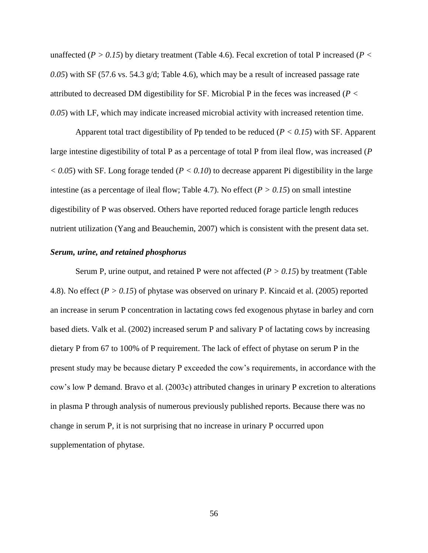unaffected (*P > 0.15*) by dietary treatment [\(Table 4.6\)](#page-74-0). Fecal excretion of total P increased (*P < 0.05*) with SF (57.6 vs. 54.3 g/d; [Table 4.6\)](#page-74-0), which may be a result of increased passage rate attributed to decreased DM digestibility for SF. Microbial P in the feces was increased (*P < 0.05*) with LF, which may indicate increased microbial activity with increased retention time.

Apparent total tract digestibility of Pp tended to be reduced (*P < 0.15*) with SF. Apparent large intestine digestibility of total P as a percentage of total P from ileal flow, was increased (*P*   $< 0.05$ ) with SF. Long forage tended ( $P < 0.10$ ) to decrease apparent Pi digestibility in the large intestine (as a percentage of ileal flow; [Table 4.7\)](#page-76-0). No effect ( $P > 0.15$ ) on small intestine digestibility of P was observed. Others have reported reduced forage particle length reduces nutrient utilization (Yang and Beauchemin, 2007) which is consistent with the present data set.

# *Serum, urine, and retained phosphorus*

Serum P, urine output, and retained P were not affected (*P > 0.15*) by treatment [\(Table](#page-78-0)  [4.8\)](#page-78-0). No effect (*P > 0.15*) of phytase was observed on urinary P. Kincaid et al. (2005) reported an increase in serum P concentration in lactating cows fed exogenous phytase in barley and corn based diets. Valk et al. (2002) increased serum P and salivary P of lactating cows by increasing dietary P from 67 to 100% of P requirement. The lack of effect of phytase on serum P in the present study may be because dietary P exceeded the cow's requirements, in accordance with the cow's low P demand. Bravo et al. (2003c) attributed changes in urinary P excretion to alterations in plasma P through analysis of numerous previously published reports. Because there was no change in serum P, it is not surprising that no increase in urinary P occurred upon supplementation of phytase.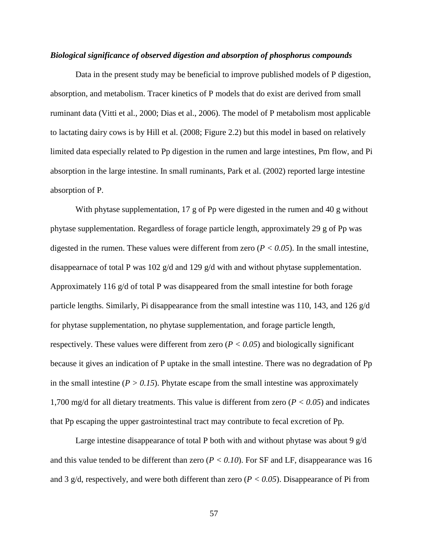#### *Biological significance of observed digestion and absorption of phosphorus compounds*

Data in the present study may be beneficial to improve published models of P digestion, absorption, and metabolism. Tracer kinetics of P models that do exist are derived from small ruminant data (Vitti et al., 2000; Dias et al., 2006). The model of P metabolism most applicable to lactating dairy cows is by Hill et al. (2008; [Figure 2.2\)](#page-21-0) but this model in based on relatively limited data especially related to Pp digestion in the rumen and large intestines, Pm flow, and Pi absorption in the large intestine. In small ruminants, Park et al. (2002) reported large intestine absorption of P.

With phytase supplementation, 17 g of Pp were digested in the rumen and 40 g without phytase supplementation. Regardless of forage particle length, approximately 29 g of Pp was digested in the rumen. These values were different from zero  $(P < 0.05)$ . In the small intestine, disappearnace of total P was 102 g/d and 129 g/d with and without phytase supplementation. Approximately 116 g/d of total P was disappeared from the small intestine for both forage particle lengths. Similarly, Pi disappearance from the small intestine was 110, 143, and 126 g/d for phytase supplementation, no phytase supplementation, and forage particle length, respectively. These values were different from zero  $(P < 0.05)$  and biologically significant because it gives an indication of P uptake in the small intestine. There was no degradation of Pp in the small intestine  $(P > 0.15)$ . Phytate escape from the small intestine was approximately 1,700 mg/d for all dietary treatments. This value is different from zero (*P < 0.05*) and indicates that Pp escaping the upper gastrointestinal tract may contribute to fecal excretion of Pp.

Large intestine disappearance of total P both with and without phytase was about 9  $g/d$ and this value tended to be different than zero  $(P < 0.10)$ . For SF and LF, disappearance was 16 and 3 g/d, respectively, and were both different than zero  $(P < 0.05)$ . Disappearance of Pi from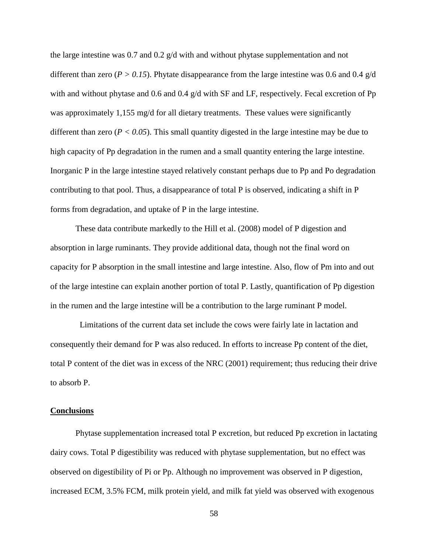the large intestine was 0.7 and 0.2  $g/d$  with and without phytase supplementation and not different than zero ( $P > 0.15$ ). Phytate disappearance from the large intestine was 0.6 and 0.4 g/d with and without phytase and 0.6 and 0.4  $g/d$  with SF and LF, respectively. Fecal excretion of Pp was approximately 1,155 mg/d for all dietary treatments. These values were significantly different than zero ( $P < 0.05$ ). This small quantity digested in the large intestine may be due to high capacity of Pp degradation in the rumen and a small quantity entering the large intestine. Inorganic P in the large intestine stayed relatively constant perhaps due to Pp and Po degradation contributing to that pool. Thus, a disappearance of total P is observed, indicating a shift in P forms from degradation, and uptake of P in the large intestine.

These data contribute markedly to the Hill et al. (2008) model of P digestion and absorption in large ruminants. They provide additional data, though not the final word on capacity for P absorption in the small intestine and large intestine. Also, flow of Pm into and out of the large intestine can explain another portion of total P. Lastly, quantification of Pp digestion in the rumen and the large intestine will be a contribution to the large ruminant P model.

 Limitations of the current data set include the cows were fairly late in lactation and consequently their demand for P was also reduced. In efforts to increase Pp content of the diet, total P content of the diet was in excess of the NRC (2001) requirement; thus reducing their drive to absorb P.

#### **Conclusions**

Phytase supplementation increased total P excretion, but reduced Pp excretion in lactating dairy cows. Total P digestibility was reduced with phytase supplementation, but no effect was observed on digestibility of Pi or Pp. Although no improvement was observed in P digestion, increased ECM, 3.5% FCM, milk protein yield, and milk fat yield was observed with exogenous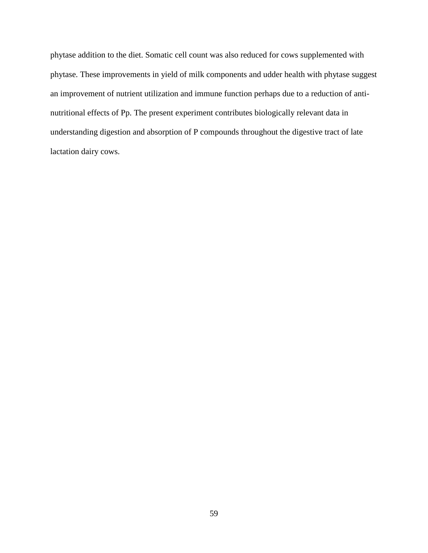phytase addition to the diet. Somatic cell count was also reduced for cows supplemented with phytase. These improvements in yield of milk components and udder health with phytase suggest an improvement of nutrient utilization and immune function perhaps due to a reduction of antinutritional effects of Pp. The present experiment contributes biologically relevant data in understanding digestion and absorption of P compounds throughout the digestive tract of late lactation dairy cows.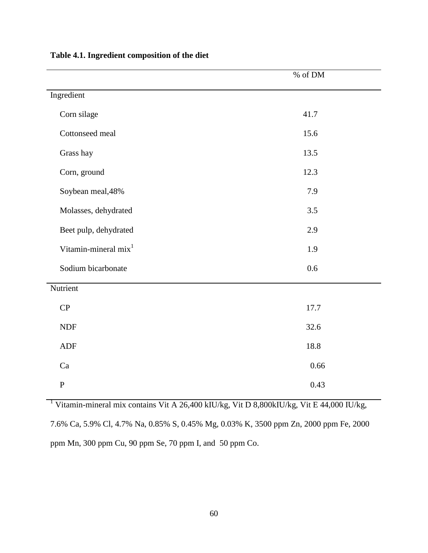|                                  | $\%$ of DM |
|----------------------------------|------------|
| Ingredient                       |            |
| Corn silage                      | 41.7       |
| Cottonseed meal                  | 15.6       |
| Grass hay                        | 13.5       |
| Corn, ground                     | 12.3       |
| Soybean meal, 48%                | 7.9        |
| Molasses, dehydrated             | 3.5        |
| Beet pulp, dehydrated            | 2.9        |
| Vitamin-mineral mix <sup>1</sup> | 1.9        |
| Sodium bicarbonate               | $0.6\,$    |
| Nutrient                         |            |
| CP                               | 17.7       |
| <b>NDF</b>                       | 32.6       |
| <b>ADF</b>                       | 18.8       |
| Ca                               | 0.66       |
| ${\bf P}$                        | 0.43       |

<span id="page-68-0"></span>**Table 4.1. Ingredient composition of the diet**

<sup>1</sup> Vitamin-mineral mix contains Vit A 26,400 kIU/kg, Vit D 8,800kIU/kg, Vit E 44,000 IU/kg, 7.6% Ca, 5.9% Cl, 4.7% Na, 0.85% S, 0.45% Mg, 0.03% K, 3500 ppm Zn, 2000 ppm Fe, 2000 ppm Mn, 300 ppm Cu, 90 ppm Se, 70 ppm I, and 50 ppm Co.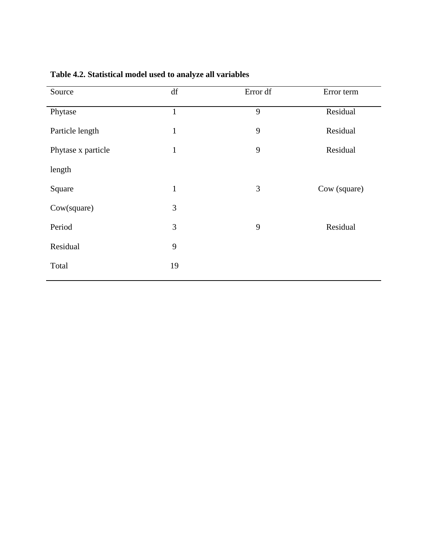| Source             | df             | Error df | Error term   |
|--------------------|----------------|----------|--------------|
| Phytase            | $\mathbf{1}$   | 9        | Residual     |
| Particle length    | $\mathbf{1}$   | 9        | Residual     |
| Phytase x particle | $\mathbf{1}$   | 9        | Residual     |
| length             |                |          |              |
| Square             | $\mathbf{1}$   | 3        | Cow (square) |
| Cow(square)        | $\mathfrak{Z}$ |          |              |
| Period             | 3              | 9        | Residual     |
| Residual           | 9              |          |              |
| Total              | 19             |          |              |
|                    |                |          |              |

# <span id="page-69-0"></span>**Table 4.2. Statistical model used to analyze all variables**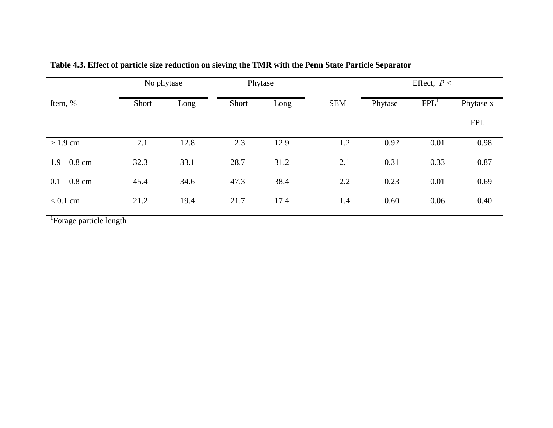|                | No phytase |      | Phytase |      |            | Effect, $P <$ |                  |            |
|----------------|------------|------|---------|------|------------|---------------|------------------|------------|
| Item, %        | Short      | Long | Short   | Long | <b>SEM</b> | Phytase       | FPL <sup>1</sup> | Phytase x  |
|                |            |      |         |      |            |               |                  | <b>FPL</b> |
| $>1.9$ cm      | 2.1        | 12.8 | 2.3     | 12.9 | 1.2        | 0.92          | 0.01             | 0.98       |
| $1.9 - 0.8$ cm | 32.3       | 33.1 | 28.7    | 31.2 | 2.1        | 0.31          | 0.33             | 0.87       |
| $0.1 - 0.8$ cm | 45.4       | 34.6 | 47.3    | 38.4 | 2.2        | 0.23          | 0.01             | 0.69       |
| $< 0.1$ cm     | 21.2       | 19.4 | 21.7    | 17.4 | 1.4        | 0.60          | 0.06             | 0.40       |

**Table 4.3. Effect of particle size reduction on sieving the TMR with the Penn State Particle Separator**

<span id="page-70-0"></span><sup>1</sup>Forage particle length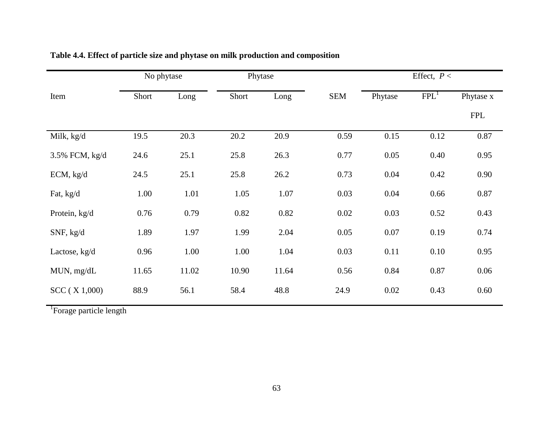<span id="page-71-0"></span>

|                | No phytase |       | Phytase |       |            | Effect, $P <$ |                  |            |
|----------------|------------|-------|---------|-------|------------|---------------|------------------|------------|
| Item           | Short      | Long  | Short   | Long  | <b>SEM</b> | Phytase       | FPL <sup>1</sup> | Phytase x  |
|                |            |       |         |       |            |               |                  | <b>FPL</b> |
| Milk, kg/d     | 19.5       | 20.3  | 20.2    | 20.9  | 0.59       | 0.15          | 0.12             | 0.87       |
| 3.5% FCM, kg/d | 24.6       | 25.1  | 25.8    | 26.3  | 0.77       | 0.05          | 0.40             | 0.95       |
| ECM, kg/d      | 24.5       | 25.1  | 25.8    | 26.2  | 0.73       | 0.04          | 0.42             | 0.90       |
| Fat, kg/d      | 1.00       | 1.01  | 1.05    | 1.07  | 0.03       | 0.04          | 0.66             | 0.87       |
| Protein, kg/d  | 0.76       | 0.79  | 0.82    | 0.82  | 0.02       | 0.03          | 0.52             | 0.43       |
| SNF, kg/d      | 1.89       | 1.97  | 1.99    | 2.04  | 0.05       | 0.07          | 0.19             | 0.74       |
| Lactose, kg/d  | 0.96       | 1.00  | 1.00    | 1.04  | 0.03       | 0.11          | 0.10             | 0.95       |
| MUN, mg/dL     | 11.65      | 11.02 | 10.90   | 11.64 | 0.56       | 0.84          | 0.87             | 0.06       |
| SCC (X 1,000)  | 88.9       | 56.1  | 58.4    | 48.8  | 24.9       | 0.02          | 0.43             | 0.60       |

# **Table 4.4. Effect of particle size and phytase on milk production and composition**

<sup>1</sup>Forage particle length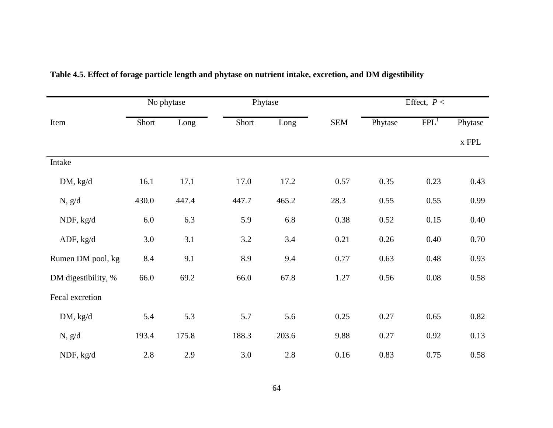|                     | No phytase |       |       | Phytase |            | Effect, $P <$ |                  |                               |
|---------------------|------------|-------|-------|---------|------------|---------------|------------------|-------------------------------|
| Item                | Short      | Long  | Short | Long    | <b>SEM</b> | Phytase       | FPL <sup>1</sup> | Phytase                       |
|                     |            |       |       |         |            |               |                  | $\boldsymbol{\textbf{x}}$ FPL |
| Intake              |            |       |       |         |            |               |                  |                               |
| DM, kg/d            | 16.1       | 17.1  | 17.0  | 17.2    | 0.57       | 0.35          | 0.23             | 0.43                          |
| N, g/d              | 430.0      | 447.4 | 447.7 | 465.2   | 28.3       | 0.55          | 0.55             | 0.99                          |
| NDF, kg/d           | 6.0        | 6.3   | 5.9   | 6.8     | 0.38       | 0.52          | 0.15             | 0.40                          |
| ADF, $kg/d$         | 3.0        | 3.1   | 3.2   | 3.4     | 0.21       | 0.26          | 0.40             | 0.70                          |
| Rumen DM pool, kg   | 8.4        | 9.1   | 8.9   | 9.4     | 0.77       | 0.63          | 0.48             | 0.93                          |
| DM digestibility, % | 66.0       | 69.2  | 66.0  | 67.8    | 1.27       | 0.56          | $0.08\,$         | 0.58                          |
| Fecal excretion     |            |       |       |         |            |               |                  |                               |
| DM, kg/d            | 5.4        | 5.3   | 5.7   | 5.6     | 0.25       | 0.27          | 0.65             | 0.82                          |
| N, g/d              | 193.4      | 175.8 | 188.3 | 203.6   | 9.88       | 0.27          | 0.92             | 0.13                          |
| NDF, kg/d           | 2.8        | 2.9   | 3.0   | 2.8     | 0.16       | 0.83          | 0.75             | 0.58                          |

# **Table 4.5. Effect of forage particle length and phytase on nutrient intake, excretion, and DM digestibility**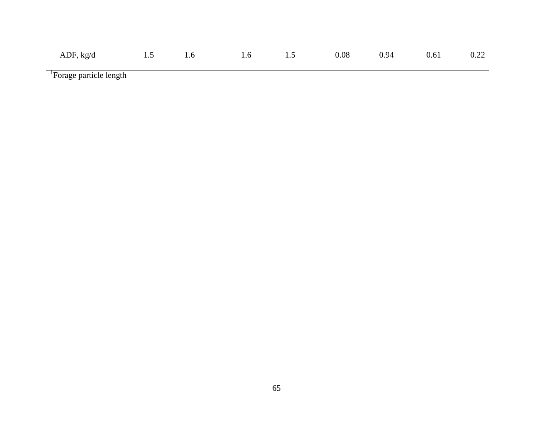| ADF, kg/d 1.5 1.6 1.6 1.5 0.08 0.94 0.61 0.22 |  |  |  |  |
|-----------------------------------------------|--|--|--|--|
|                                               |  |  |  |  |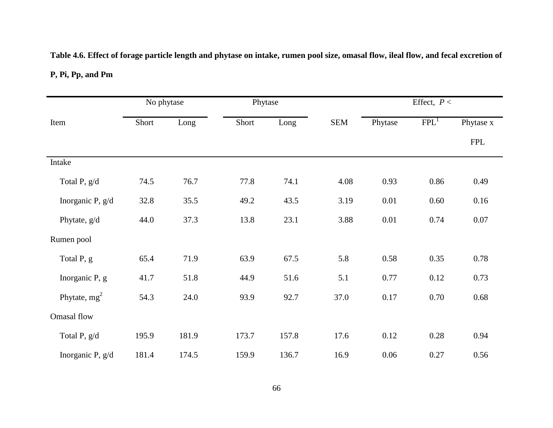# **Table 4.6. Effect of forage particle length and phytase on intake, rumen pool size, omasal flow, ileal flow, and fecal excretion of**

## **P, Pi, Pp, and Pm**

|                  | No phytase |       |       | Phytase |            | Effect, $P <$ |                  |            |
|------------------|------------|-------|-------|---------|------------|---------------|------------------|------------|
| Item             | Short      | Long  | Short | Long    | <b>SEM</b> | Phytase       | FPL <sup>1</sup> | Phytase x  |
|                  |            |       |       |         |            |               |                  | <b>FPL</b> |
| Intake           |            |       |       |         |            |               |                  |            |
| Total P, g/d     | 74.5       | 76.7  | 77.8  | 74.1    | 4.08       | 0.93          | 0.86             | 0.49       |
| Inorganic P, g/d | 32.8       | 35.5  | 49.2  | 43.5    | 3.19       | 0.01          | 0.60             | 0.16       |
| Phytate, g/d     | 44.0       | 37.3  | 13.8  | 23.1    | 3.88       | 0.01          | 0.74             | 0.07       |
| Rumen pool       |            |       |       |         |            |               |                  |            |
| Total P, g       | 65.4       | 71.9  | 63.9  | 67.5    | 5.8        | 0.58          | 0.35             | 0.78       |
| Inorganic P, g   | 41.7       | 51.8  | 44.9  | 51.6    | 5.1        | 0.77          | 0.12             | 0.73       |
| Phytate, $mg^2$  | 54.3       | 24.0  | 93.9  | 92.7    | 37.0       | 0.17          | 0.70             | 0.68       |
| Omasal flow      |            |       |       |         |            |               |                  |            |
| Total P, g/d     | 195.9      | 181.9 | 173.7 | 157.8   | 17.6       | 0.12          | 0.28             | 0.94       |
| Inorganic P, g/d | 181.4      | 174.5 | 159.9 | 136.7   | 16.9       | 0.06          | 0.27             | 0.56       |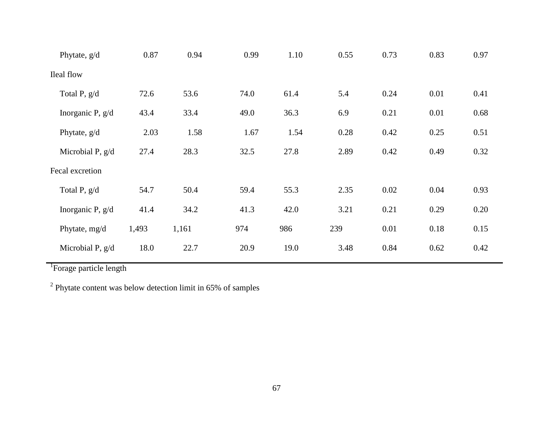| Phytate, g/d       | 0.87  | 0.94  | 0.99 | 1.10 | 0.55 | 0.73 | 0.83 | 0.97 |  |
|--------------------|-------|-------|------|------|------|------|------|------|--|
| Ileal flow         |       |       |      |      |      |      |      |      |  |
| Total P, g/d       | 72.6  | 53.6  | 74.0 | 61.4 | 5.4  | 0.24 | 0.01 | 0.41 |  |
| Inorganic P, g/d   | 43.4  | 33.4  | 49.0 | 36.3 | 6.9  | 0.21 | 0.01 | 0.68 |  |
| Phytate, g/d       | 2.03  | 1.58  | 1.67 | 1.54 | 0.28 | 0.42 | 0.25 | 0.51 |  |
| Microbial P, $g/d$ | 27.4  | 28.3  | 32.5 | 27.8 | 2.89 | 0.42 | 0.49 | 0.32 |  |
| Fecal excretion    |       |       |      |      |      |      |      |      |  |
| Total P, g/d       | 54.7  | 50.4  | 59.4 | 55.3 | 2.35 | 0.02 | 0.04 | 0.93 |  |
| Inorganic P, g/d   | 41.4  | 34.2  | 41.3 | 42.0 | 3.21 | 0.21 | 0.29 | 0.20 |  |
| Phytate, mg/d      | 1,493 | 1,161 | 974  | 986  | 239  | 0.01 | 0.18 | 0.15 |  |
| Microbial P, $g/d$ | 18.0  | 22.7  | 20.9 | 19.0 | 3.48 | 0.84 | 0.62 | 0.42 |  |
|                    |       |       |      |      |      |      |      |      |  |

 $2$  Phytate content was below detection limit in 65% of samples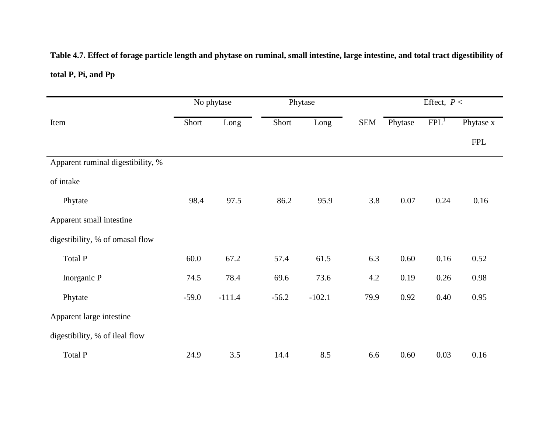# **Table 4.7. Effect of forage particle length and phytase on ruminal, small intestine, large intestine, and total tract digestibility of total P, Pi, and Pp**

|                                   |         | No phytase |         | Phytase  |            | Effect, $P <$ |                  |            |
|-----------------------------------|---------|------------|---------|----------|------------|---------------|------------------|------------|
| Item                              | Short   | Long       | Short   | Long     | <b>SEM</b> | Phytase       | FPL <sup>1</sup> | Phytase x  |
|                                   |         |            |         |          |            |               |                  | <b>FPL</b> |
| Apparent ruminal digestibility, % |         |            |         |          |            |               |                  |            |
| of intake                         |         |            |         |          |            |               |                  |            |
| Phytate                           | 98.4    | 97.5       | 86.2    | 95.9     | 3.8        | $0.07\,$      | 0.24             | 0.16       |
| Apparent small intestine          |         |            |         |          |            |               |                  |            |
| digestibility, % of omasal flow   |         |            |         |          |            |               |                  |            |
| Total P                           | 60.0    | 67.2       | 57.4    | 61.5     | 6.3        | 0.60          | 0.16             | 0.52       |
| Inorganic P                       | 74.5    | 78.4       | 69.6    | 73.6     | 4.2        | 0.19          | 0.26             | 0.98       |
| Phytate                           | $-59.0$ | $-111.4$   | $-56.2$ | $-102.1$ | 79.9       | 0.92          | 0.40             | 0.95       |
| Apparent large intestine          |         |            |         |          |            |               |                  |            |
| digestibility, % of ileal flow    |         |            |         |          |            |               |                  |            |
| Total P                           | 24.9    | 3.5        | 14.4    | 8.5      | 6.6        | 0.60          | 0.03             | 0.16       |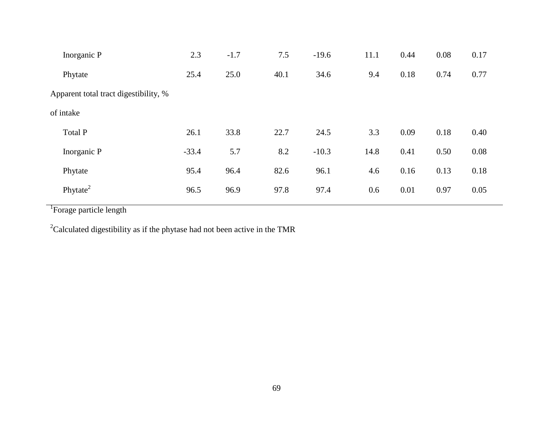| Inorganic P                           | 2.3     | $-1.7$ | 7.5  | $-19.6$ | 11.1 | 0.44 | 0.08 | 0.17 |
|---------------------------------------|---------|--------|------|---------|------|------|------|------|
| Phytate                               | 25.4    | 25.0   | 40.1 | 34.6    | 9.4  | 0.18 | 0.74 | 0.77 |
| Apparent total tract digestibility, % |         |        |      |         |      |      |      |      |
| of intake                             |         |        |      |         |      |      |      |      |
| Total P                               | 26.1    | 33.8   | 22.7 | 24.5    | 3.3  | 0.09 | 0.18 | 0.40 |
| Inorganic P                           | $-33.4$ | 5.7    | 8.2  | $-10.3$ | 14.8 | 0.41 | 0.50 | 0.08 |
| Phytate                               | 95.4    | 96.4   | 82.6 | 96.1    | 4.6  | 0.16 | 0.13 | 0.18 |
| Phytate <sup>2</sup>                  | 96.5    | 96.9   | 97.8 | 97.4    | 0.6  | 0.01 | 0.97 | 0.05 |
|                                       |         |        |      |         |      |      |      |      |

<sup>2</sup>Calculated digestibility as if the phytase had not been active in the TMR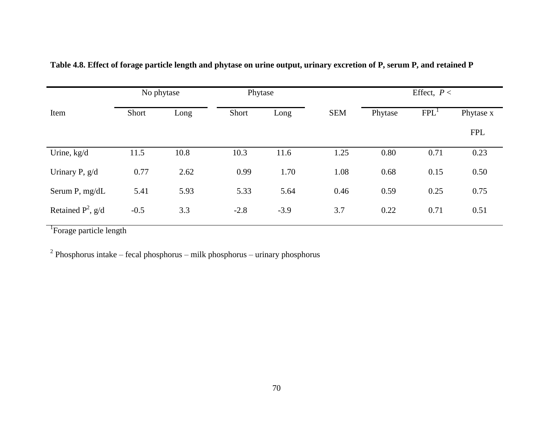|                      | No phytase |      |        | Phytase |            | Effect, $P <$ |                  |            |  |
|----------------------|------------|------|--------|---------|------------|---------------|------------------|------------|--|
| Item                 | Short      | Long | Short  | Long    | <b>SEM</b> | Phytase       | FPL <sup>1</sup> | Phytase x  |  |
|                      |            |      |        |         |            |               |                  | <b>FPL</b> |  |
| Urine, kg/d          | 11.5       | 10.8 | 10.3   | 11.6    | 1.25       | 0.80          | 0.71             | 0.23       |  |
| Urinary P, g/d       | 0.77       | 2.62 | 0.99   | 1.70    | 1.08       | 0.68          | 0.15             | 0.50       |  |
| Serum P, mg/dL       | 5.41       | 5.93 | 5.33   | 5.64    | 0.46       | 0.59          | 0.25             | 0.75       |  |
| Retained $P^2$ , g/d | $-0.5$     | 3.3  | $-2.8$ | $-3.9$  | 3.7        | 0.22          | 0.71             | 0.51       |  |

**Table 4.8. Effect of forage particle length and phytase on urine output, urinary excretion of P, serum P, and retained P**

<sup>2</sup> Phosphorus intake – fecal phosphorus – milk phosphorus – urinary phosphorus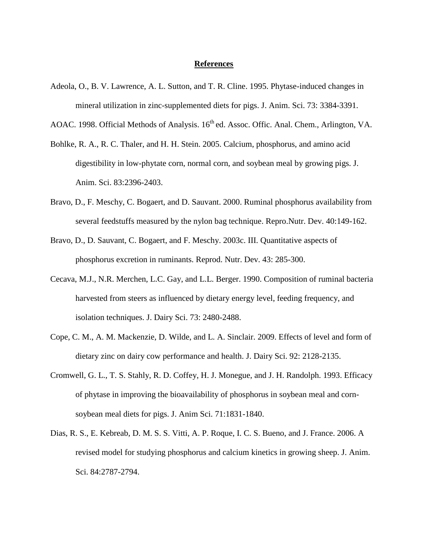#### **References**

- Adeola, O., B. V. Lawrence, A. L. Sutton, and T. R. Cline. 1995. Phytase-induced changes in mineral utilization in zinc-supplemented diets for pigs. J. Anim. Sci. 73: 3384-3391.
- AOAC. 1998. Official Methods of Analysis. 16<sup>th</sup> ed. Assoc. Offic. Anal. Chem., Arlington, VA.
- Bohlke, R. A., R. C. Thaler, and H. H. Stein. 2005. Calcium, phosphorus, and amino acid digestibility in low-phytate corn, normal corn, and soybean meal by growing pigs. J. Anim. Sci. 83:2396-2403.
- Bravo, D., F. Meschy, C. Bogaert, and D. Sauvant. 2000. Ruminal phosphorus availability from several feedstuffs measured by the nylon bag technique. Repro.Nutr. Dev. 40:149-162.
- Bravo, D., D. Sauvant, C. Bogaert, and F. Meschy. 2003c. III. Quantitative aspects of phosphorus excretion in ruminants. Reprod. Nutr. Dev. 43: 285-300.
- Cecava, M.J., N.R. Merchen, L.C. Gay, and L.L. Berger. 1990. Composition of ruminal bacteria harvested from steers as influenced by dietary energy level, feeding frequency, and isolation techniques. J. Dairy Sci. 73: 2480-2488.
- Cope, C. M., A. M. Mackenzie, D. Wilde, and L. A. Sinclair. 2009. Effects of level and form of dietary zinc on dairy cow performance and health. J. Dairy Sci. 92: 2128-2135.
- Cromwell, G. L., T. S. Stahly, R. D. Coffey, H. J. Monegue, and J. H. Randolph. 1993. Efficacy of phytase in improving the bioavailability of phosphorus in soybean meal and cornsoybean meal diets for pigs. J. Anim Sci. 71:1831-1840.
- Dias, R. S., E. Kebreab, D. M. S. S. Vitti, A. P. Roque, I. C. S. Bueno, and J. France. 2006. A revised model for studying phosphorus and calcium kinetics in growing sheep. J. Anim. Sci. 84:2787-2794.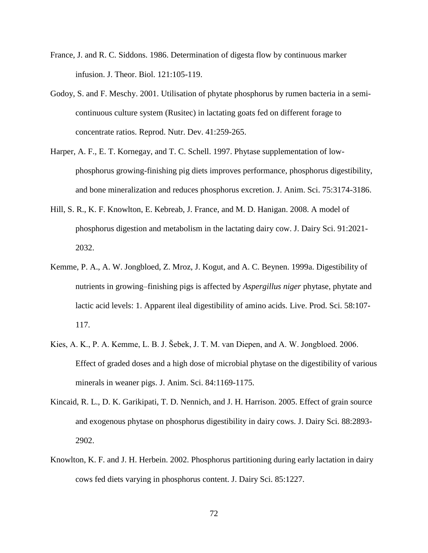- France, J. and R. C. Siddons. 1986. Determination of digesta flow by continuous marker infusion. J. Theor. Biol. 121:105-119.
- Godoy, S. and F. Meschy. 2001. Utilisation of phytate phosphorus by rumen bacteria in a semicontinuous culture system (Rusitec) in lactating goats fed on different forage to concentrate ratios. Reprod. Nutr. Dev. 41:259-265.
- Harper, A. F., E. T. Kornegay, and T. C. Schell. 1997. Phytase supplementation of lowphosphorus growing-finishing pig diets improves performance, phosphorus digestibility, and bone mineralization and reduces phosphorus excretion. J. Anim. Sci. 75:3174-3186.
- Hill, S. R., K. F. Knowlton, E. Kebreab, J. France, and M. D. Hanigan. 2008. A model of phosphorus digestion and metabolism in the lactating dairy cow. J. Dairy Sci. 91:2021- 2032.
- Kemme, P. A., A. W. Jongbloed, Z. Mroz, J. Kogut, and A. C. Beynen. 1999a. Digestibility of nutrients in growing–finishing pigs is affected by *Aspergillus niger* phytase, phytate and lactic acid levels: 1. Apparent ileal digestibility of amino acids. Live. Prod. Sci. 58:107- 117.
- Kies, A. K., P. A. Kemme, L. B. J. Šebek, J. T. M. van Diepen, and A. W. Jongbloed. 2006. Effect of graded doses and a high dose of microbial phytase on the digestibility of various minerals in weaner pigs. J. Anim. Sci. 84:1169-1175.
- Kincaid, R. L., D. K. Garikipati, T. D. Nennich, and J. H. Harrison. 2005. Effect of grain source and exogenous phytase on phosphorus digestibility in dairy cows. J. Dairy Sci. 88:2893- 2902.
- Knowlton, K. F. and J. H. Herbein. 2002. Phosphorus partitioning during early lactation in dairy cows fed diets varying in phosphorus content. J. Dairy Sci. 85:1227.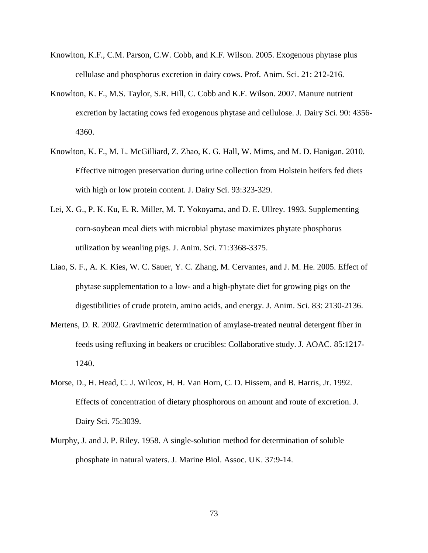- Knowlton, K.F., C.M. Parson, C.W. Cobb, and K.F. Wilson. 2005. Exogenous phytase plus cellulase and phosphorus excretion in dairy cows. Prof. Anim. Sci. 21: 212-216.
- Knowlton, K. F., M.S. Taylor, S.R. Hill, C. Cobb and K.F. Wilson. 2007. Manure nutrient excretion by lactating cows fed exogenous phytase and cellulose. J. Dairy Sci. 90: 4356- 4360.
- Knowlton, K. F., M. L. McGilliard, Z. Zhao, K. G. Hall, W. Mims, and M. D. Hanigan. 2010. Effective nitrogen preservation during urine collection from Holstein heifers fed diets with high or low protein content. J. Dairy Sci. 93:323-329.
- Lei, X. G., P. K. Ku, E. R. Miller, M. T. Yokoyama, and D. E. Ullrey. 1993. Supplementing corn-soybean meal diets with microbial phytase maximizes phytate phosphorus utilization by weanling pigs. J. Anim. Sci. 71:3368-3375.
- Liao, S. F., A. K. Kies, W. C. Sauer, Y. C. Zhang, M. Cervantes, and J. M. He. 2005. Effect of phytase supplementation to a low- and a high-phytate diet for growing pigs on the digestibilities of crude protein, amino acids, and energy. J. Anim. Sci. 83: 2130-2136.
- Mertens, D. R. 2002. Gravimetric determination of amylase-treated neutral detergent fiber in feeds using refluxing in beakers or crucibles: Collaborative study. J. AOAC. 85:1217- 1240.
- Morse, D., H. Head, C. J. Wilcox, H. H. Van Horn, C. D. Hissem, and B. Harris, Jr. 1992. Effects of concentration of dietary phosphorous on amount and route of excretion. J. Dairy Sci. 75:3039.
- Murphy, J. and J. P. Riley. 1958. A single-solution method for determination of soluble phosphate in natural waters. J. Marine Biol. Assoc. UK. 37:9-14.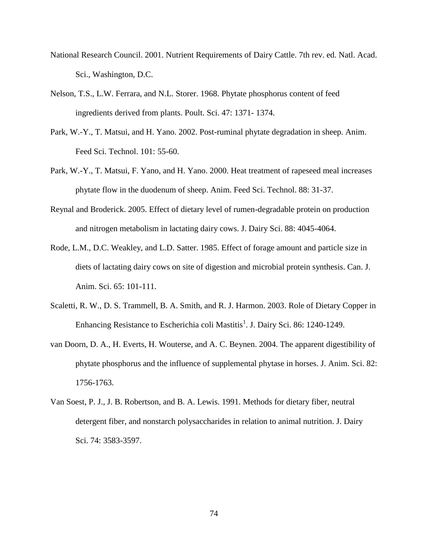- National Research Council. 2001. Nutrient Requirements of Dairy Cattle. 7th rev. ed. Natl. Acad. Sci., Washington, D.C.
- Nelson, T.S., L.W. Ferrara, and N.L. Storer. 1968. Phytate phosphorus content of feed ingredients derived from plants. Poult. Sci. 47: 1371- 1374.
- Park, W.-Y., T. Matsui, and H. Yano. 2002. Post-ruminal phytate degradation in sheep. Anim. Feed Sci. Technol. 101: 55-60.
- Park, W.-Y., T. Matsui, F. Yano, and H. Yano. 2000. Heat treatment of rapeseed meal increases phytate flow in the duodenum of sheep. Anim. Feed Sci. Technol. 88: 31-37.
- Reynal and Broderick. 2005. Effect of dietary level of rumen-degradable protein on production and nitrogen metabolism in lactating dairy cows. J. Dairy Sci. 88: 4045-4064.
- Rode, L.M., D.C. Weakley, and L.D. Satter. 1985. Effect of forage amount and particle size in diets of lactating dairy cows on site of digestion and microbial protein synthesis. Can. J. Anim. Sci. 65: 101-111.
- Scaletti, R. W., D. S. Trammell, B. A. Smith, and R. J. Harmon. 2003. Role of Dietary Copper in Enhancing Resistance to Escherichia coli Mastitis<sup>1</sup>. J. Dairy Sci. 86: 1240-1249.
- van Doorn, D. A., H. Everts, H. Wouterse, and A. C. Beynen. 2004. The apparent digestibility of phytate phosphorus and the influence of supplemental phytase in horses. J. Anim. Sci. 82: 1756-1763.
- Van Soest, P. J., J. B. Robertson, and B. A. Lewis. 1991. Methods for dietary fiber, neutral detergent fiber, and nonstarch polysaccharides in relation to animal nutrition. J. Dairy Sci. 74: 3583-3597.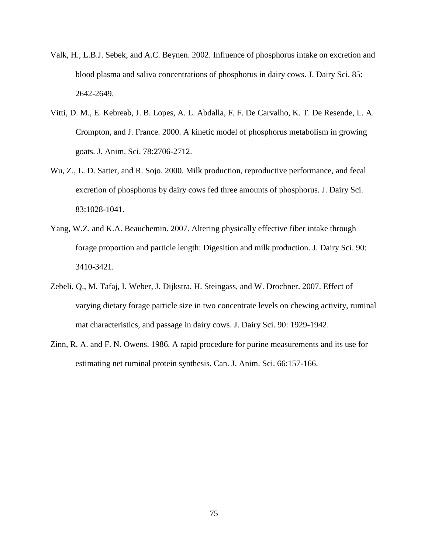- Valk, H., L.B.J. Sebek, and A.C. Beynen. 2002. Influence of phosphorus intake on excretion and blood plasma and saliva concentrations of phosphorus in dairy cows. J. Dairy Sci. 85: 2642-2649.
- Vitti, D. M., E. Kebreab, J. B. Lopes, A. L. Abdalla, F. F. De Carvalho, K. T. De Resende, L. A. Crompton, and J. France. 2000. A kinetic model of phosphorus metabolism in growing goats. J. Anim. Sci. 78:2706-2712.
- Wu, Z., L. D. Satter, and R. Sojo. 2000. Milk production, reproductive performance, and fecal excretion of phosphorus by dairy cows fed three amounts of phosphorus. J. Dairy Sci. 83:1028-1041.
- Yang, W.Z. and K.A. Beauchemin. 2007. Altering physically effective fiber intake through forage proportion and particle length: Digesition and milk production. J. Dairy Sci. 90: 3410-3421.
- Zebeli, Q., M. Tafaj, I. Weber, J. Dijkstra, H. Steingass, and W. Drochner. 2007. Effect of varying dietary forage particle size in two concentrate levels on chewing activity, ruminal mat characteristics, and passage in dairy cows. J. Dairy Sci. 90: 1929-1942.
- Zinn, R. A. and F. N. Owens. 1986. A rapid procedure for purine measurements and its use for estimating net ruminal protein synthesis. Can. J. Anim. Sci. 66:157-166.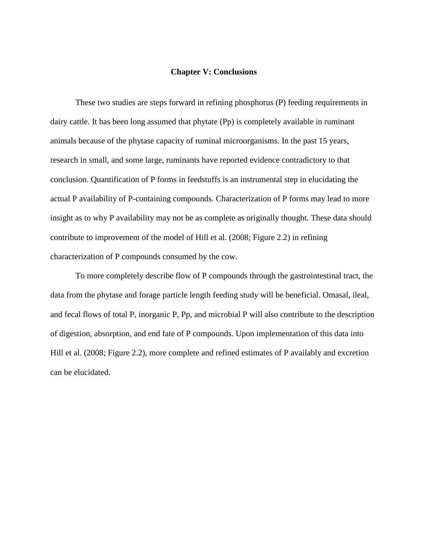#### **Chapter V: Conclusions**

These two studies are steps forward in refining phosphorus (P) feeding requirements in dairy cattle. It has been long assumed that phytate (Pp) is completely available in ruminant animals because of the phytase capacity of ruminal microorganisms. In the past 15 years, research in small, and some large, ruminants have reported evidence contradictory to that conclusion. Quantification of P forms in feedstuffs is an instrumental step in elucidating the actual P availability of P-containing compounds. Characterization of P forms may lead to more insight as to why P availability may not be as complete as originally thought. These data should contribute to improvement of the model of Hill et al. (2008; [Figure 2.2\)](#page-21-0) in refining characterization of P compounds consumed by the cow.

To more completely describe flow of P compounds through the gastrointestinal tract, the data from the phytase and forage particle length feeding study will be beneficial. Omasal, ileal, and fecal flows of total P, inorganic P, Pp, and microbial P will also contribute to the description of digestion, absorption, and end fate of P compounds. Upon implementation of this data into Hill et al. (2008; [Figure 2.2\)](#page-21-0), more complete and refined estimates of P availably and excretion can be elucidated.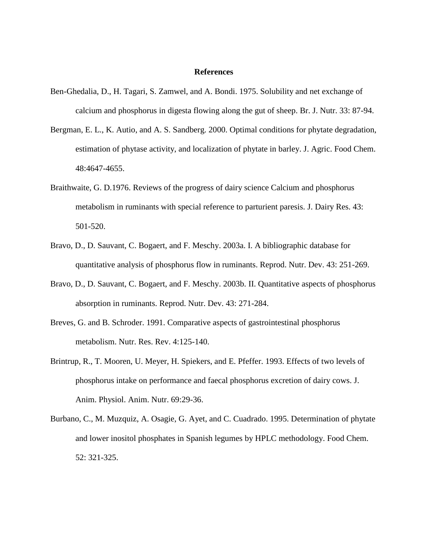#### **References**

- Ben-Ghedalia, D., H. Tagari, S. Zamwel, and A. Bondi. 1975. Solubility and net exchange of calcium and phosphorus in digesta flowing along the gut of sheep. Br. J. Nutr. 33: 87-94.
- Bergman, E. L., K. Autio, and A. S. Sandberg. 2000. Optimal conditions for phytate degradation, estimation of phytase activity, and localization of phytate in barley. J. Agric. Food Chem. 48:4647-4655.
- Braithwaite, G. D.1976. Reviews of the progress of dairy science Calcium and phosphorus metabolism in ruminants with special reference to parturient paresis. J. Dairy Res. 43: 501-520.
- Bravo, D., D. Sauvant, C. Bogaert, and F. Meschy. 2003a. I. A bibliographic database for quantitative analysis of phosphorus flow in ruminants. Reprod. Nutr. Dev. 43: 251-269.
- Bravo, D., D. Sauvant, C. Bogaert, and F. Meschy. 2003b. II. Quantitative aspects of phosphorus absorption in ruminants. Reprod. Nutr. Dev. 43: 271-284.
- Breves, G. and B. Schroder. 1991. Comparative aspects of gastrointestinal phosphorus metabolism. Nutr. Res. Rev. 4:125-140.
- Brintrup, R., T. Mooren, U. Meyer, H. Spiekers, and E. Pfeffer. 1993. Effects of two levels of phosphorus intake on performance and faecal phosphorus excretion of dairy cows. J. Anim. Physiol. Anim. Nutr. 69:29-36.
- Burbano, C., M. Muzquiz, A. Osagie, G. Ayet, and C. Cuadrado. 1995. Determination of phytate and lower inositol phosphates in Spanish legumes by HPLC methodology. Food Chem. 52: 321-325.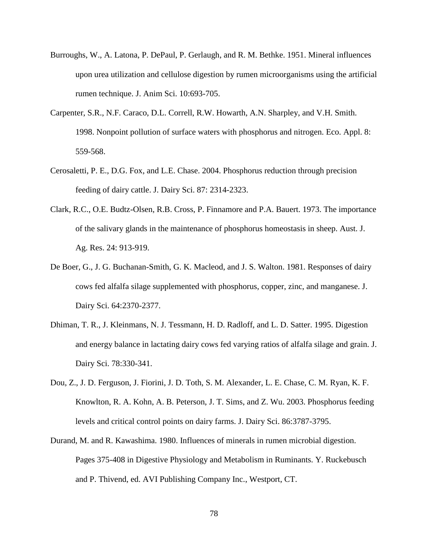- Burroughs, W., A. Latona, P. DePaul, P. Gerlaugh, and R. M. Bethke. 1951. Mineral influences upon urea utilization and cellulose digestion by rumen microorganisms using the artificial rumen technique. J. Anim Sci. 10:693-705.
- Carpenter, S.R., N.F. Caraco, D.L. Correll, R.W. Howarth, A.N. Sharpley, and V.H. Smith. 1998. Nonpoint pollution of surface waters with phosphorus and nitrogen. Eco. Appl. 8: 559-568.
- Cerosaletti, P. E., D.G. Fox, and L.E. Chase. 2004. Phosphorus reduction through precision feeding of dairy cattle. J. Dairy Sci. 87: 2314-2323.
- Clark, R.C., O.E. Budtz-Olsen, R.B. Cross, P. Finnamore and P.A. Bauert. 1973. The importance of the salivary glands in the maintenance of phosphorus homeostasis in sheep. Aust. J. Ag. Res. 24: 913-919.
- De Boer, G., J. G. Buchanan-Smith, G. K. Macleod, and J. S. Walton. 1981. Responses of dairy cows fed alfalfa silage supplemented with phosphorus, copper, zinc, and manganese. J. Dairy Sci. 64:2370-2377.
- Dhiman, T. R., J. Kleinmans, N. J. Tessmann, H. D. Radloff, and L. D. Satter. 1995. Digestion and energy balance in lactating dairy cows fed varying ratios of alfalfa silage and grain. J. Dairy Sci. 78:330-341.
- Dou, Z., J. D. Ferguson, J. Fiorini, J. D. Toth, S. M. Alexander, L. E. Chase, C. M. Ryan, K. F. Knowlton, R. A. Kohn, A. B. Peterson, J. T. Sims, and Z. Wu. 2003. Phosphorus feeding levels and critical control points on dairy farms. J. Dairy Sci. 86:3787-3795.
- Durand, M. and R. Kawashima. 1980. Influences of minerals in rumen microbial digestion. Pages 375-408 in Digestive Physiology and Metabolism in Ruminants. Y. Ruckebusch and P. Thivend, ed. AVI Publishing Company Inc., Westport, CT.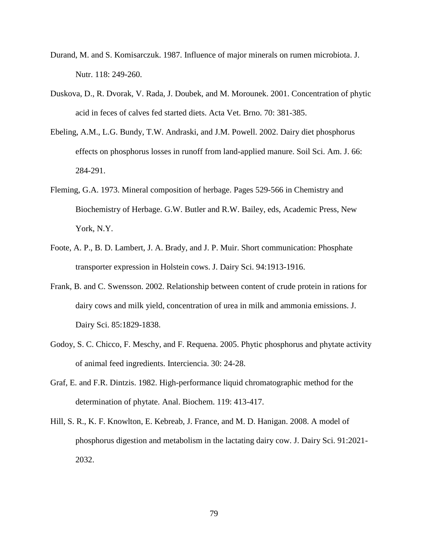- Durand, M. and S. Komisarczuk. 1987. Influence of major minerals on rumen microbiota. J. Nutr. 118: 249-260.
- Duskova, D., R. Dvorak, V. Rada, J. Doubek, and M. Morounek. 2001. Concentration of phytic acid in feces of calves fed started diets. Acta Vet. Brno. 70: 381-385.
- Ebeling, A.M., L.G. Bundy, T.W. Andraski, and J.M. Powell. 2002. Dairy diet phosphorus effects on phosphorus losses in runoff from land-applied manure. Soil Sci. Am. J. 66: 284-291.
- Fleming, G.A. 1973. Mineral composition of herbage. Pages 529-566 in Chemistry and Biochemistry of Herbage. G.W. Butler and R.W. Bailey, eds, Academic Press, New York, N.Y.
- Foote, A. P., B. D. Lambert, J. A. Brady, and J. P. Muir. Short communication: Phosphate transporter expression in Holstein cows. J. Dairy Sci. 94:1913-1916.
- Frank, B. and C. Swensson. 2002. Relationship between content of crude protein in rations for dairy cows and milk yield, concentration of urea in milk and ammonia emissions. J. Dairy Sci. 85:1829-1838.
- Godoy, S. C. Chicco, F. Meschy, and F. Requena. 2005. Phytic phosphorus and phytate activity of animal feed ingredients. Interciencia. 30: 24-28.
- Graf, E. and F.R. Dintzis. 1982. High-performance liquid chromatographic method for the determination of phytate. Anal. Biochem. 119: 413-417.
- Hill, S. R., K. F. Knowlton, E. Kebreab, J. France, and M. D. Hanigan. 2008. A model of phosphorus digestion and metabolism in the lactating dairy cow. J. Dairy Sci. 91:2021- 2032.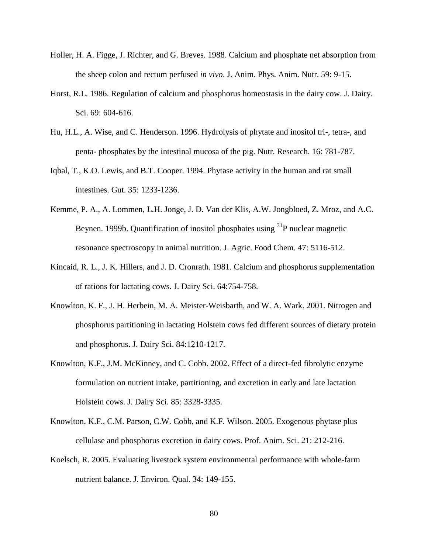- Holler, H. A. Figge, J. Richter, and G. Breves. 1988. Calcium and phosphate net absorption from the sheep colon and rectum perfused *in vivo*. J. Anim. Phys. Anim. Nutr. 59: 9-15.
- Horst, R.L. 1986. Regulation of calcium and phosphorus homeostasis in the dairy cow. J. Dairy. Sci. 69: 604-616.
- Hu, H.L., A. Wise, and C. Henderson. 1996. Hydrolysis of phytate and inositol tri-, tetra-, and penta- phosphates by the intestinal mucosa of the pig. Nutr. Research. 16: 781-787.
- Iqbal, T., K.O. Lewis, and B.T. Cooper. 1994. Phytase activity in the human and rat small intestines. Gut. 35: 1233-1236.
- Kemme, P. A., A. Lommen, L.H. Jonge, J. D. Van der Klis, A.W. Jongbloed, Z. Mroz, and A.C. Beynen. 1999b. Quantification of inositol phosphates using  $31P$  nuclear magnetic resonance spectroscopy in animal nutrition. J. Agric. Food Chem. 47: 5116-512.
- Kincaid, R. L., J. K. Hillers, and J. D. Cronrath. 1981. Calcium and phosphorus supplementation of rations for lactating cows. J. Dairy Sci. 64:754-758.
- Knowlton, K. F., J. H. Herbein, M. A. Meister-Weisbarth, and W. A. Wark. 2001. Nitrogen and phosphorus partitioning in lactating Holstein cows fed different sources of dietary protein and phosphorus. J. Dairy Sci. 84:1210-1217.
- Knowlton, K.F., J.M. McKinney, and C. Cobb. 2002. Effect of a direct-fed fibrolytic enzyme formulation on nutrient intake, partitioning, and excretion in early and late lactation Holstein cows. J. Dairy Sci. 85: 3328-3335.
- Knowlton, K.F., C.M. Parson, C.W. Cobb, and K.F. Wilson. 2005. Exogenous phytase plus cellulase and phosphorus excretion in dairy cows. Prof. Anim. Sci. 21: 212-216.
- Koelsch, R. 2005. Evaluating livestock system environmental performance with whole-farm nutrient balance. J. Environ. Qual. 34: 149-155.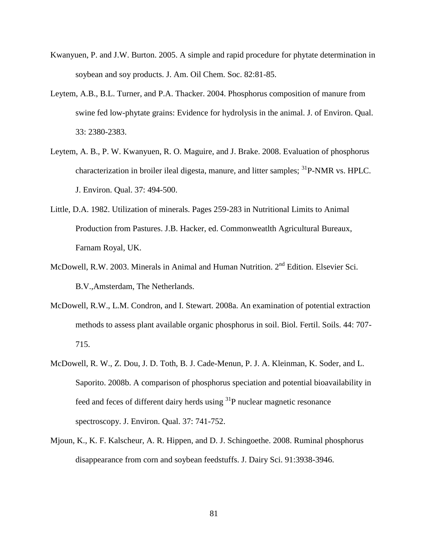- Kwanyuen, P. and J.W. Burton. 2005. A simple and rapid procedure for phytate determination in soybean and soy products. J. Am. Oil Chem. Soc. 82:81-85.
- Leytem, A.B., B.L. Turner, and P.A. Thacker. 2004. Phosphorus composition of manure from swine fed low-phytate grains: Evidence for hydrolysis in the animal. J. of Environ. Qual. 33: 2380-2383.
- Leytem, A. B., P. W. Kwanyuen, R. O. Maguire, and J. Brake. 2008. Evaluation of phosphorus characterization in broiler ileal digesta, manure, and litter samples; <sup>31</sup>P-NMR vs. HPLC. J. Environ. Qual. 37: 494-500.
- Little, D.A. 1982. Utilization of minerals. Pages 259-283 in Nutritional Limits to Animal Production from Pastures. J.B. Hacker, ed. Commonweatlth Agricultural Bureaux, Farnam Royal, UK.
- McDowell, R.W. 2003. Minerals in Animal and Human Nutrition.  $2<sup>nd</sup>$  Edition. Elsevier Sci. B.V.,Amsterdam, The Netherlands.
- McDowell, R.W., L.M. Condron, and I. Stewart. 2008a. An examination of potential extraction methods to assess plant available organic phosphorus in soil. Biol. Fertil. Soils. 44: 707- 715.
- McDowell, R. W., Z. Dou, J. D. Toth, B. J. Cade-Menun, P. J. A. Kleinman, K. Soder, and L. Saporito. 2008b. A comparison of phosphorus speciation and potential bioavailability in feed and feces of different dairy herds using  ${}^{31}P$  nuclear magnetic resonance spectroscopy. J. Environ. Qual. 37: 741-752.
- Mjoun, K., K. F. Kalscheur, A. R. Hippen, and D. J. Schingoethe. 2008. Ruminal phosphorus disappearance from corn and soybean feedstuffs. J. Dairy Sci. 91:3938-3946.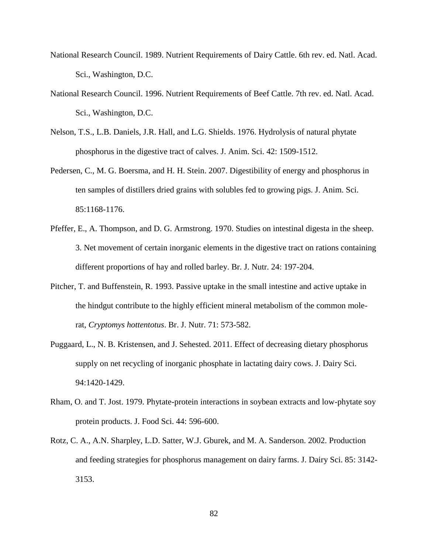- National Research Council. 1989. Nutrient Requirements of Dairy Cattle. 6th rev. ed. Natl. Acad. Sci., Washington, D.C.
- National Research Council. 1996. Nutrient Requirements of Beef Cattle. 7th rev. ed. Natl. Acad. Sci., Washington, D.C.
- Nelson, T.S., L.B. Daniels, J.R. Hall, and L.G. Shields. 1976. Hydrolysis of natural phytate phosphorus in the digestive tract of calves. J. Anim. Sci. 42: 1509-1512.
- Pedersen, C., M. G. Boersma, and H. H. Stein. 2007. Digestibility of energy and phosphorus in ten samples of distillers dried grains with solubles fed to growing pigs. J. Anim. Sci. 85:1168-1176.
- Pfeffer, E., A. Thompson, and D. G. Armstrong. 1970. Studies on intestinal digesta in the sheep. 3. Net movement of certain inorganic elements in the digestive tract on rations containing different proportions of hay and rolled barley. Br. J. Nutr. 24: 197-204.
- Pitcher, T. and Buffenstein, R. 1993. Passive uptake in the small intestine and active uptake in the hindgut contribute to the highly efficient mineral metabolism of the common molerat, *Cryptomys hottentotus*. Br. J. Nutr. 71: 573-582.
- Puggaard, L., N. B. Kristensen, and J. Sehested. 2011. Effect of decreasing dietary phosphorus supply on net recycling of inorganic phosphate in lactating dairy cows. J. Dairy Sci. 94:1420-1429.
- Rham, O. and T. Jost. 1979. Phytate-protein interactions in soybean extracts and low-phytate soy protein products. J. Food Sci. 44: 596-600.
- Rotz, C. A., A.N. Sharpley, L.D. Satter, W.J. Gburek, and M. A. Sanderson. 2002. Production and feeding strategies for phosphorus management on dairy farms. J. Dairy Sci. 85: 3142- 3153.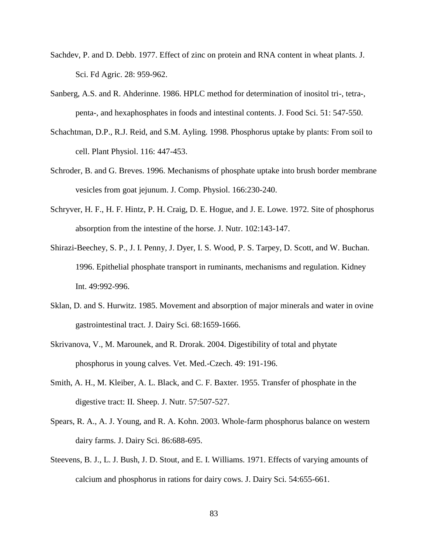- Sachdev, P. and D. Debb. 1977. Effect of zinc on protein and RNA content in wheat plants. J. Sci. Fd Agric. 28: 959-962.
- Sanberg, A.S. and R. Ahderinne. 1986. HPLC method for determination of inositol tri-, tetra-, penta-, and hexaphosphates in foods and intestinal contents. J. Food Sci. 51: 547-550.
- Schachtman, D.P., R.J. Reid, and S.M. Ayling. 1998. Phosphorus uptake by plants: From soil to cell. Plant Physiol. 116: 447-453.
- Schroder, B. and G. Breves. 1996. Mechanisms of phosphate uptake into brush border membrane vesicles from goat jejunum. J. Comp. Physiol. 166:230-240.
- Schryver, H. F., H. F. Hintz, P. H. Craig, D. E. Hogue, and J. E. Lowe. 1972. Site of phosphorus absorption from the intestine of the horse. J. Nutr. 102:143-147.
- Shirazi-Beechey, S. P., J. I. Penny, J. Dyer, I. S. Wood, P. S. Tarpey, D. Scott, and W. Buchan. 1996. Epithelial phosphate transport in ruminants, mechanisms and regulation. Kidney Int. 49:992-996.
- Sklan, D. and S. Hurwitz. 1985. Movement and absorption of major minerals and water in ovine gastrointestinal tract. J. Dairy Sci. 68:1659-1666.
- Skrivanova, V., M. Marounek, and R. Drorak. 2004. Digestibility of total and phytate phosphorus in young calves. Vet. Med.-Czech. 49: 191-196.
- Smith, A. H., M. Kleiber, A. L. Black, and C. F. Baxter. 1955. Transfer of phosphate in the digestive tract: II. Sheep. J. Nutr. 57:507-527.
- Spears, R. A., A. J. Young, and R. A. Kohn. 2003. Whole-farm phosphorus balance on western dairy farms. J. Dairy Sci. 86:688-695.
- Steevens, B. J., L. J. Bush, J. D. Stout, and E. I. Williams. 1971. Effects of varying amounts of calcium and phosphorus in rations for dairy cows. J. Dairy Sci. 54:655-661.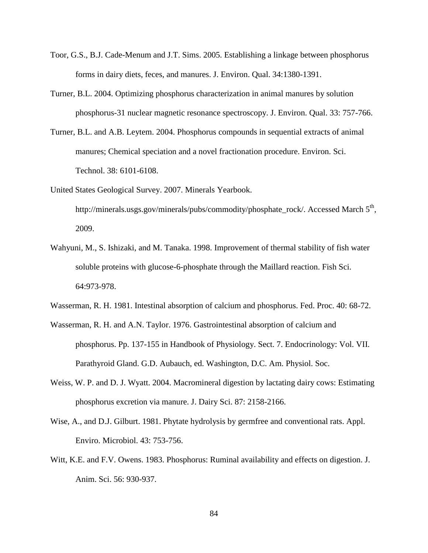- Toor, G.S., B.J. Cade-Menum and J.T. Sims. 2005. Establishing a linkage between phosphorus forms in dairy diets, feces, and manures. J. Environ. Qual. 34:1380-1391.
- Turner, B.L. 2004. Optimizing phosphorus characterization in animal manures by solution phosphorus-31 nuclear magnetic resonance spectroscopy. J. Environ. Qual. 33: 757-766.
- Turner, B.L. and A.B. Leytem. 2004. Phosphorus compounds in sequential extracts of animal manures; Chemical speciation and a novel fractionation procedure. Environ. Sci. Technol. 38: 6101-6108.
- United States Geological Survey. 2007. Minerals Yearbook. http://minerals.usgs.gov/minerals/pubs/commodity/phosphate\_rock/. Accessed March 5<sup>th</sup>, 2009.
- Wahyuni, M., S. Ishizaki, and M. Tanaka. 1998. Improvement of thermal stability of fish water soluble proteins with glucose-6-phosphate through the Maillard reaction. Fish Sci. 64:973-978.
- Wasserman, R. H. 1981. Intestinal absorption of calcium and phosphorus. Fed. Proc. 40: 68-72.
- Wasserman, R. H. and A.N. Taylor. 1976. Gastrointestinal absorption of calcium and phosphorus. Pp. 137-155 in Handbook of Physiology. Sect. 7. Endocrinology: Vol. VII. Parathyroid Gland. G.D. Aubauch, ed. Washington, D.C. Am. Physiol. Soc.
- Weiss, W. P. and D. J. Wyatt. 2004. Macromineral digestion by lactating dairy cows: Estimating phosphorus excretion via manure. J. Dairy Sci. 87: 2158-2166.
- Wise, A., and D.J. Gilburt. 1981. Phytate hydrolysis by germfree and conventional rats. Appl. Enviro. Microbiol. 43: 753-756.
- Witt, K.E. and F.V. Owens. 1983. Phosphorus: Ruminal availability and effects on digestion. J. Anim. Sci. 56: 930-937.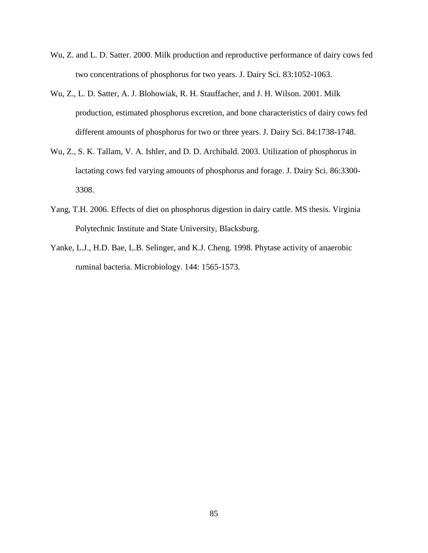- Wu, Z. and L. D. Satter. 2000. Milk production and reproductive performance of dairy cows fed two concentrations of phosphorus for two years. J. Dairy Sci. 83:1052-1063.
- Wu, Z., L. D. Satter, A. J. Blohowiak, R. H. Stauffacher, and J. H. Wilson. 2001. Milk production, estimated phosphorus excretion, and bone characteristics of dairy cows fed different amounts of phosphorus for two or three years. J. Dairy Sci. 84:1738-1748.
- Wu, Z., S. K. Tallam, V. A. Ishler, and D. D. Archibald. 2003. Utilization of phosphorus in lactating cows fed varying amounts of phosphorus and forage. J. Dairy Sci. 86:3300- 3308.
- Yang, T.H. 2006. Effects of diet on phosphorus digestion in dairy cattle. MS thesis. Virginia Polytechnic Institute and State University, Blacksburg.
- Yanke, L.J., H.D. Bae, L.B. Selinger, and K.J. Cheng. 1998. Phytase activity of anaerobic ruminal bacteria. Microbiology. 144: 1565-1573.